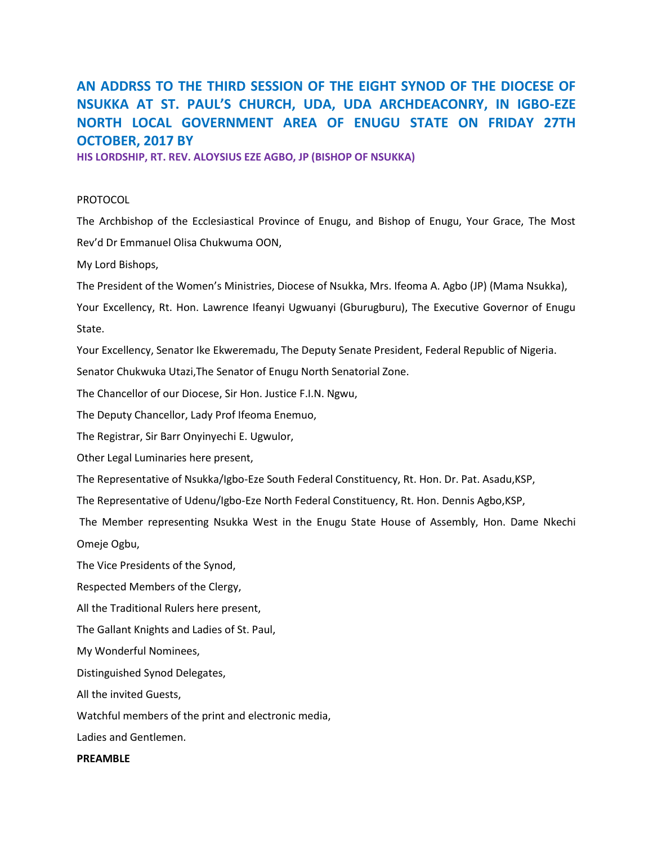# **AN ADDRSS TO THE THIRD SESSION OF THE EIGHT SYNOD OF THE DIOCESE OF NSUKKA AT ST. PAUL'S CHURCH, UDA, UDA ARCHDEACONRY, IN IGBO-EZE NORTH LOCAL GOVERNMENT AREA OF ENUGU STATE ON FRIDAY 27TH OCTOBER, 2017 BY**

**HIS LORDSHIP, RT. REV. ALOYSIUS EZE AGBO, JP (BISHOP OF NSUKKA)**

# PROTOCOL

The Archbishop of the Ecclesiastical Province of Enugu, and Bishop of Enugu, Your Grace, The Most Rev'd Dr Emmanuel Olisa Chukwuma OON,

My Lord Bishops,

The President of the Women's Ministries, Diocese of Nsukka, Mrs. Ifeoma A. Agbo (JP) (Mama Nsukka),

Your Excellency, Rt. Hon. Lawrence Ifeanyi Ugwuanyi (Gburugburu), The Executive Governor of Enugu State.

Your Excellency, Senator Ike Ekweremadu, The Deputy Senate President, Federal Republic of Nigeria.

Senator Chukwuka Utazi,The Senator of Enugu North Senatorial Zone.

The Chancellor of our Diocese, Sir Hon. Justice F.I.N. Ngwu,

The Deputy Chancellor, Lady Prof Ifeoma Enemuo,

The Registrar, Sir Barr Onyinyechi E. Ugwulor,

Other Legal Luminaries here present,

The Representative of Nsukka/Igbo-Eze South Federal Constituency, Rt. Hon. Dr. Pat. Asadu,KSP,

The Representative of Udenu/Igbo-Eze North Federal Constituency, Rt. Hon. Dennis Agbo,KSP,

The Member representing Nsukka West in the Enugu State House of Assembly, Hon. Dame Nkechi Omeje Ogbu,

The Vice Presidents of the Synod,

Respected Members of the Clergy,

All the Traditional Rulers here present,

The Gallant Knights and Ladies of St. Paul,

My Wonderful Nominees,

Distinguished Synod Delegates,

All the invited Guests,

Watchful members of the print and electronic media,

Ladies and Gentlemen.

# **PREAMBLE**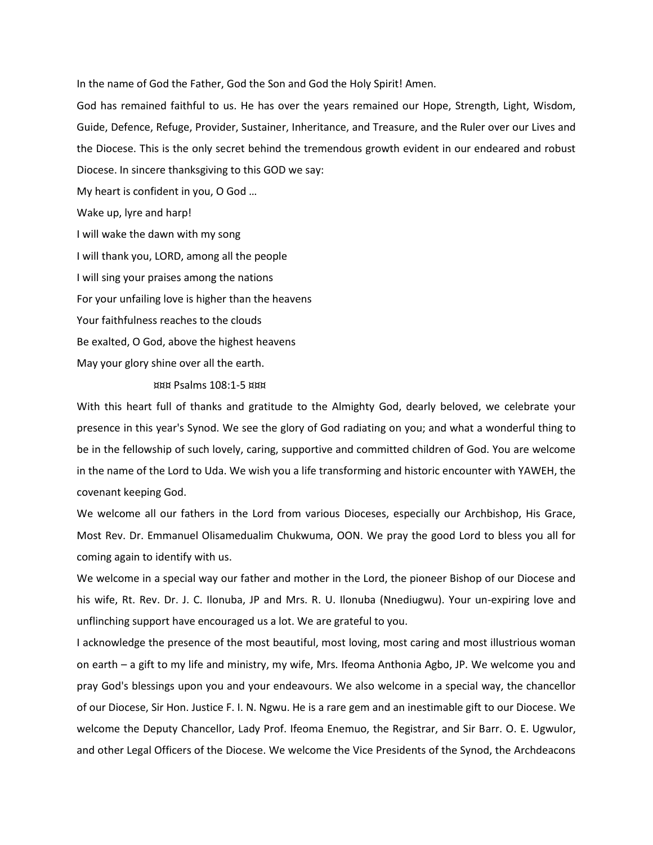In the name of God the Father, God the Son and God the Holy Spirit! Amen.

God has remained faithful to us. He has over the years remained our Hope, Strength, Light, Wisdom, Guide, Defence, Refuge, Provider, Sustainer, Inheritance, and Treasure, and the Ruler over our Lives and the Diocese. This is the only secret behind the tremendous growth evident in our endeared and robust Diocese. In sincere thanksgiving to this GOD we say:

My heart is confident in you, O God …

Wake up, lyre and harp!

I will wake the dawn with my song

I will thank you, LORD, among all the people

I will sing your praises among the nations

For your unfailing love is higher than the heavens

Your faithfulness reaches to the clouds

Be exalted, O God, above the highest heavens

May your glory shine over all the earth.

¤¤¤ Psalms 108:1-5 ¤¤¤

With this heart full of thanks and gratitude to the Almighty God, dearly beloved, we celebrate your presence in this year's Synod. We see the glory of God radiating on you; and what a wonderful thing to be in the fellowship of such lovely, caring, supportive and committed children of God. You are welcome in the name of the Lord to Uda. We wish you a life transforming and historic encounter with YAWEH, the covenant keeping God.

We welcome all our fathers in the Lord from various Dioceses, especially our Archbishop, His Grace, Most Rev. Dr. Emmanuel Olisamedualim Chukwuma, OON. We pray the good Lord to bless you all for coming again to identify with us.

We welcome in a special way our father and mother in the Lord, the pioneer Bishop of our Diocese and his wife, Rt. Rev. Dr. J. C. Ilonuba, JP and Mrs. R. U. Ilonuba (Nnediugwu). Your un-expiring love and unflinching support have encouraged us a lot. We are grateful to you.

I acknowledge the presence of the most beautiful, most loving, most caring and most illustrious woman on earth – a gift to my life and ministry, my wife, Mrs. Ifeoma Anthonia Agbo, JP. We welcome you and pray God's blessings upon you and your endeavours. We also welcome in a special way, the chancellor of our Diocese, Sir Hon. Justice F. I. N. Ngwu. He is a rare gem and an inestimable gift to our Diocese. We welcome the Deputy Chancellor, Lady Prof. Ifeoma Enemuo, the Registrar, and Sir Barr. O. E. Ugwulor, and other Legal Officers of the Diocese. We welcome the Vice Presidents of the Synod, the Archdeacons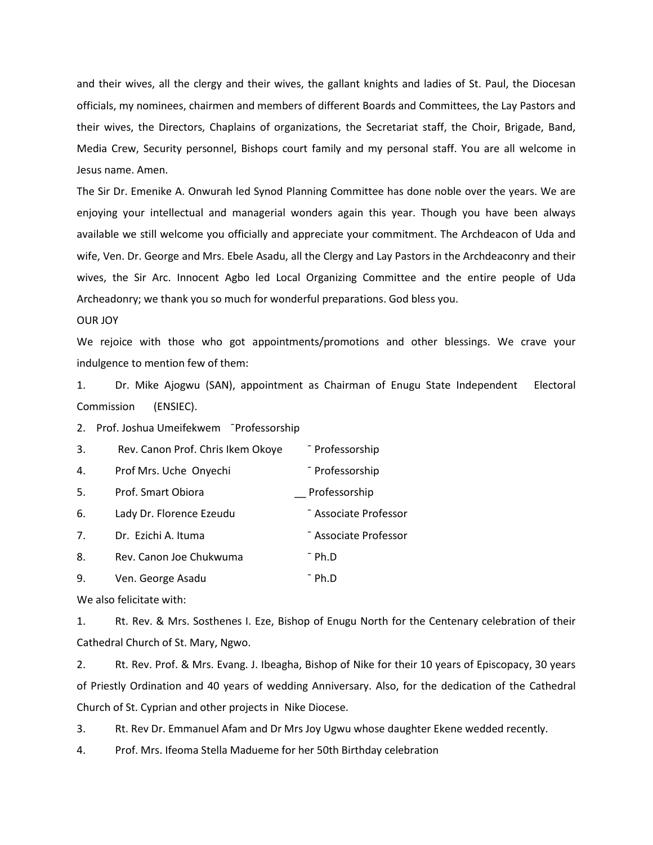and their wives, all the clergy and their wives, the gallant knights and ladies of St. Paul, the Diocesan officials, my nominees, chairmen and members of different Boards and Committees, the Lay Pastors and their wives, the Directors, Chaplains of organizations, the Secretariat staff, the Choir, Brigade, Band, Media Crew, Security personnel, Bishops court family and my personal staff. You are all welcome in Jesus name. Amen.

The Sir Dr. Emenike A. Onwurah led Synod Planning Committee has done noble over the years. We are enjoying your intellectual and managerial wonders again this year. Though you have been always available we still welcome you officially and appreciate your commitment. The Archdeacon of Uda and wife, Ven. Dr. George and Mrs. Ebele Asadu, all the Clergy and Lay Pastors in the Archdeaconry and their wives, the Sir Arc. Innocent Agbo led Local Organizing Committee and the entire people of Uda Archeadonry; we thank you so much for wonderful preparations. God bless you.

#### OUR JOY

We rejoice with those who got appointments/promotions and other blessings. We crave your indulgence to mention few of them:

1. Dr. Mike Ajogwu (SAN), appointment as Chairman of Enugu State Independent Electoral Commission (ENSIEC).

2. Prof. Joshua Umeifekwem ¯Professorship

| 3. | Rev. Canon Prof. Chris Ikem Okoye | - Professorship       |
|----|-----------------------------------|-----------------------|
| 4. | Prof Mrs. Uche Onyechi            | - Professorship       |
| 5. | Prof. Smart Obiora                | Professorship         |
| 6. | Lady Dr. Florence Ezeudu          | - Associate Professor |
| 7. | Dr. Ezichi A. Ituma               | - Associate Professor |
| 8. | Rev. Canon Joe Chukwuma           | T Ph.D                |
| 9. | Ven. George Asadu                 | <sup>-</sup> Ph.D     |

We also felicitate with:

1. Rt. Rev. & Mrs. Sosthenes I. Eze, Bishop of Enugu North for the Centenary celebration of their Cathedral Church of St. Mary, Ngwo.

2. Rt. Rev. Prof. & Mrs. Evang. J. Ibeagha, Bishop of Nike for their 10 years of Episcopacy, 30 years of Priestly Ordination and 40 years of wedding Anniversary. Also, for the dedication of the Cathedral Church of St. Cyprian and other projects in Nike Diocese.

3. Rt. Rev Dr. Emmanuel Afam and Dr Mrs Joy Ugwu whose daughter Ekene wedded recently.

4. Prof. Mrs. Ifeoma Stella Madueme for her 50th Birthday celebration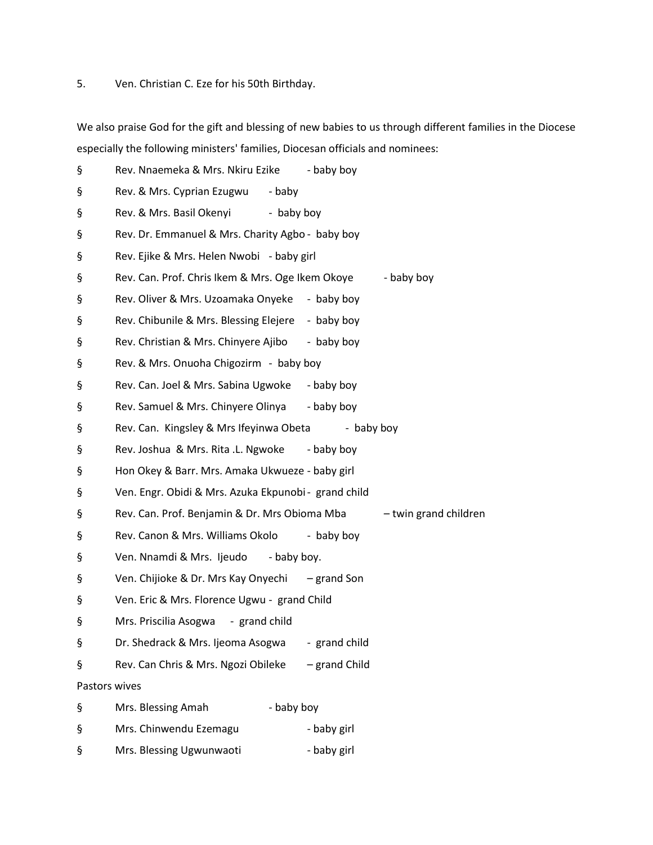5. Ven. Christian C. Eze for his 50th Birthday.

We also praise God for the gift and blessing of new babies to us through different families in the Diocese especially the following ministers' families, Diocesan officials and nominees:

| ş             | Rev. Nnaemeka & Mrs. Nkiru Ezike                     | - baby boy  |                       |
|---------------|------------------------------------------------------|-------------|-----------------------|
| ş             | Rev. & Mrs. Cyprian Ezugwu - baby                    |             |                       |
| ş             | Rev. & Mrs. Basil Okenyi - baby boy                  |             |                       |
| ş             | Rev. Dr. Emmanuel & Mrs. Charity Agbo - baby boy     |             |                       |
| ş             | Rev. Ejike & Mrs. Helen Nwobi - baby girl            |             |                       |
| ş             | Rev. Can. Prof. Chris Ikem & Mrs. Oge Ikem Okoye     |             | - baby boy            |
| ş             | Rev. Oliver & Mrs. Uzoamaka Onyeke - baby boy        |             |                       |
| ş             | Rev. Chibunile & Mrs. Blessing Elejere - baby boy    |             |                       |
| ş             | Rev. Christian & Mrs. Chinyere Ajibo - baby boy      |             |                       |
| ş             | Rev. & Mrs. Onuoha Chigozirm - baby boy              |             |                       |
| ş             | Rev. Can. Joel & Mrs. Sabina Ugwoke - baby boy       |             |                       |
| ş             | Rev. Samuel & Mrs. Chinyere Olinya - baby boy        |             |                       |
| ş             | Rev. Can. Kingsley & Mrs Ifeyinwa Obeta              | - baby boy  |                       |
| ş             | Rev. Joshua & Mrs. Rita .L. Ngwoke - baby boy        |             |                       |
| ş             | Hon Okey & Barr. Mrs. Amaka Ukwueze - baby girl      |             |                       |
| ş             | Ven. Engr. Obidi & Mrs. Azuka Ekpunobi - grand child |             |                       |
| ş             | Rev. Can. Prof. Benjamin & Dr. Mrs Obioma Mba        |             | - twin grand children |
| ş             | Rev. Canon & Mrs. Williams Okolo                     | - baby boy  |                       |
| ş             | Ven. Nnamdi & Mrs. Ijeudo - baby boy.                |             |                       |
| ş             | Ven. Chijioke & Dr. Mrs Kay Onyechi – grand Son      |             |                       |
| ş             | Ven. Eric & Mrs. Florence Ugwu - grand Child         |             |                       |
| ş             | Mrs. Priscilia Asogwa - grand child                  |             |                       |
| ş             | Dr. Shedrack & Mrs. Ijeoma Asogwa - grand child      |             |                       |
| ş             | Rev. Can Chris & Mrs. Ngozi Obileke - grand Child    |             |                       |
| Pastors wives |                                                      |             |                       |
| ş             | Mrs. Blessing Amah<br>- baby boy                     |             |                       |
| ş             | Mrs. Chinwendu Ezemagu                               | - baby girl |                       |
| ş             | Mrs. Blessing Ugwunwaoti                             | - baby girl |                       |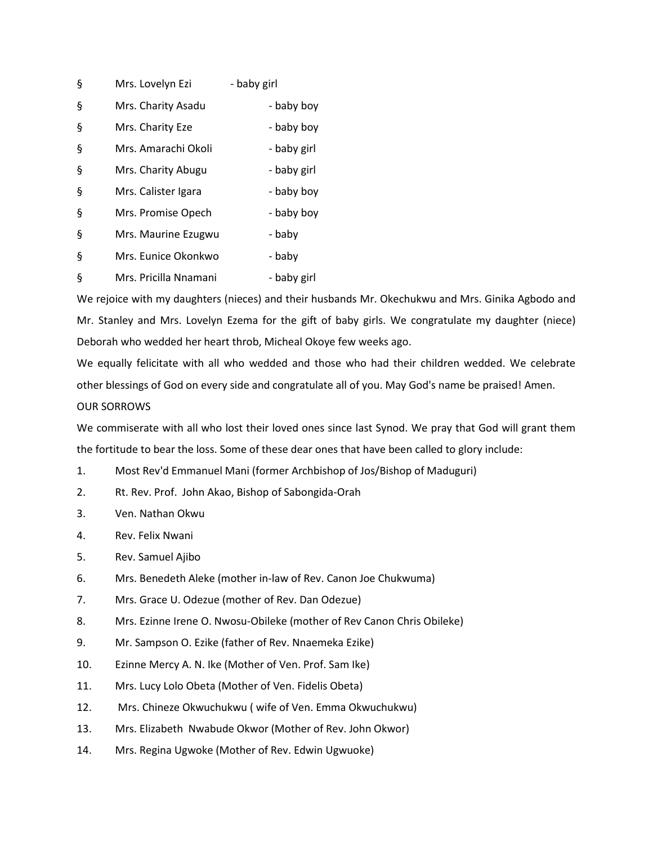| ş | Mrs. Lovelyn Ezi      | - baby girl |
|---|-----------------------|-------------|
| ş | Mrs. Charity Asadu    | - baby boy  |
| ş | Mrs. Charity Eze      | - baby boy  |
| ş | Mrs. Amarachi Okoli   | - baby girl |
| ş | Mrs. Charity Abugu    | - baby girl |
| ş | Mrs. Calister Igara   | - baby boy  |
| ş | Mrs. Promise Opech    | - baby boy  |
| ş | Mrs. Maurine Ezugwu   | - baby      |
| ş | Mrs. Eunice Okonkwo   | - baby      |
| ş | Mrs. Pricilla Nnamani | - baby girl |

We rejoice with my daughters (nieces) and their husbands Mr. Okechukwu and Mrs. Ginika Agbodo and Mr. Stanley and Mrs. Lovelyn Ezema for the gift of baby girls. We congratulate my daughter (niece) Deborah who wedded her heart throb, Micheal Okoye few weeks ago.

We equally felicitate with all who wedded and those who had their children wedded. We celebrate other blessings of God on every side and congratulate all of you. May God's name be praised! Amen. OUR SORROWS

We commiserate with all who lost their loved ones since last Synod. We pray that God will grant them the fortitude to bear the loss. Some of these dear ones that have been called to glory include:

- 1. Most Rev'd Emmanuel Mani (former Archbishop of Jos/Bishop of Maduguri)
- 2. Rt. Rev. Prof. John Akao, Bishop of Sabongida-Orah
- 3. Ven. Nathan Okwu
- 4. Rev. Felix Nwani
- 5. Rev. Samuel Ajibo
- 6. Mrs. Benedeth Aleke (mother in-law of Rev. Canon Joe Chukwuma)
- 7. Mrs. Grace U. Odezue (mother of Rev. Dan Odezue)
- 8. Mrs. Ezinne Irene O. Nwosu-Obileke (mother of Rev Canon Chris Obileke)
- 9. Mr. Sampson O. Ezike (father of Rev. Nnaemeka Ezike)
- 10. Ezinne Mercy A. N. Ike (Mother of Ven. Prof. Sam Ike)
- 11. Mrs. Lucy Lolo Obeta (Mother of Ven. Fidelis Obeta)
- 12. Mrs. Chineze Okwuchukwu ( wife of Ven. Emma Okwuchukwu)
- 13. Mrs. Elizabeth Nwabude Okwor (Mother of Rev. John Okwor)
- 14. Mrs. Regina Ugwoke (Mother of Rev. Edwin Ugwuoke)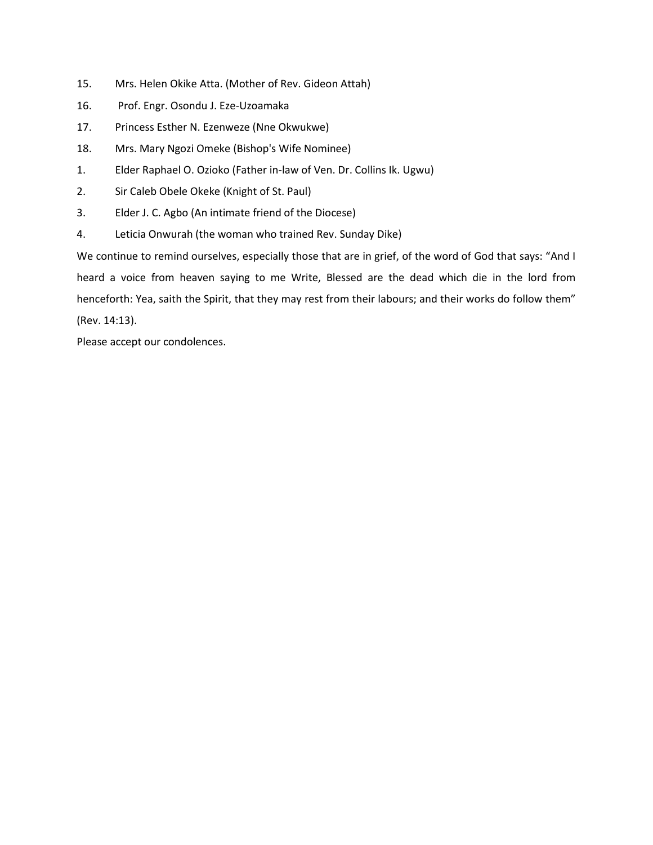- 15. Mrs. Helen Okike Atta. (Mother of Rev. Gideon Attah)
- 16. Prof. Engr. Osondu J. Eze-Uzoamaka
- 17. Princess Esther N. Ezenweze (Nne Okwukwe)
- 18. Mrs. Mary Ngozi Omeke (Bishop's Wife Nominee)
- 1. Elder Raphael O. Ozioko (Father in-law of Ven. Dr. Collins Ik. Ugwu)
- 2. Sir Caleb Obele Okeke (Knight of St. Paul)
- 3. Elder J. C. Agbo (An intimate friend of the Diocese)
- 4. Leticia Onwurah (the woman who trained Rev. Sunday Dike)

We continue to remind ourselves, especially those that are in grief, of the word of God that says: "And I heard a voice from heaven saying to me Write, Blessed are the dead which die in the lord from henceforth: Yea, saith the Spirit, that they may rest from their labours; and their works do follow them" (Rev. 14:13).

Please accept our condolences.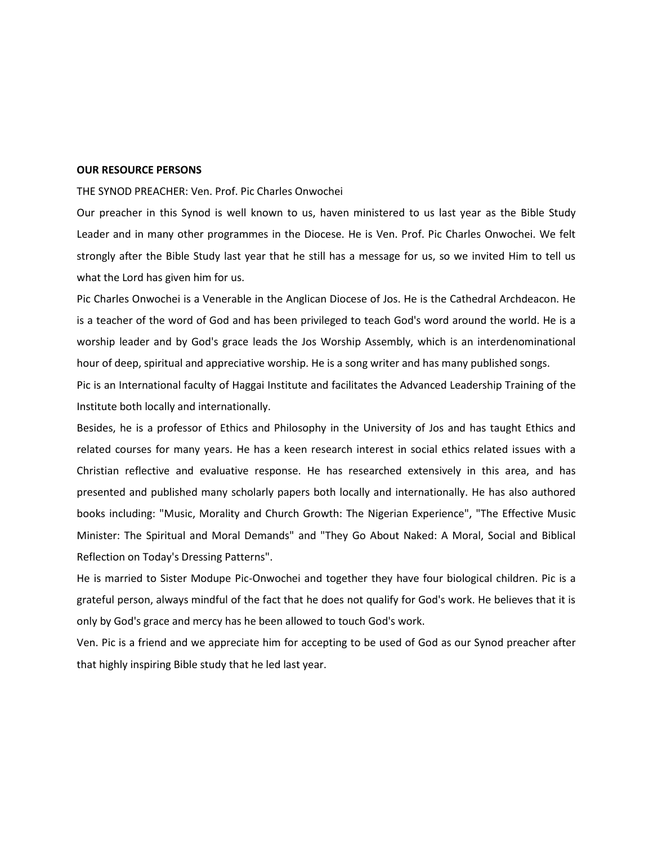# **OUR RESOURCE PERSONS**

### THE SYNOD PREACHER: Ven. Prof. Pic Charles Onwochei

Our preacher in this Synod is well known to us, haven ministered to us last year as the Bible Study Leader and in many other programmes in the Diocese. He is Ven. Prof. Pic Charles Onwochei. We felt strongly after the Bible Study last year that he still has a message for us, so we invited Him to tell us what the Lord has given him for us.

Pic Charles Onwochei is a Venerable in the Anglican Diocese of Jos. He is the Cathedral Archdeacon. He is a teacher of the word of God and has been privileged to teach God's word around the world. He is a worship leader and by God's grace leads the Jos Worship Assembly, which is an interdenominational hour of deep, spiritual and appreciative worship. He is a song writer and has many published songs.

Pic is an International faculty of Haggai Institute and facilitates the Advanced Leadership Training of the Institute both locally and internationally.

Besides, he is a professor of Ethics and Philosophy in the University of Jos and has taught Ethics and related courses for many years. He has a keen research interest in social ethics related issues with a Christian reflective and evaluative response. He has researched extensively in this area, and has presented and published many scholarly papers both locally and internationally. He has also authored books including: "Music, Morality and Church Growth: The Nigerian Experience", "The Effective Music Minister: The Spiritual and Moral Demands" and "They Go About Naked: A Moral, Social and Biblical Reflection on Today's Dressing Patterns".

He is married to Sister Modupe Pic-Onwochei and together they have four biological children. Pic is a grateful person, always mindful of the fact that he does not qualify for God's work. He believes that it is only by God's grace and mercy has he been allowed to touch God's work.

Ven. Pic is a friend and we appreciate him for accepting to be used of God as our Synod preacher after that highly inspiring Bible study that he led last year.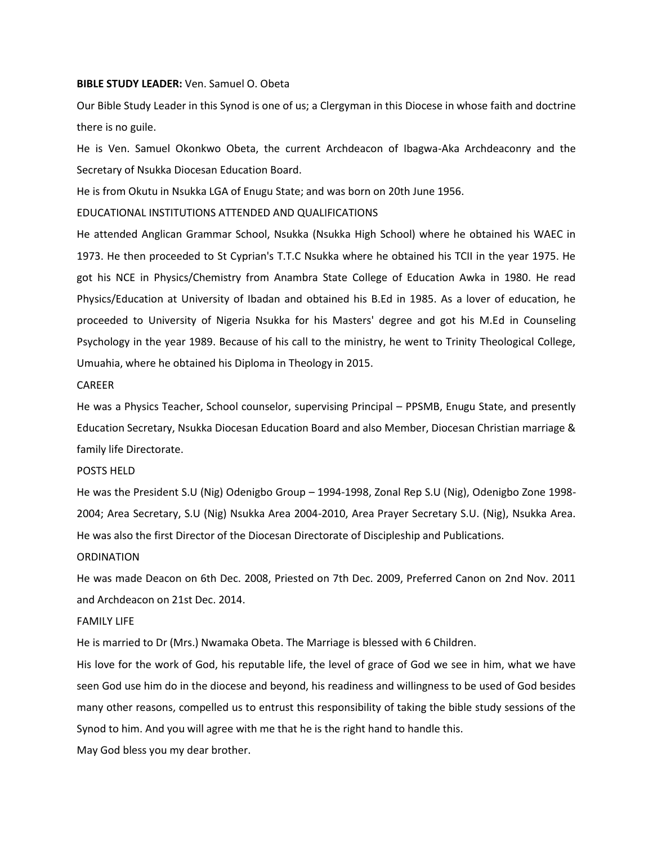#### **BIBLE STUDY LEADER:** Ven. Samuel O. Obeta

Our Bible Study Leader in this Synod is one of us; a Clergyman in this Diocese in whose faith and doctrine there is no guile.

He is Ven. Samuel Okonkwo Obeta, the current Archdeacon of Ibagwa-Aka Archdeaconry and the Secretary of Nsukka Diocesan Education Board.

He is from Okutu in Nsukka LGA of Enugu State; and was born on 20th June 1956.

EDUCATIONAL INSTITUTIONS ATTENDED AND QUALIFICATIONS

He attended Anglican Grammar School, Nsukka (Nsukka High School) where he obtained his WAEC in 1973. He then proceeded to St Cyprian's T.T.C Nsukka where he obtained his TCII in the year 1975. He got his NCE in Physics/Chemistry from Anambra State College of Education Awka in 1980. He read Physics/Education at University of Ibadan and obtained his B.Ed in 1985. As a lover of education, he proceeded to University of Nigeria Nsukka for his Masters' degree and got his M.Ed in Counseling Psychology in the year 1989. Because of his call to the ministry, he went to Trinity Theological College, Umuahia, where he obtained his Diploma in Theology in 2015.

#### CAREER

He was a Physics Teacher, School counselor, supervising Principal – PPSMB, Enugu State, and presently Education Secretary, Nsukka Diocesan Education Board and also Member, Diocesan Christian marriage & family life Directorate.

# POSTS HELD

He was the President S.U (Nig) Odenigbo Group – 1994-1998, Zonal Rep S.U (Nig), Odenigbo Zone 1998- 2004; Area Secretary, S.U (Nig) Nsukka Area 2004-2010, Area Prayer Secretary S.U. (Nig), Nsukka Area. He was also the first Director of the Diocesan Directorate of Discipleship and Publications.

## **ORDINATION**

He was made Deacon on 6th Dec. 2008, Priested on 7th Dec. 2009, Preferred Canon on 2nd Nov. 2011 and Archdeacon on 21st Dec. 2014.

# FAMILY LIFE

He is married to Dr (Mrs.) Nwamaka Obeta. The Marriage is blessed with 6 Children.

His love for the work of God, his reputable life, the level of grace of God we see in him, what we have seen God use him do in the diocese and beyond, his readiness and willingness to be used of God besides many other reasons, compelled us to entrust this responsibility of taking the bible study sessions of the Synod to him. And you will agree with me that he is the right hand to handle this.

May God bless you my dear brother.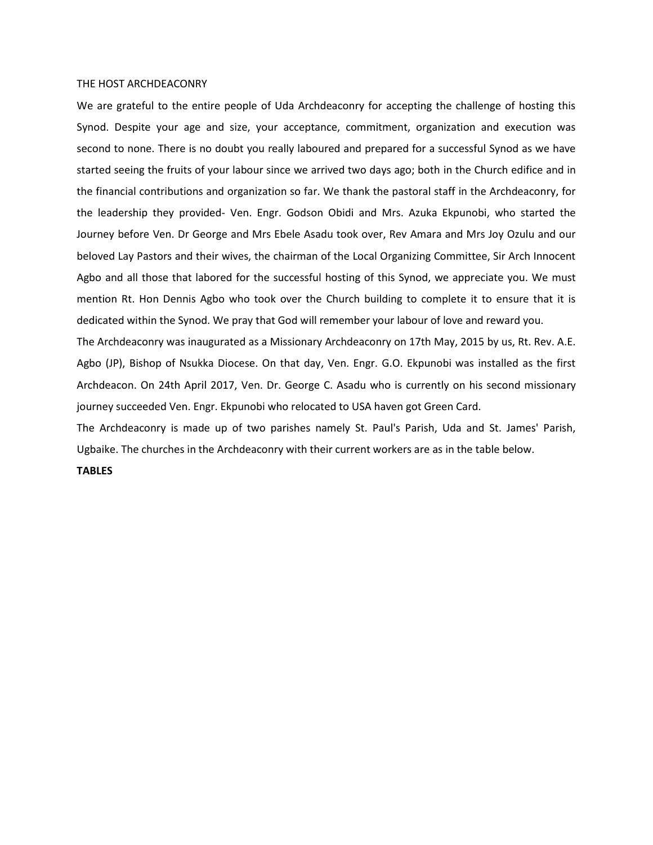#### THE HOST ARCHDEACONRY

We are grateful to the entire people of Uda Archdeaconry for accepting the challenge of hosting this Synod. Despite your age and size, your acceptance, commitment, organization and execution was second to none. There is no doubt you really laboured and prepared for a successful Synod as we have started seeing the fruits of your labour since we arrived two days ago; both in the Church edifice and in the financial contributions and organization so far. We thank the pastoral staff in the Archdeaconry, for the leadership they provided- Ven. Engr. Godson Obidi and Mrs. Azuka Ekpunobi, who started the Journey before Ven. Dr George and Mrs Ebele Asadu took over, Rev Amara and Mrs Joy Ozulu and our beloved Lay Pastors and their wives, the chairman of the Local Organizing Committee, Sir Arch Innocent Agbo and all those that labored for the successful hosting of this Synod, we appreciate you. We must mention Rt. Hon Dennis Agbo who took over the Church building to complete it to ensure that it is dedicated within the Synod. We pray that God will remember your labour of love and reward you.

The Archdeaconry was inaugurated as a Missionary Archdeaconry on 17th May, 2015 by us, Rt. Rev. A.E. Agbo (JP), Bishop of Nsukka Diocese. On that day, Ven. Engr. G.O. Ekpunobi was installed as the first Archdeacon. On 24th April 2017, Ven. Dr. George C. Asadu who is currently on his second missionary journey succeeded Ven. Engr. Ekpunobi who relocated to USA haven got Green Card.

The Archdeaconry is made up of two parishes namely St. Paul's Parish, Uda and St. James' Parish, Ugbaike. The churches in the Archdeaconry with their current workers are as in the table below.

### **TABLES**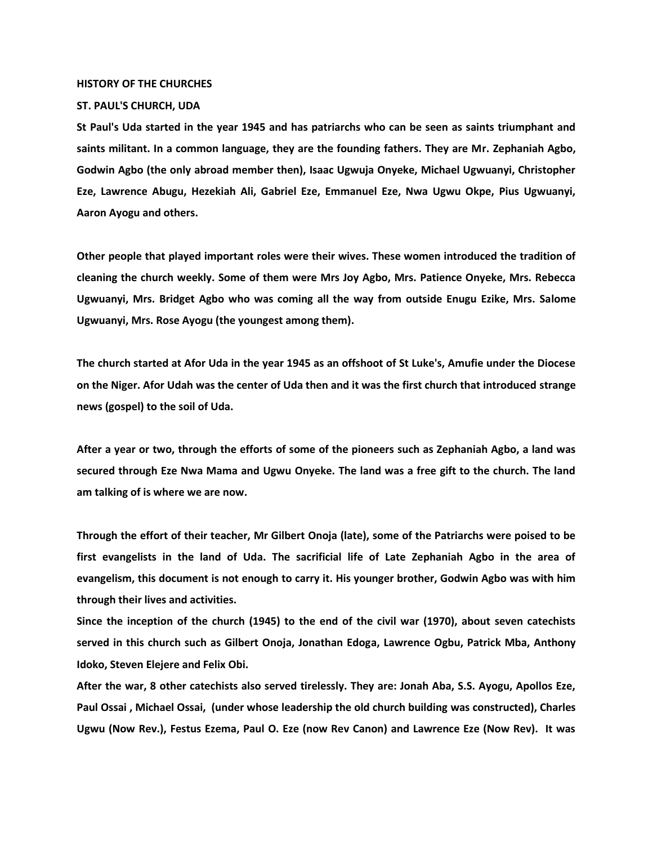#### **HISTORY OF THE CHURCHES**

# **ST. PAUL'S CHURCH, UDA**

**St Paul's Uda started in the year 1945 and has patriarchs who can be seen as saints triumphant and saints militant. In a common language, they are the founding fathers. They are Mr. Zephaniah Agbo, Godwin Agbo (the only abroad member then), Isaac Ugwuja Onyeke, Michael Ugwuanyi, Christopher Eze, Lawrence Abugu, Hezekiah Ali, Gabriel Eze, Emmanuel Eze, Nwa Ugwu Okpe, Pius Ugwuanyi, Aaron Ayogu and others.**

**Other people that played important roles were their wives. These women introduced the tradition of cleaning the church weekly. Some of them were Mrs Joy Agbo, Mrs. Patience Onyeke, Mrs. Rebecca Ugwuanyi, Mrs. Bridget Agbo who was coming all the way from outside Enugu Ezike, Mrs. Salome Ugwuanyi, Mrs. Rose Ayogu (the youngest among them).**

**The church started at Afor Uda in the year 1945 as an offshoot of St Luke's, Amufie under the Diocese on the Niger. Afor Udah was the center of Uda then and it was the first church that introduced strange news (gospel) to the soil of Uda.**

**After a year or two, through the efforts of some of the pioneers such as Zephaniah Agbo, a land was secured through Eze Nwa Mama and Ugwu Onyeke. The land was a free gift to the church. The land am talking of is where we are now.** 

**Through the effort of their teacher, Mr Gilbert Onoja (late), some of the Patriarchs were poised to be first evangelists in the land of Uda. The sacrificial life of Late Zephaniah Agbo in the area of evangelism, this document is not enough to carry it. His younger brother, Godwin Agbo was with him through their lives and activities.**

**Since the inception of the church (1945) to the end of the civil war (1970), about seven catechists served in this church such as Gilbert Onoja, Jonathan Edoga, Lawrence Ogbu, Patrick Mba, Anthony Idoko, Steven Elejere and Felix Obi.**

**After the war, 8 other catechists also served tirelessly. They are: Jonah Aba, S.S. Ayogu, Apollos Eze, Paul Ossai , Michael Ossai, (under whose leadership the old church building was constructed), Charles Ugwu (Now Rev.), Festus Ezema, Paul O. Eze (now Rev Canon) and Lawrence Eze (Now Rev). It was**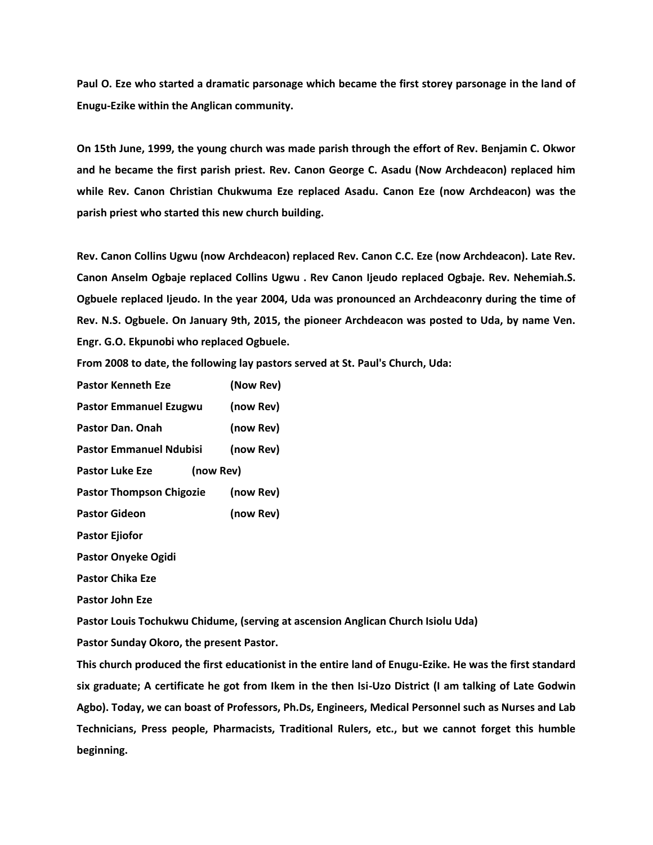**Paul O. Eze who started a dramatic parsonage which became the first storey parsonage in the land of Enugu-Ezike within the Anglican community.**

**On 15th June, 1999, the young church was made parish through the effort of Rev. Benjamin C. Okwor and he became the first parish priest. Rev. Canon George C. Asadu (Now Archdeacon) replaced him while Rev. Canon Christian Chukwuma Eze replaced Asadu. Canon Eze (now Archdeacon) was the parish priest who started this new church building.**

**Rev. Canon Collins Ugwu (now Archdeacon) replaced Rev. Canon C.C. Eze (now Archdeacon). Late Rev. Canon Anselm Ogbaje replaced Collins Ugwu . Rev Canon Ijeudo replaced Ogbaje. Rev. Nehemiah.S. Ogbuele replaced Ijeudo. In the year 2004, Uda was pronounced an Archdeaconry during the time of Rev. N.S. Ogbuele. On January 9th, 2015, the pioneer Archdeacon was posted to Uda, by name Ven. Engr. G.O. Ekpunobi who replaced Ogbuele.**

**From 2008 to date, the following lay pastors served at St. Paul's Church, Uda:**

**Pastor Kenneth Eze (Now Rev) Pastor Emmanuel Ezugwu (now Rev) Pastor Dan. Onah (now Rev) Pastor Emmanuel Ndubisi (now Rev) Pastor Luke Eze (now Rev) Pastor Thompson Chigozie (now Rev) Pastor Gideon (now Rev) Pastor Ejiofor Pastor Onyeke Ogidi Pastor Chika Eze Pastor John Eze**

**Pastor Louis Tochukwu Chidume, (serving at ascension Anglican Church Isiolu Uda)**

**Pastor Sunday Okoro, the present Pastor.**

**This church produced the first educationist in the entire land of Enugu-Ezike. He was the first standard six graduate; A certificate he got from Ikem in the then Isi-Uzo District (I am talking of Late Godwin Agbo). Today, we can boast of Professors, Ph.Ds, Engineers, Medical Personnel such as Nurses and Lab Technicians, Press people, Pharmacists, Traditional Rulers, etc., but we cannot forget this humble beginning.**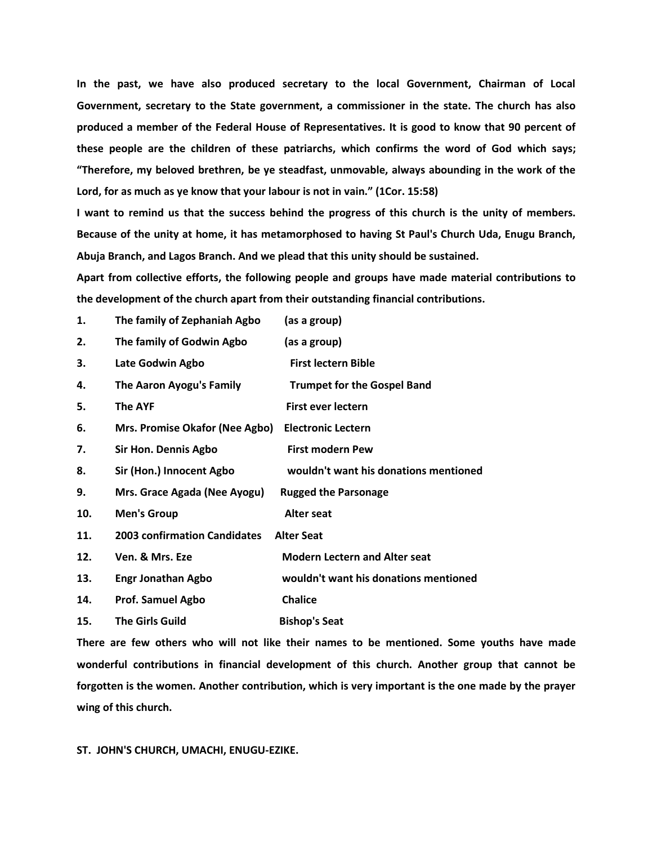**In the past, we have also produced secretary to the local Government, Chairman of Local Government, secretary to the State government, a commissioner in the state. The church has also produced a member of the Federal House of Representatives. It is good to know that 90 percent of these people are the children of these patriarchs, which confirms the word of God which says; "Therefore, my beloved brethren, be ye steadfast, unmovable, always abounding in the work of the Lord, for as much as ye know that your labour is not in vain." (1Cor. 15:58)** 

**I want to remind us that the success behind the progress of this church is the unity of members. Because of the unity at home, it has metamorphosed to having St Paul's Church Uda, Enugu Branch, Abuja Branch, and Lagos Branch. And we plead that this unity should be sustained.**

**Apart from collective efforts, the following people and groups have made material contributions to the development of the church apart from their outstanding financial contributions.**

| 1.  | The family of Zephaniah Agbo        | (as a group)                          |
|-----|-------------------------------------|---------------------------------------|
| 2.  | The family of Godwin Agbo           | (as a group)                          |
| 3.  | Late Godwin Agbo                    | <b>First lectern Bible</b>            |
| 4.  | The Aaron Ayogu's Family            | <b>Trumpet for the Gospel Band</b>    |
| 5.  | <b>The AYF</b>                      | <b>First ever lectern</b>             |
| 6.  | Mrs. Promise Okafor (Nee Agbo)      | <b>Electronic Lectern</b>             |
| 7.  | Sir Hon. Dennis Agbo                | <b>First modern Pew</b>               |
| 8.  | Sir (Hon.) Innocent Agbo            | wouldn't want his donations mentioned |
| 9.  | Mrs. Grace Agada (Nee Ayogu)        | <b>Rugged the Parsonage</b>           |
| 10. | <b>Men's Group</b>                  | <b>Alter seat</b>                     |
| 11. | <b>2003 confirmation Candidates</b> | <b>Alter Seat</b>                     |
| 12. | Ven. & Mrs. Eze                     | <b>Modern Lectern and Alter seat</b>  |
| 13. | <b>Engr Jonathan Agbo</b>           | wouldn't want his donations mentioned |
| 14. | <b>Prof. Samuel Agbo</b>            | <b>Chalice</b>                        |
| 15. | <b>The Girls Guild</b>              | <b>Bishop's Seat</b>                  |

**There are few others who will not like their names to be mentioned. Some youths have made wonderful contributions in financial development of this church. Another group that cannot be forgotten is the women. Another contribution, which is very important is the one made by the prayer wing of this church.**

**ST. JOHN'S CHURCH, UMACHI, ENUGU-EZIKE.**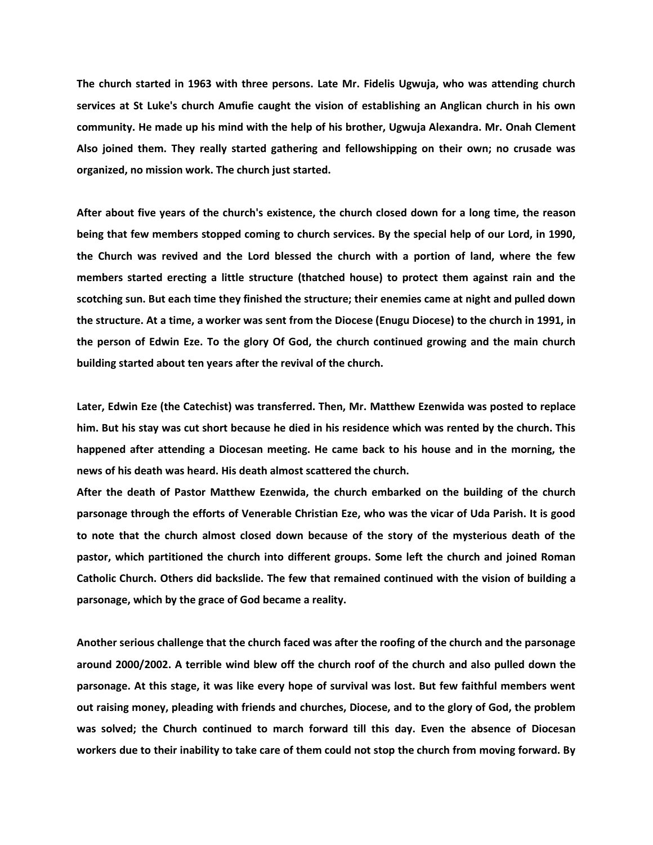**The church started in 1963 with three persons. Late Mr. Fidelis Ugwuja, who was attending church services at St Luke's church Amufie caught the vision of establishing an Anglican church in his own community. He made up his mind with the help of his brother, Ugwuja Alexandra. Mr. Onah Clement Also joined them. They really started gathering and fellowshipping on their own; no crusade was organized, no mission work. The church just started.**

**After about five years of the church's existence, the church closed down for a long time, the reason being that few members stopped coming to church services. By the special help of our Lord, in 1990, the Church was revived and the Lord blessed the church with a portion of land, where the few members started erecting a little structure (thatched house) to protect them against rain and the scotching sun. But each time they finished the structure; their enemies came at night and pulled down the structure. At a time, a worker was sent from the Diocese (Enugu Diocese) to the church in 1991, in the person of Edwin Eze. To the glory Of God, the church continued growing and the main church building started about ten years after the revival of the church.**

**Later, Edwin Eze (the Catechist) was transferred. Then, Mr. Matthew Ezenwida was posted to replace him. But his stay was cut short because he died in his residence which was rented by the church. This happened after attending a Diocesan meeting. He came back to his house and in the morning, the news of his death was heard. His death almost scattered the church.**

**After the death of Pastor Matthew Ezenwida, the church embarked on the building of the church parsonage through the efforts of Venerable Christian Eze, who was the vicar of Uda Parish. It is good to note that the church almost closed down because of the story of the mysterious death of the pastor, which partitioned the church into different groups. Some left the church and joined Roman Catholic Church. Others did backslide. The few that remained continued with the vision of building a parsonage, which by the grace of God became a reality.**

**Another serious challenge that the church faced was after the roofing of the church and the parsonage around 2000/2002. A terrible wind blew off the church roof of the church and also pulled down the parsonage. At this stage, it was like every hope of survival was lost. But few faithful members went out raising money, pleading with friends and churches, Diocese, and to the glory of God, the problem was solved; the Church continued to march forward till this day. Even the absence of Diocesan workers due to their inability to take care of them could not stop the church from moving forward. By**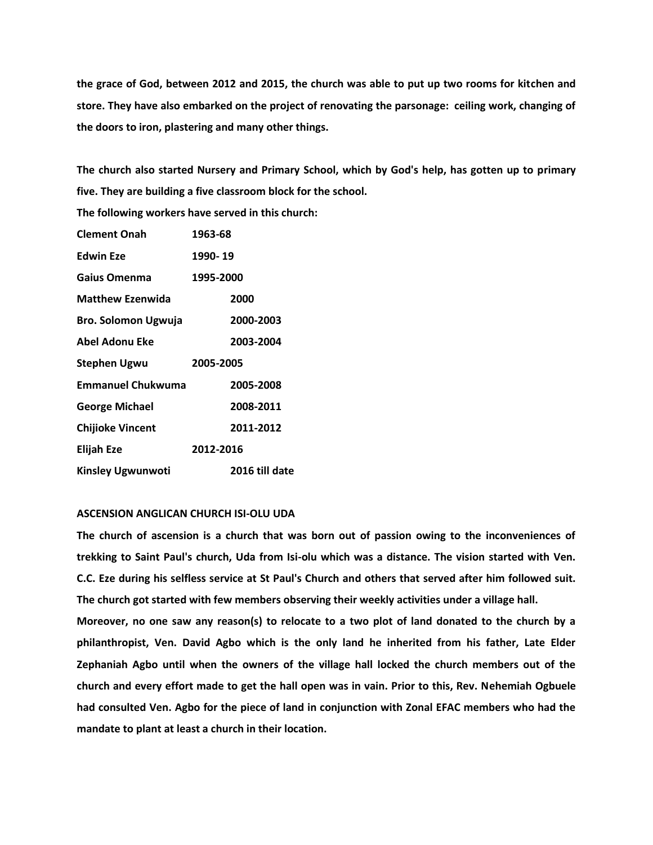**the grace of God, between 2012 and 2015, the church was able to put up two rooms for kitchen and store. They have also embarked on the project of renovating the parsonage: ceiling work, changing of the doors to iron, plastering and many other things.**

**The church also started Nursery and Primary School, which by God's help, has gotten up to primary five. They are building a five classroom block for the school.** 

**The following workers have served in this church:**

| <b>Clement Onah</b>      | 1963-68        |
|--------------------------|----------------|
| <b>Edwin Eze</b>         | 1990-19        |
| Gaius Omenma             | 1995-2000      |
| <b>Matthew Ezenwida</b>  | 2000           |
| Bro. Solomon Ugwuja      | 2000-2003      |
| Abel Adonu Eke           | 2003-2004      |
| Stephen Ugwu             | 2005-2005      |
| <b>Emmanuel Chukwuma</b> | 2005-2008      |
| <b>George Michael</b>    | 2008-2011      |
| <b>Chijioke Vincent</b>  | 2011-2012      |
| <b>Elijah Eze</b>        | 2012-2016      |
| <b>Kinsley Ugwunwoti</b> | 2016 till date |

# **ASCENSION ANGLICAN CHURCH ISI-OLU UDA**

**The church of ascension is a church that was born out of passion owing to the inconveniences of trekking to Saint Paul's church, Uda from Isi-olu which was a distance. The vision started with Ven. C.C. Eze during his selfless service at St Paul's Church and others that served after him followed suit. The church got started with few members observing their weekly activities under a village hall.**

**Moreover, no one saw any reason(s) to relocate to a two plot of land donated to the church by a philanthropist, Ven. David Agbo which is the only land he inherited from his father, Late Elder Zephaniah Agbo until when the owners of the village hall locked the church members out of the church and every effort made to get the hall open was in vain. Prior to this, Rev. Nehemiah Ogbuele had consulted Ven. Agbo for the piece of land in conjunction with Zonal EFAC members who had the mandate to plant at least a church in their location.**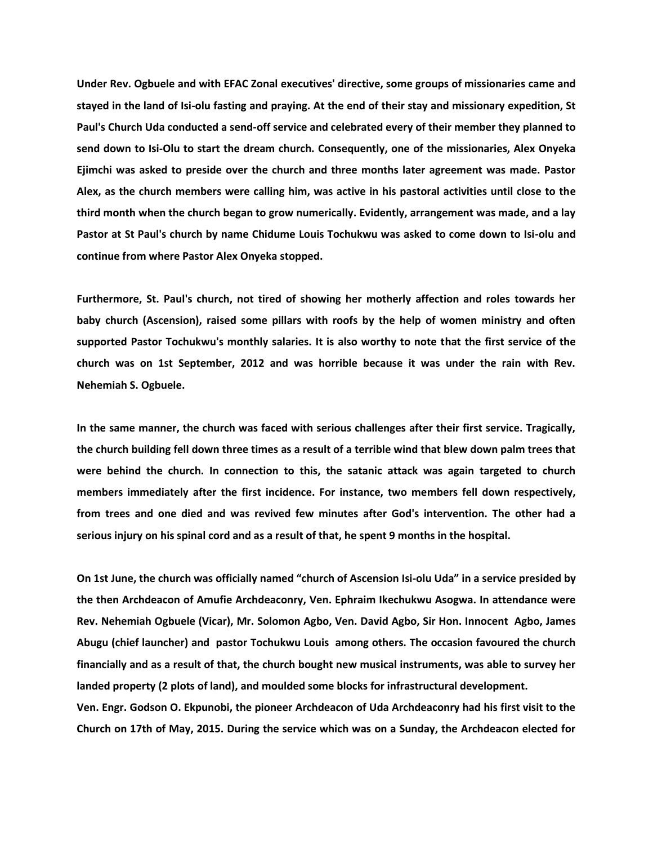**Under Rev. Ogbuele and with EFAC Zonal executives' directive, some groups of missionaries came and stayed in the land of Isi-olu fasting and praying. At the end of their stay and missionary expedition, St Paul's Church Uda conducted a send-off service and celebrated every of their member they planned to send down to Isi-Olu to start the dream church. Consequently, one of the missionaries, Alex Onyeka Ejimchi was asked to preside over the church and three months later agreement was made. Pastor Alex, as the church members were calling him, was active in his pastoral activities until close to the third month when the church began to grow numerically. Evidently, arrangement was made, and a lay Pastor at St Paul's church by name Chidume Louis Tochukwu was asked to come down to Isi-olu and continue from where Pastor Alex Onyeka stopped.**

**Furthermore, St. Paul's church, not tired of showing her motherly affection and roles towards her baby church (Ascension), raised some pillars with roofs by the help of women ministry and often supported Pastor Tochukwu's monthly salaries. It is also worthy to note that the first service of the church was on 1st September, 2012 and was horrible because it was under the rain with Rev. Nehemiah S. Ogbuele.**

**In the same manner, the church was faced with serious challenges after their first service. Tragically, the church building fell down three times as a result of a terrible wind that blew down palm trees that were behind the church. In connection to this, the satanic attack was again targeted to church members immediately after the first incidence. For instance, two members fell down respectively, from trees and one died and was revived few minutes after God's intervention. The other had a serious injury on his spinal cord and as a result of that, he spent 9 months in the hospital.**

**On 1st June, the church was officially named "church of Ascension Isi-olu Uda" in a service presided by the then Archdeacon of Amufie Archdeaconry, Ven. Ephraim Ikechukwu Asogwa. In attendance were Rev. Nehemiah Ogbuele (Vicar), Mr. Solomon Agbo, Ven. David Agbo, Sir Hon. Innocent Agbo, James Abugu (chief launcher) and pastor Tochukwu Louis among others. The occasion favoured the church financially and as a result of that, the church bought new musical instruments, was able to survey her landed property (2 plots of land), and moulded some blocks for infrastructural development. Ven. Engr. Godson O. Ekpunobi, the pioneer Archdeacon of Uda Archdeaconry had his first visit to the** 

**Church on 17th of May, 2015. During the service which was on a Sunday, the Archdeacon elected for**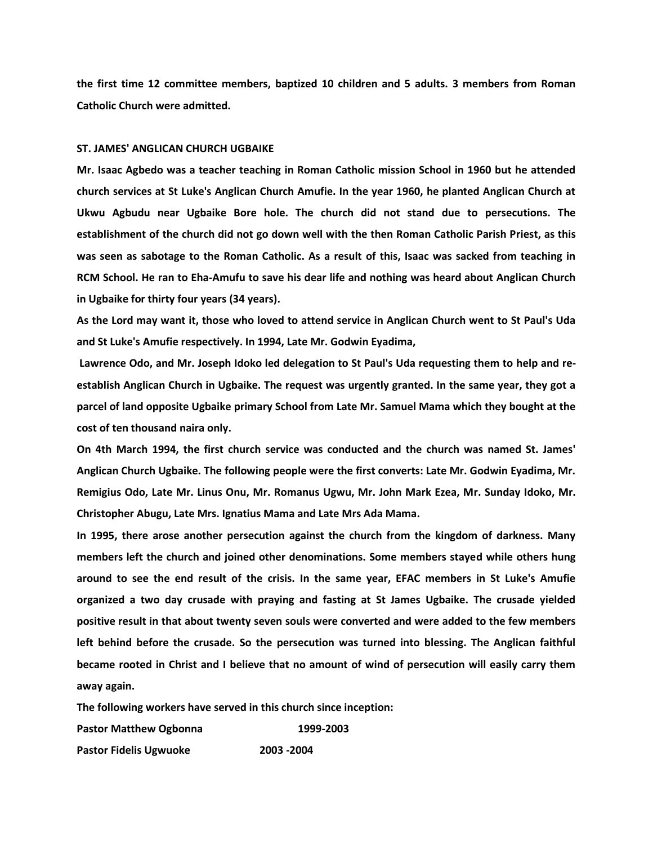**the first time 12 committee members, baptized 10 children and 5 adults. 3 members from Roman Catholic Church were admitted.**

# **ST. JAMES' ANGLICAN CHURCH UGBAIKE**

**Mr. Isaac Agbedo was a teacher teaching in Roman Catholic mission School in 1960 but he attended church services at St Luke's Anglican Church Amufie. In the year 1960, he planted Anglican Church at Ukwu Agbudu near Ugbaike Bore hole. The church did not stand due to persecutions. The establishment of the church did not go down well with the then Roman Catholic Parish Priest, as this was seen as sabotage to the Roman Catholic. As a result of this, Isaac was sacked from teaching in RCM School. He ran to Eha-Amufu to save his dear life and nothing was heard about Anglican Church in Ugbaike for thirty four years (34 years).**

**As the Lord may want it, those who loved to attend service in Anglican Church went to St Paul's Uda and St Luke's Amufie respectively. In 1994, Late Mr. Godwin Eyadima,**

**Lawrence Odo, and Mr. Joseph Idoko led delegation to St Paul's Uda requesting them to help and reestablish Anglican Church in Ugbaike. The request was urgently granted. In the same year, they got a parcel of land opposite Ugbaike primary School from Late Mr. Samuel Mama which they bought at the cost of ten thousand naira only.**

**On 4th March 1994, the first church service was conducted and the church was named St. James' Anglican Church Ugbaike. The following people were the first converts: Late Mr. Godwin Eyadima, Mr. Remigius Odo, Late Mr. Linus Onu, Mr. Romanus Ugwu, Mr. John Mark Ezea, Mr. Sunday Idoko, Mr. Christopher Abugu, Late Mrs. Ignatius Mama and Late Mrs Ada Mama.**

**In 1995, there arose another persecution against the church from the kingdom of darkness. Many members left the church and joined other denominations. Some members stayed while others hung around to see the end result of the crisis. In the same year, EFAC members in St Luke's Amufie organized a two day crusade with praying and fasting at St James Ugbaike. The crusade yielded positive result in that about twenty seven souls were converted and were added to the few members left behind before the crusade. So the persecution was turned into blessing. The Anglican faithful became rooted in Christ and I believe that no amount of wind of persecution will easily carry them away again.**

**The following workers have served in this church since inception:**

**Pastor Matthew Ogbonna 1999-2003**

**Pastor Fidelis Ugwuoke 2003 -2004**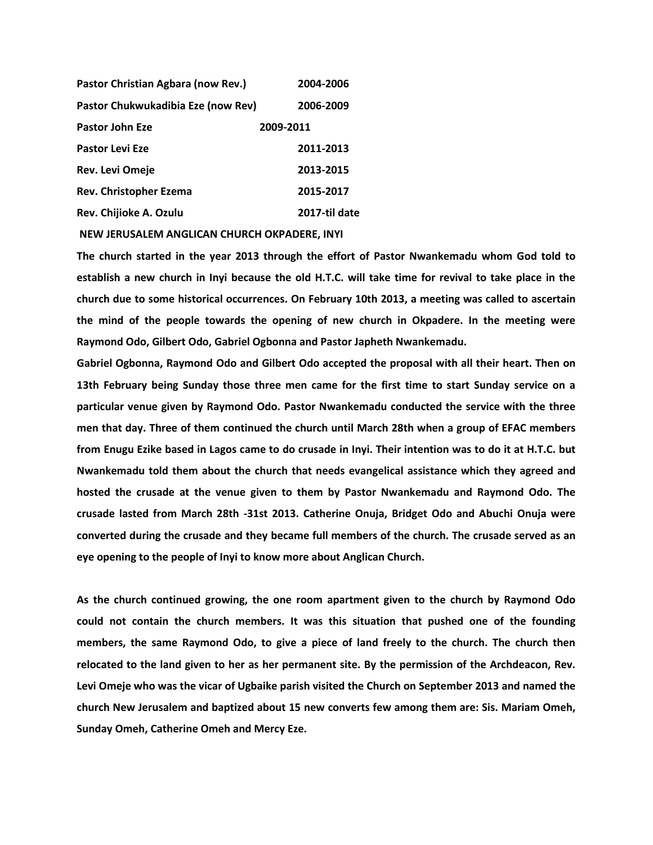| Pastor Christian Agbara (now Rev.) | 2004-2006     |
|------------------------------------|---------------|
| Pastor Chukwukadibia Eze (now Rev) | 2006-2009     |
| Pastor John Eze                    | 2009-2011     |
| <b>Pastor Levi Eze</b>             | 2011-2013     |
| Rev. Levi Omeje                    | 2013-2015     |
| Rev. Christopher Ezema             | 2015-2017     |
| Rev. Chijioke A. Ozulu             | 2017-til date |
|                                    |               |

**NEW JERUSALEM ANGLICAN CHURCH OKPADERE, INYI**

**The church started in the year 2013 through the effort of Pastor Nwankemadu whom God told to establish a new church in Inyi because the old H.T.C. will take time for revival to take place in the church due to some historical occurrences. On February 10th 2013, a meeting was called to ascertain the mind of the people towards the opening of new church in Okpadere. In the meeting were Raymond Odo, Gilbert Odo, Gabriel Ogbonna and Pastor Japheth Nwankemadu.**

**Gabriel Ogbonna, Raymond Odo and Gilbert Odo accepted the proposal with all their heart. Then on 13th February being Sunday those three men came for the first time to start Sunday service on a particular venue given by Raymond Odo. Pastor Nwankemadu conducted the service with the three men that day. Three of them continued the church until March 28th when a group of EFAC members from Enugu Ezike based in Lagos came to do crusade in Inyi. Their intention was to do it at H.T.C. but Nwankemadu told them about the church that needs evangelical assistance which they agreed and hosted the crusade at the venue given to them by Pastor Nwankemadu and Raymond Odo. The crusade lasted from March 28th -31st 2013. Catherine Onuja, Bridget Odo and Abuchi Onuja were converted during the crusade and they became full members of the church. The crusade served as an eye opening to the people of Inyi to know more about Anglican Church.**

**As the church continued growing, the one room apartment given to the church by Raymond Odo could not contain the church members. It was this situation that pushed one of the founding members, the same Raymond Odo, to give a piece of land freely to the church. The church then relocated to the land given to her as her permanent site. By the permission of the Archdeacon, Rev. Levi Omeje who was the vicar of Ugbaike parish visited the Church on September 2013 and named the church New Jerusalem and baptized about 15 new converts few among them are: Sis. Mariam Omeh, Sunday Omeh, Catherine Omeh and Mercy Eze.**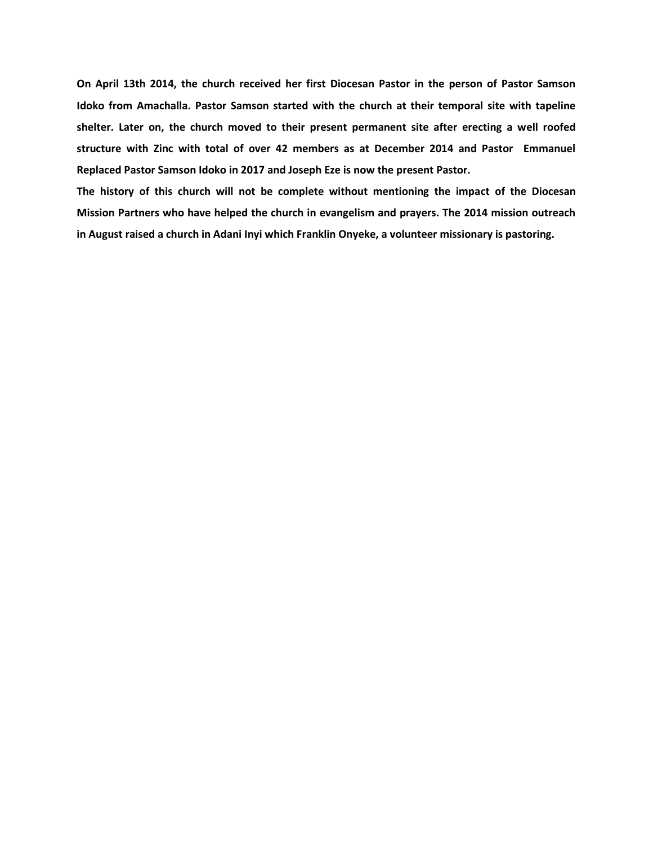**On April 13th 2014, the church received her first Diocesan Pastor in the person of Pastor Samson Idoko from Amachalla. Pastor Samson started with the church at their temporal site with tapeline shelter. Later on, the church moved to their present permanent site after erecting a well roofed structure with Zinc with total of over 42 members as at December 2014 and Pastor Emmanuel Replaced Pastor Samson Idoko in 2017 and Joseph Eze is now the present Pastor.**

**The history of this church will not be complete without mentioning the impact of the Diocesan Mission Partners who have helped the church in evangelism and prayers. The 2014 mission outreach in August raised a church in Adani Inyi which Franklin Onyeke, a volunteer missionary is pastoring.**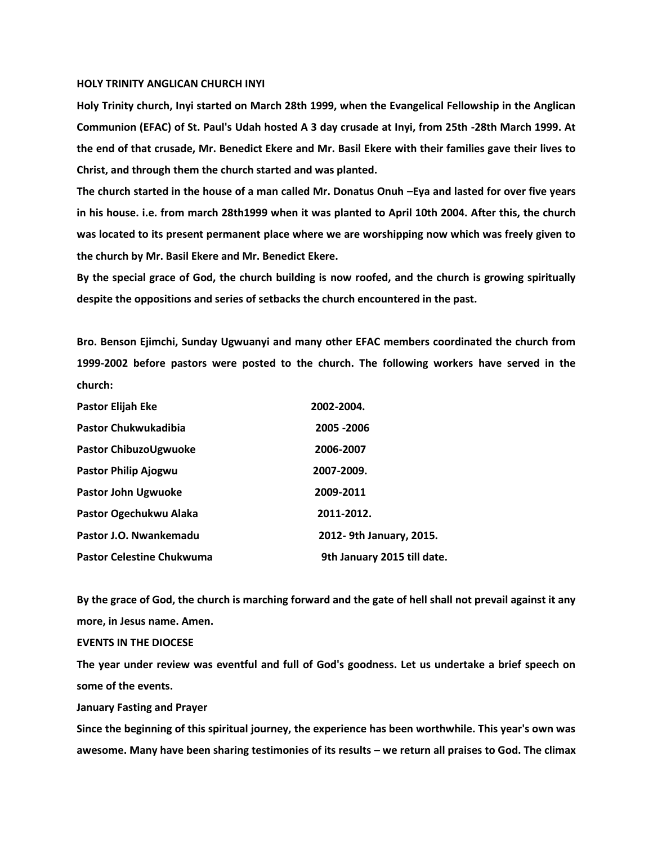#### **HOLY TRINITY ANGLICAN CHURCH INYI**

**Holy Trinity church, Inyi started on March 28th 1999, when the Evangelical Fellowship in the Anglican Communion (EFAC) of St. Paul's Udah hosted A 3 day crusade at Inyi, from 25th -28th March 1999. At the end of that crusade, Mr. Benedict Ekere and Mr. Basil Ekere with their families gave their lives to Christ, and through them the church started and was planted.**

**The church started in the house of a man called Mr. Donatus Onuh –Eya and lasted for over five years in his house. i.e. from march 28th1999 when it was planted to April 10th 2004. After this, the church was located to its present permanent place where we are worshipping now which was freely given to the church by Mr. Basil Ekere and Mr. Benedict Ekere.**

**By the special grace of God, the church building is now roofed, and the church is growing spiritually despite the oppositions and series of setbacks the church encountered in the past.**

**Bro. Benson Ejimchi, Sunday Ugwuanyi and many other EFAC members coordinated the church from 1999-2002 before pastors were posted to the church. The following workers have served in the church:**

| Pastor Elijah Eke                | 2002-2004.                  |
|----------------------------------|-----------------------------|
| <b>Pastor Chukwukadibia</b>      | 2005 - 2006                 |
| Pastor ChibuzoUgwuoke            | 2006-2007                   |
| Pastor Philip Ajogwu             | 2007-2009.                  |
| <b>Pastor John Ugwuoke</b>       | 2009-2011                   |
| Pastor Ogechukwu Alaka           | 2011-2012.                  |
| Pastor J.O. Nwankemadu           | 2012-9th January, 2015.     |
| <b>Pastor Celestine Chukwuma</b> | 9th January 2015 till date. |

**By the grace of God, the church is marching forward and the gate of hell shall not prevail against it any more, in Jesus name. Amen.**

# **EVENTS IN THE DIOCESE**

**The year under review was eventful and full of God's goodness. Let us undertake a brief speech on some of the events.** 

**January Fasting and Prayer**

**Since the beginning of this spiritual journey, the experience has been worthwhile. This year's own was awesome. Many have been sharing testimonies of its results – we return all praises to God. The climax**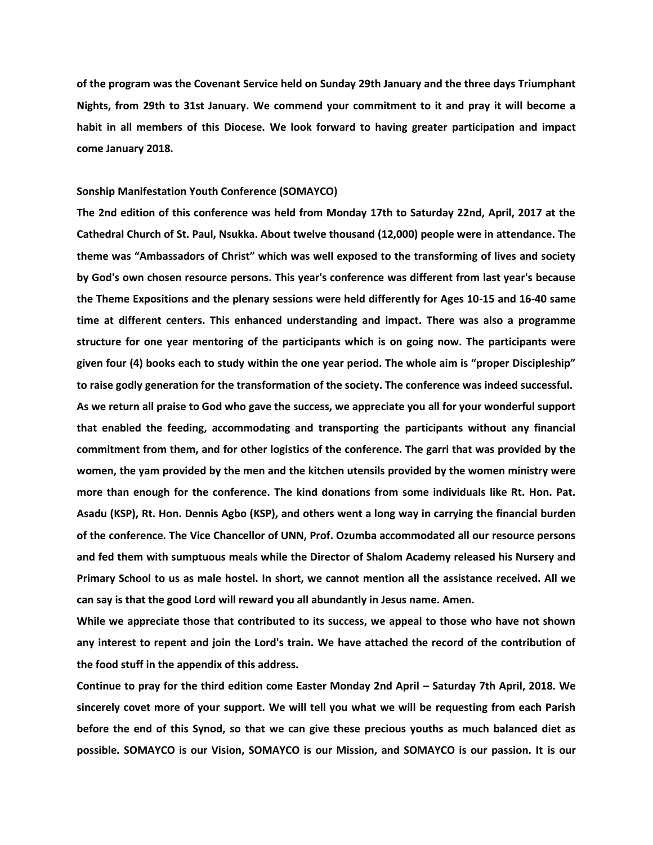**of the program was the Covenant Service held on Sunday 29th January and the three days Triumphant Nights, from 29th to 31st January. We commend your commitment to it and pray it will become a habit in all members of this Diocese. We look forward to having greater participation and impact come January 2018.**

#### **Sonship Manifestation Youth Conference (SOMAYCO)**

**The 2nd edition of this conference was held from Monday 17th to Saturday 22nd, April, 2017 at the Cathedral Church of St. Paul, Nsukka. About twelve thousand (12,000) people were in attendance. The theme was "Ambassadors of Christ" which was well exposed to the transforming of lives and society by God's own chosen resource persons. This year's conference was different from last year's because the Theme Expositions and the plenary sessions were held differently for Ages 10-15 and 16-40 same time at different centers. This enhanced understanding and impact. There was also a programme structure for one year mentoring of the participants which is on going now. The participants were given four (4) books each to study within the one year period. The whole aim is "proper Discipleship" to raise godly generation for the transformation of the society. The conference was indeed successful. As we return all praise to God who gave the success, we appreciate you all for your wonderful support that enabled the feeding, accommodating and transporting the participants without any financial commitment from them, and for other logistics of the conference. The garri that was provided by the women, the yam provided by the men and the kitchen utensils provided by the women ministry were more than enough for the conference. The kind donations from some individuals like Rt. Hon. Pat. Asadu (KSP), Rt. Hon. Dennis Agbo (KSP), and others went a long way in carrying the financial burden of the conference. The Vice Chancellor of UNN, Prof. Ozumba accommodated all our resource persons and fed them with sumptuous meals while the Director of Shalom Academy released his Nursery and Primary School to us as male hostel. In short, we cannot mention all the assistance received. All we can say is that the good Lord will reward you all abundantly in Jesus name. Amen.**

**While we appreciate those that contributed to its success, we appeal to those who have not shown any interest to repent and join the Lord's train. We have attached the record of the contribution of the food stuff in the appendix of this address.**

**Continue to pray for the third edition come Easter Monday 2nd April – Saturday 7th April, 2018. We sincerely covet more of your support. We will tell you what we will be requesting from each Parish before the end of this Synod, so that we can give these precious youths as much balanced diet as possible. SOMAYCO is our Vision, SOMAYCO is our Mission, and SOMAYCO is our passion. It is our**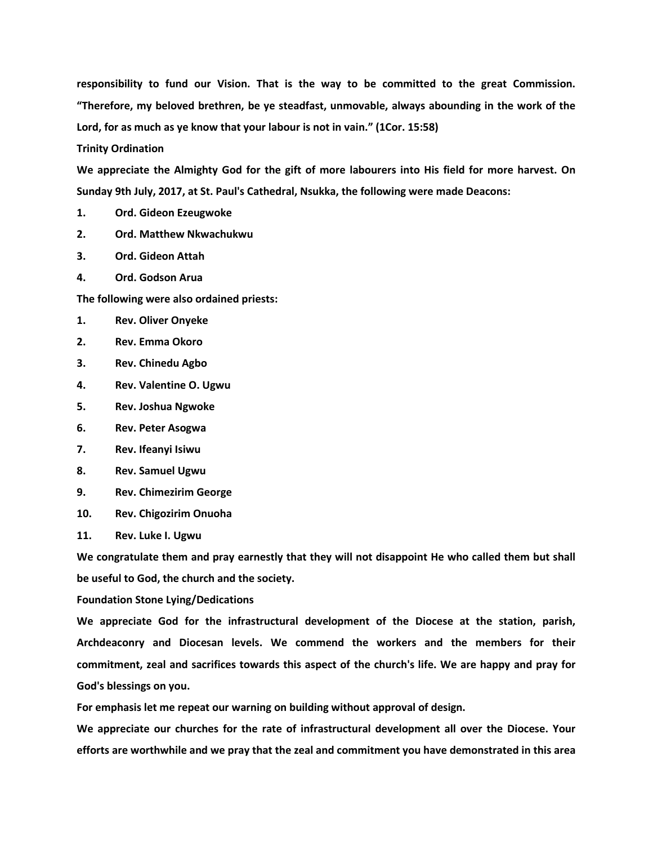**responsibility to fund our Vision. That is the way to be committed to the great Commission. "Therefore, my beloved brethren, be ye steadfast, unmovable, always abounding in the work of the Lord, for as much as ye know that your labour is not in vain." (1Cor. 15:58)** 

**Trinity Ordination**

**We appreciate the Almighty God for the gift of more labourers into His field for more harvest. On Sunday 9th July, 2017, at St. Paul's Cathedral, Nsukka, the following were made Deacons:**

- **1. Ord. Gideon Ezeugwoke**
- **2. Ord. Matthew Nkwachukwu**
- **3. Ord. Gideon Attah**
- **4. Ord. Godson Arua**

**The following were also ordained priests:**

- **1. Rev. Oliver Onyeke**
- **2. Rev. Emma Okoro**
- **3. Rev. Chinedu Agbo**
- **4. Rev. Valentine O. Ugwu**
- **5. Rev. Joshua Ngwoke**
- **6. Rev. Peter Asogwa**
- **7. Rev. Ifeanyi Isiwu**
- **8. Rev. Samuel Ugwu**
- **9. Rev. Chimezirim George**
- **10. Rev. Chigozirim Onuoha**
- **11. Rev. Luke I. Ugwu**

**We congratulate them and pray earnestly that they will not disappoint He who called them but shall be useful to God, the church and the society.**

**Foundation Stone Lying/Dedications**

**We appreciate God for the infrastructural development of the Diocese at the station, parish, Archdeaconry and Diocesan levels. We commend the workers and the members for their commitment, zeal and sacrifices towards this aspect of the church's life. We are happy and pray for God's blessings on you.**

**For emphasis let me repeat our warning on building without approval of design.**

**We appreciate our churches for the rate of infrastructural development all over the Diocese. Your efforts are worthwhile and we pray that the zeal and commitment you have demonstrated in this area**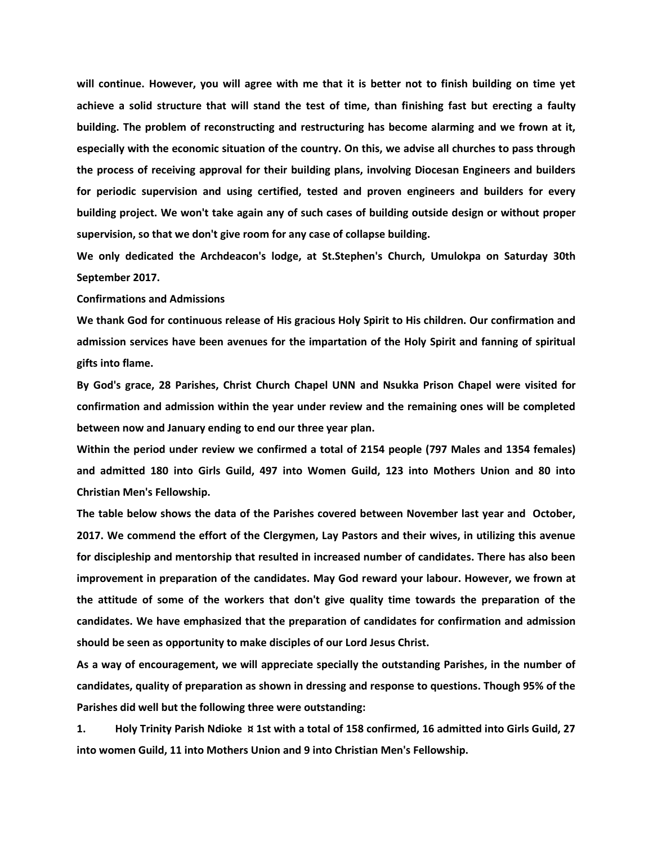**will continue. However, you will agree with me that it is better not to finish building on time yet achieve a solid structure that will stand the test of time, than finishing fast but erecting a faulty building. The problem of reconstructing and restructuring has become alarming and we frown at it, especially with the economic situation of the country. On this, we advise all churches to pass through the process of receiving approval for their building plans, involving Diocesan Engineers and builders for periodic supervision and using certified, tested and proven engineers and builders for every building project. We won't take again any of such cases of building outside design or without proper supervision, so that we don't give room for any case of collapse building.**

**We only dedicated the Archdeacon's lodge, at St.Stephen's Church, Umulokpa on Saturday 30th September 2017.**

**Confirmations and Admissions**

**We thank God for continuous release of His gracious Holy Spirit to His children. Our confirmation and admission services have been avenues for the impartation of the Holy Spirit and fanning of spiritual gifts into flame.** 

**By God's grace, 28 Parishes, Christ Church Chapel UNN and Nsukka Prison Chapel were visited for confirmation and admission within the year under review and the remaining ones will be completed between now and January ending to end our three year plan.** 

**Within the period under review we confirmed a total of 2154 people (797 Males and 1354 females) and admitted 180 into Girls Guild, 497 into Women Guild, 123 into Mothers Union and 80 into Christian Men's Fellowship.**

**The table below shows the data of the Parishes covered between November last year and October, 2017. We commend the effort of the Clergymen, Lay Pastors and their wives, in utilizing this avenue for discipleship and mentorship that resulted in increased number of candidates. There has also been improvement in preparation of the candidates. May God reward your labour. However, we frown at the attitude of some of the workers that don't give quality time towards the preparation of the candidates. We have emphasized that the preparation of candidates for confirmation and admission should be seen as opportunity to make disciples of our Lord Jesus Christ.**

**As a way of encouragement, we will appreciate specially the outstanding Parishes, in the number of candidates, quality of preparation as shown in dressing and response to questions. Though 95% of the Parishes did well but the following three were outstanding:**

**1. Holy Trinity Parish Ndioke ¤ 1st with a total of 158 confirmed, 16 admitted into Girls Guild, 27 into women Guild, 11 into Mothers Union and 9 into Christian Men's Fellowship.**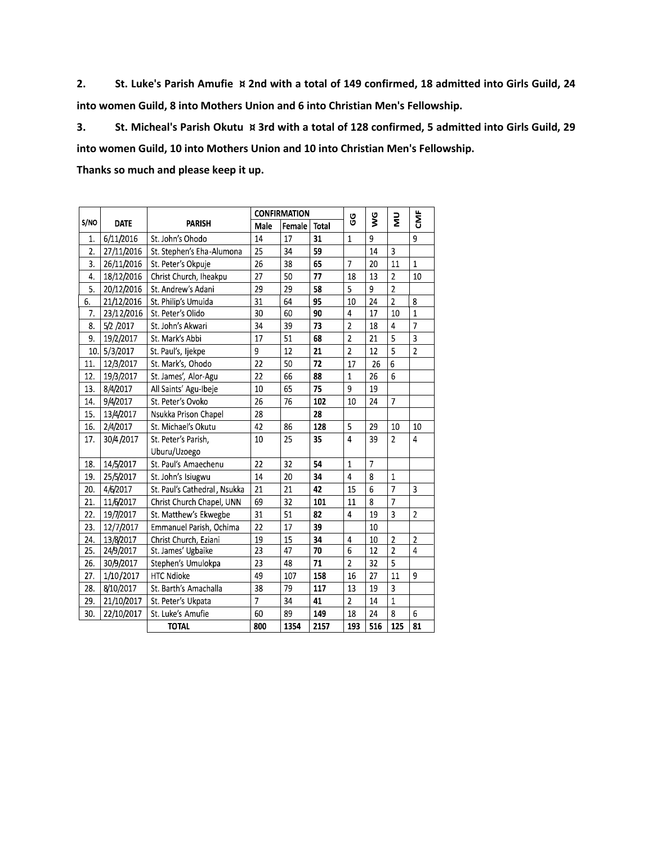**2. St. Luke's Parish Amufie ¤ 2nd with a total of 149 confirmed, 18 admitted into Girls Guild, 24 into women Guild, 8 into Mothers Union and 6 into Christian Men's Fellowship.**

**3. St. Micheal's Parish Okutu ¤ 3rd with a total of 128 confirmed, 5 admitted into Girls Guild, 29 into women Guild, 10 into Mothers Union and 10 into Christian Men's Fellowship.**

**Thanks so much and please keep it up.**

|      |             |                              | <b>CONFIRMATION</b> |        |              | 9G             | Š              | Ξ              | Ë              |
|------|-------------|------------------------------|---------------------|--------|--------------|----------------|----------------|----------------|----------------|
| S/NO | <b>DATE</b> | <b>PARISH</b>                | Male                | Female | <b>Total</b> |                |                |                |                |
| 1.   | 6/11/2016   | St. John's Ohodo             | 14                  | 17     | 31           | $\mathbf{1}$   | 9              |                | 9              |
| 2.   | 27/11/2016  | St. Stephen's Eha-Alumona    | 25                  | 34     | 59           |                | 14             | 3              |                |
| 3.   | 26/11/2016  | St. Peter's Okpuje           | 26                  | 38     | 65           | 7              | 20             | 11             | $\mathbf{1}$   |
| 4.   | 18/12/2016  | Christ Church, Iheakpu       | 27                  | 50     | 77           | 18             | 13             | $\overline{c}$ | 10             |
| 5.   | 20/12/2016  | St. Andrew's Adani           | 29                  | 29     | 58           | 5              | 9              | $\overline{2}$ |                |
| 6.   | 21/12/2016  | St. Philip's Umuida          | 31                  | 64     | 95           | 10             | 24             | $\overline{2}$ | 8              |
| 7.   | 23/12/2016  | St. Peter's Olido            | 30                  | 60     | 90           | $\overline{4}$ | 17             | 10             | $\overline{1}$ |
| 8.   | 5/2 /2017   | St. John's Akwari            | 34                  | 39     | 73           | $\overline{2}$ | 18             | 4              | $\overline{7}$ |
| 9.   | 19/2/2017   | St. Mark's Abbi              | 17                  | 51     | 68           | $\overline{2}$ | 21             | 5              | 3              |
| 10.  | 5/3/2017    | St. Paul's, Ijekpe           | 9                   | 12     | 21           | $\overline{2}$ | 12             | 5              | $\overline{2}$ |
| 11.  | 12/3/2017   | St. Mark's, Ohodo            | 22                  | 50     | 72           | 17             | 26             | 6              |                |
| 12.  | 19/3/2017   | St. James', Alor-Agu         | 22                  | 66     | 88           | $\mathbf{1}$   | 26             | 6              |                |
| 13.  | 8/4/2017    | All Saints' Agu-Ibeje        | 10                  | 65     | 75           | 9              | 19             |                |                |
| 14.  | 9/4/2017    | St. Peter's Ovoko            | 26                  | 76     | 102          | 10             | 24             | $\overline{7}$ |                |
| 15.  | 13/4/2017   | Nsukka Prison Chapel         | 28                  |        | 28           |                |                |                |                |
| 16.  | 2/4/2017    | St. Michael's Okutu          | 42                  | 86     | 128          | 5              | 29             | 10             | 10             |
| 17.  | 30/4/2017   | St. Peter's Parish,          | 10                  | 25     | 35           | $\overline{4}$ | 39             | $\overline{2}$ | $\overline{4}$ |
|      |             | Uburu/Uzoego                 |                     |        |              |                |                |                |                |
| 18.  | 14/5/2017   | St. Paul's Amaechenu         | 22                  | 32     | 54           | $\mathbf{1}$   | $\overline{7}$ |                |                |
| 19.  | 25/5/2017   | St. John's Isiugwu           | 14                  | 20     | 34           | $\overline{4}$ | 8              | $\mathbf{1}$   |                |
| 20.  | 4/6/2017    | St. Paul's Cathedral, Nsukka | 21                  | 21     | 42           | 15             | 6              | $\overline{7}$ | 3              |
| 21.  | 11/6/2017   | Christ Church Chapel, UNN    | 69                  | 32     | 101          | 11             | 8              | $\overline{7}$ |                |
| 22.  | 19/7/2017   | St. Matthew's Ekwegbe        | 31                  | 51     | 82           | $\overline{4}$ | 19             | $\overline{3}$ | $\overline{2}$ |
| 23.  | 12/7/2017   | Emmanuel Parish, Ochima      | 22                  | 17     | 39           |                | 10             |                |                |
| 24.  | 13/8/2017   | Christ Church, Eziani        | 19                  | 15     | 34           | $\overline{4}$ | 10             | $\overline{2}$ | $\overline{2}$ |
| 25.  | 24/9/2017   | St. James' Ugbaike           | 23                  | 47     | 70           | 6              | 12             | $\overline{2}$ | $\overline{4}$ |
| 26.  | 30/9/2017   | Stephen's Umulokpa           | 23                  | 48     | 71           | $\overline{2}$ | 32             | 5              |                |
| 27.  | 1/10/2017   | <b>HTC Ndioke</b>            | 49                  | 107    | 158          | 16             | 27             | 11             | 9              |
| 28.  | 8/10/2017   | St. Barth's Amachalla        | 38                  | 79     | 117          | 13             | 19             | 3              |                |
| 29.  | 21/10/2017  | St. Peter's Ukpata           | $\overline{7}$      | 34     | 41           | $\overline{a}$ | 14             | $\mathbf{1}$   |                |
| 30.  | 22/10/2017  | St. Luke's Amufie            | 60                  | 89     | 149          | 18             | 24             | 8              | 6              |
|      |             | <b>TOTAL</b>                 | 800                 | 1354   | 2157         | 193            | 516            | 125            | 81             |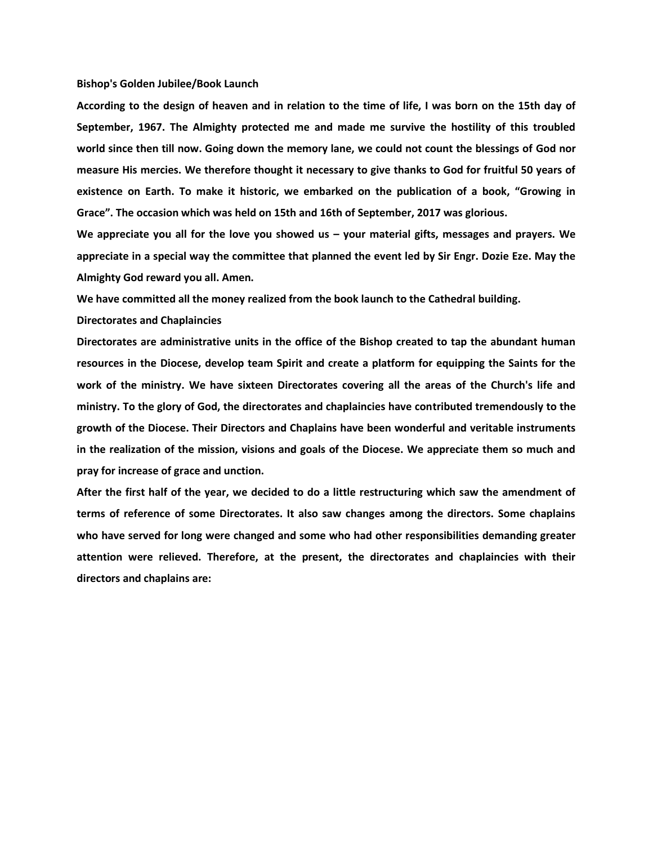#### **Bishop's Golden Jubilee/Book Launch**

**According to the design of heaven and in relation to the time of life, I was born on the 15th day of September, 1967. The Almighty protected me and made me survive the hostility of this troubled world since then till now. Going down the memory lane, we could not count the blessings of God nor measure His mercies. We therefore thought it necessary to give thanks to God for fruitful 50 years of existence on Earth. To make it historic, we embarked on the publication of a book, "Growing in Grace". The occasion which was held on 15th and 16th of September, 2017 was glorious.** 

**We appreciate you all for the love you showed us – your material gifts, messages and prayers. We appreciate in a special way the committee that planned the event led by Sir Engr. Dozie Eze. May the Almighty God reward you all. Amen.**

**We have committed all the money realized from the book launch to the Cathedral building.**

### **Directorates and Chaplaincies**

**Directorates are administrative units in the office of the Bishop created to tap the abundant human resources in the Diocese, develop team Spirit and create a platform for equipping the Saints for the work of the ministry. We have sixteen Directorates covering all the areas of the Church's life and ministry. To the glory of God, the directorates and chaplaincies have contributed tremendously to the growth of the Diocese. Their Directors and Chaplains have been wonderful and veritable instruments in the realization of the mission, visions and goals of the Diocese. We appreciate them so much and pray for increase of grace and unction.**

**After the first half of the year, we decided to do a little restructuring which saw the amendment of terms of reference of some Directorates. It also saw changes among the directors. Some chaplains who have served for long were changed and some who had other responsibilities demanding greater attention were relieved. Therefore, at the present, the directorates and chaplaincies with their directors and chaplains are:**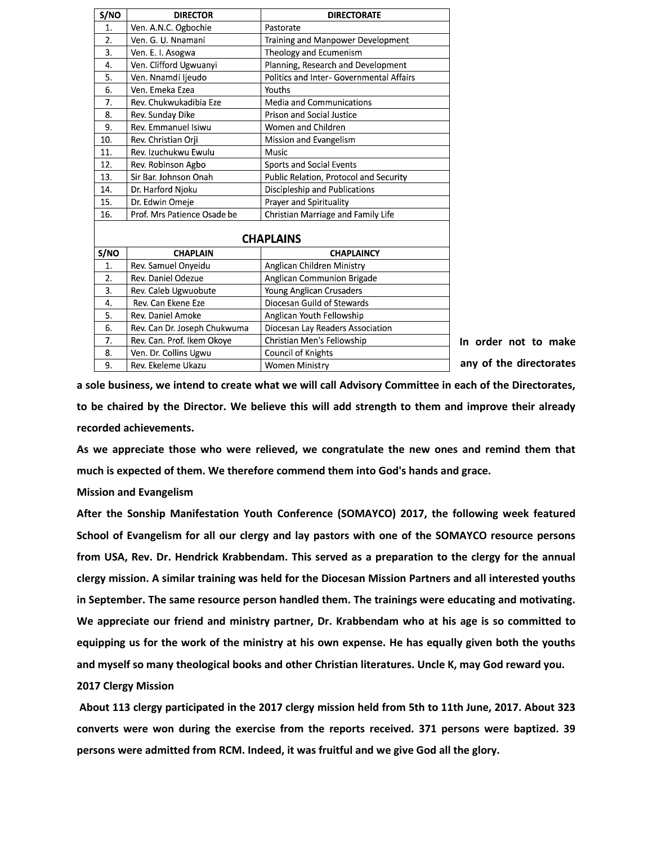| S/NO             | <b>DIRECTOR</b>              | <b>DIRECTORATE</b>                       |  |  |
|------------------|------------------------------|------------------------------------------|--|--|
| 1.               | Ven. A.N.C. Ogbochie         | Pastorate                                |  |  |
| 2.               | Ven. G. U. Nnamani           | Training and Manpower Development        |  |  |
| 3.               | Ven. E. I. Asogwa            | Theology and Ecumenism                   |  |  |
| 4.               | Ven. Clifford Ugwuanyi       | Planning, Research and Development       |  |  |
| 5.               | Ven. Nnamdi ljeudo           | Politics and Inter- Governmental Affairs |  |  |
| 6.               | Ven. Emeka Ezea              | Youths                                   |  |  |
| 7.               | Rev. Chukwukadibia Eze       | Media and Communications                 |  |  |
| 8.               | Rev. Sunday Dike             | <b>Prison and Social Justice</b>         |  |  |
| 9.               | Rev. Emmanuel Isiwu          | Women and Children                       |  |  |
| 10.              | Rev. Christian Orji          | Mission and Evangelism                   |  |  |
| 11.              | Rev. Izuchukwu Ewulu         | Music                                    |  |  |
| 12.              | Rev. Robinson Agbo           | Sports and Social Events                 |  |  |
| 13.              | Sir Bar, Johnson Onah        | Public Relation, Protocol and Security   |  |  |
| 14.              | Dr. Harford Njoku            | Discipleship and Publications            |  |  |
| 15.              | Dr. Edwin Omeje              | Prayer and Spirituality                  |  |  |
| 16.              | Prof. Mrs Patience Osade be  | Christian Marriage and Family Life       |  |  |
|                  |                              |                                          |  |  |
| <b>CHAPLAINS</b> |                              |                                          |  |  |
| S/NO             | <b>CHAPLAIN</b>              | <b>CHAPLAINCY</b>                        |  |  |
| 1.               | Rev. Samuel Onyeidu          | Anglican Children Ministry               |  |  |
| 2.               | Rev. Daniel Odezue           | Anglican Communion Brigade               |  |  |
| $\overline{3}$ . | Rev. Caleb Ugwuobute         | Young Anglican Crusaders                 |  |  |
| $\overline{4}$ . | Rev. Can Ekene Eze           | Diocesan Guild of Stewards               |  |  |
| 5.               | Rev. Daniel Amoke            | Anglican Youth Fellowship                |  |  |
| 6.               | Rev. Can Dr. Joseph Chukwuma | Diocesan Lay Readers Association         |  |  |
| 7.               | Rev. Can. Prof. Ikem Okoye   | Christian Men's Fellowship               |  |  |
| 8.               | Ven. Dr. Collins Ugwu        | Council of Knights                       |  |  |
| 9.               | Rev. Ekeleme Ukazu           | <b>Women Ministry</b>                    |  |  |

**In order not to make any of the directorates** 

**a sole business, we intend to create what we will call Advisory Committee in each of the Directorates, to be chaired by the Director. We believe this will add strength to them and improve their already recorded achievements.**

**As we appreciate those who were relieved, we congratulate the new ones and remind them that much is expected of them. We therefore commend them into God's hands and grace.**

# **Mission and Evangelism**

**After the Sonship Manifestation Youth Conference (SOMAYCO) 2017, the following week featured School of Evangelism for all our clergy and lay pastors with one of the SOMAYCO resource persons from USA, Rev. Dr. Hendrick Krabbendam. This served as a preparation to the clergy for the annual clergy mission. A similar training was held for the Diocesan Mission Partners and all interested youths in September. The same resource person handled them. The trainings were educating and motivating. We appreciate our friend and ministry partner, Dr. Krabbendam who at his age is so committed to equipping us for the work of the ministry at his own expense. He has equally given both the youths and myself so many theological books and other Christian literatures. Uncle K, may God reward you.**

# **2017 Clergy Mission**

**About 113 clergy participated in the 2017 clergy mission held from 5th to 11th June, 2017. About 323 converts were won during the exercise from the reports received. 371 persons were baptized. 39 persons were admitted from RCM. Indeed, it was fruitful and we give God all the glory.**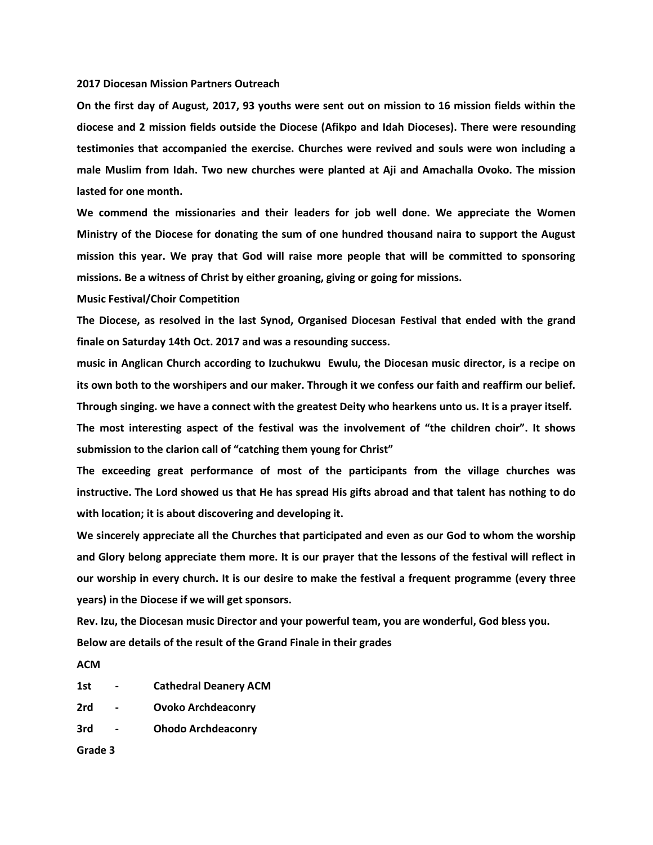#### **2017 Diocesan Mission Partners Outreach**

**On the first day of August, 2017, 93 youths were sent out on mission to 16 mission fields within the diocese and 2 mission fields outside the Diocese (Afikpo and Idah Dioceses). There were resounding testimonies that accompanied the exercise. Churches were revived and souls were won including a male Muslim from Idah. Two new churches were planted at Aji and Amachalla Ovoko. The mission lasted for one month.**

**We commend the missionaries and their leaders for job well done. We appreciate the Women Ministry of the Diocese for donating the sum of one hundred thousand naira to support the August mission this year. We pray that God will raise more people that will be committed to sponsoring missions. Be a witness of Christ by either groaning, giving or going for missions.**

**Music Festival/Choir Competition**

**The Diocese, as resolved in the last Synod, Organised Diocesan Festival that ended with the grand finale on Saturday 14th Oct. 2017 and was a resounding success.**

**music in Anglican Church according to Izuchukwu Ewulu, the Diocesan music director, is a recipe on its own both to the worshipers and our maker. Through it we confess our faith and reaffirm our belief. Through singing. we have a connect with the greatest Deity who hearkens unto us. It is a prayer itself.** 

**The most interesting aspect of the festival was the involvement of "the children choir". It shows submission to the clarion call of "catching them young for Christ"**

**The exceeding great performance of most of the participants from the village churches was instructive. The Lord showed us that He has spread His gifts abroad and that talent has nothing to do with location; it is about discovering and developing it.**

**We sincerely appreciate all the Churches that participated and even as our God to whom the worship and Glory belong appreciate them more. It is our prayer that the lessons of the festival will reflect in our worship in every church. It is our desire to make the festival a frequent programme (every three years) in the Diocese if we will get sponsors.**

**Rev. Izu, the Diocesan music Director and your powerful team, you are wonderful, God bless you. Below are details of the result of the Grand Finale in their grades** 

**ACM**

- **1st - Cathedral Deanery ACM**
- **2rd - Ovoko Archdeaconry**
- **3rd - Ohodo Archdeaconry**

**Grade 3**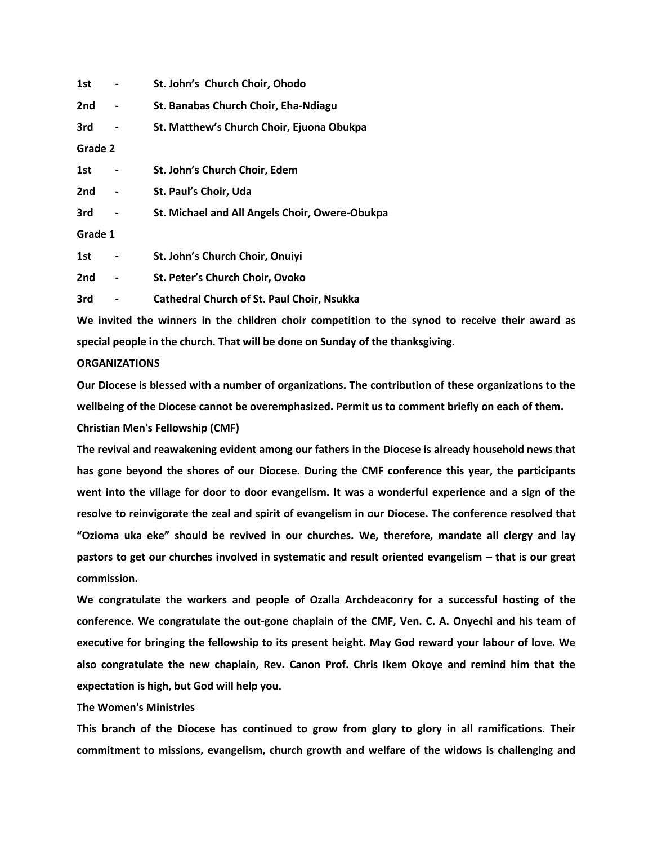| 1st     |   | St. John's Church Choir, Ohodo                    |
|---------|---|---------------------------------------------------|
| 2nd     |   | St. Banabas Church Choir, Eha-Ndiagu              |
| 3rd     |   | St. Matthew's Church Choir, Ejuona Obukpa         |
| Grade 2 |   |                                                   |
| 1st     |   | St. John's Church Choir, Edem                     |
| 2nd     |   | St. Paul's Choir, Uda                             |
| 3rd     |   | St. Michael and All Angels Choir, Owere-Obukpa    |
| Grade 1 |   |                                                   |
| 1st     |   | St. John's Church Choir, Onuiyi                   |
| 2nd     | - | St. Peter's Church Choir, Ovoko                   |
| 3rd     |   | <b>Cathedral Church of St. Paul Choir, Nsukka</b> |
|         |   |                                                   |

**We invited the winners in the children choir competition to the synod to receive their award as special people in the church. That will be done on Sunday of the thanksgiving.** 

# **ORGANIZATIONS**

**Our Diocese is blessed with a number of organizations. The contribution of these organizations to the wellbeing of the Diocese cannot be overemphasized. Permit us to comment briefly on each of them. Christian Men's Fellowship (CMF)**

**The revival and reawakening evident among our fathers in the Diocese is already household news that has gone beyond the shores of our Diocese. During the CMF conference this year, the participants went into the village for door to door evangelism. It was a wonderful experience and a sign of the resolve to reinvigorate the zeal and spirit of evangelism in our Diocese. The conference resolved that "Ozioma uka eke" should be revived in our churches. We, therefore, mandate all clergy and lay pastors to get our churches involved in systematic and result oriented evangelism – that is our great commission.** 

**We congratulate the workers and people of Ozalla Archdeaconry for a successful hosting of the conference. We congratulate the out-gone chaplain of the CMF, Ven. C. A. Onyechi and his team of executive for bringing the fellowship to its present height. May God reward your labour of love. We also congratulate the new chaplain, Rev. Canon Prof. Chris Ikem Okoye and remind him that the expectation is high, but God will help you.**

# **The Women's Ministries**

**This branch of the Diocese has continued to grow from glory to glory in all ramifications. Their commitment to missions, evangelism, church growth and welfare of the widows is challenging and**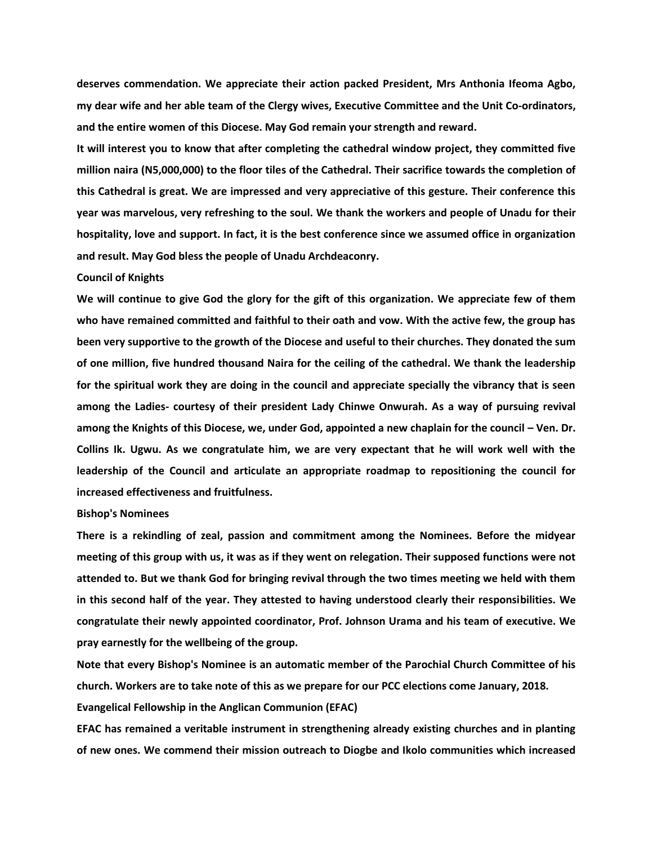**deserves commendation. We appreciate their action packed President, Mrs Anthonia Ifeoma Agbo, my dear wife and her able team of the Clergy wives, Executive Committee and the Unit Co-ordinators, and the entire women of this Diocese. May God remain your strength and reward.**

**It will interest you to know that after completing the cathedral window project, they committed five million naira (N5,000,000) to the floor tiles of the Cathedral. Their sacrifice towards the completion of this Cathedral is great. We are impressed and very appreciative of this gesture. Their conference this year was marvelous, very refreshing to the soul. We thank the workers and people of Unadu for their hospitality, love and support. In fact, it is the best conference since we assumed office in organization and result. May God bless the people of Unadu Archdeaconry.**

#### **Council of Knights**

**We will continue to give God the glory for the gift of this organization. We appreciate few of them who have remained committed and faithful to their oath and vow. With the active few, the group has been very supportive to the growth of the Diocese and useful to their churches. They donated the sum of one million, five hundred thousand Naira for the ceiling of the cathedral. We thank the leadership for the spiritual work they are doing in the council and appreciate specially the vibrancy that is seen among the Ladies- courtesy of their president Lady Chinwe Onwurah. As a way of pursuing revival among the Knights of this Diocese, we, under God, appointed a new chaplain for the council – Ven. Dr. Collins Ik. Ugwu. As we congratulate him, we are very expectant that he will work well with the leadership of the Council and articulate an appropriate roadmap to repositioning the council for increased effectiveness and fruitfulness.**

#### **Bishop's Nominees**

**There is a rekindling of zeal, passion and commitment among the Nominees. Before the midyear meeting of this group with us, it was as if they went on relegation. Their supposed functions were not attended to. But we thank God for bringing revival through the two times meeting we held with them in this second half of the year. They attested to having understood clearly their responsibilities. We congratulate their newly appointed coordinator, Prof. Johnson Urama and his team of executive. We pray earnestly for the wellbeing of the group.**

**Note that every Bishop's Nominee is an automatic member of the Parochial Church Committee of his church. Workers are to take note of this as we prepare for our PCC elections come January, 2018.**

**Evangelical Fellowship in the Anglican Communion (EFAC)**

**EFAC has remained a veritable instrument in strengthening already existing churches and in planting of new ones. We commend their mission outreach to Diogbe and Ikolo communities which increased**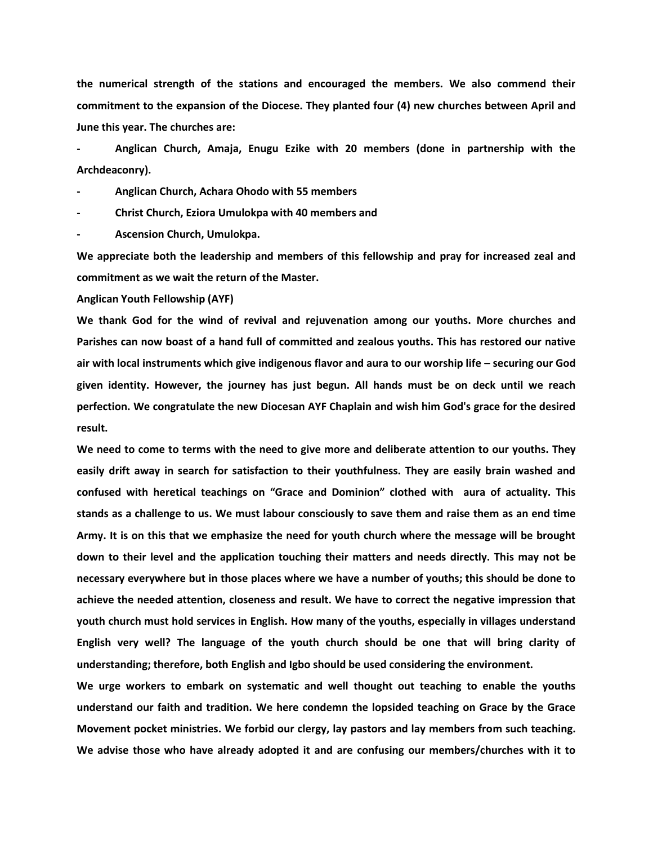**the numerical strength of the stations and encouraged the members. We also commend their commitment to the expansion of the Diocese. They planted four (4) new churches between April and June this year. The churches are:** 

**- Anglican Church, Amaja, Enugu Ezike with 20 members (done in partnership with the Archdeaconry).**

**- Anglican Church, Achara Ohodo with 55 members** 

**- Christ Church, Eziora Umulokpa with 40 members and**

**- Ascension Church, Umulokpa.**

**We appreciate both the leadership and members of this fellowship and pray for increased zeal and commitment as we wait the return of the Master.**

**Anglican Youth Fellowship (AYF)**

**We thank God for the wind of revival and rejuvenation among our youths. More churches and Parishes can now boast of a hand full of committed and zealous youths. This has restored our native air with local instruments which give indigenous flavor and aura to our worship life – securing our God given identity. However, the journey has just begun. All hands must be on deck until we reach perfection. We congratulate the new Diocesan AYF Chaplain and wish him God's grace for the desired result.**

**We need to come to terms with the need to give more and deliberate attention to our youths. They easily drift away in search for satisfaction to their youthfulness. They are easily brain washed and confused with heretical teachings on "Grace and Dominion" clothed with aura of actuality. This stands as a challenge to us. We must labour consciously to save them and raise them as an end time Army. It is on this that we emphasize the need for youth church where the message will be brought down to their level and the application touching their matters and needs directly. This may not be necessary everywhere but in those places where we have a number of youths; this should be done to achieve the needed attention, closeness and result. We have to correct the negative impression that youth church must hold services in English. How many of the youths, especially in villages understand English very well? The language of the youth church should be one that will bring clarity of understanding; therefore, both English and Igbo should be used considering the environment.** 

**We urge workers to embark on systematic and well thought out teaching to enable the youths understand our faith and tradition. We here condemn the lopsided teaching on Grace by the Grace Movement pocket ministries. We forbid our clergy, lay pastors and lay members from such teaching. We advise those who have already adopted it and are confusing our members/churches with it to**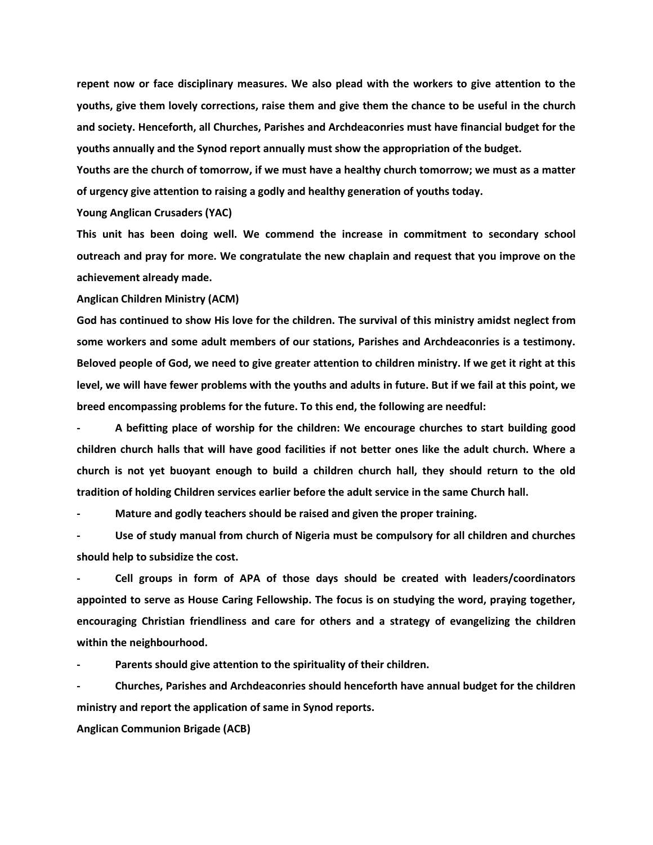**repent now or face disciplinary measures. We also plead with the workers to give attention to the youths, give them lovely corrections, raise them and give them the chance to be useful in the church and society. Henceforth, all Churches, Parishes and Archdeaconries must have financial budget for the youths annually and the Synod report annually must show the appropriation of the budget.**

**Youths are the church of tomorrow, if we must have a healthy church tomorrow; we must as a matter of urgency give attention to raising a godly and healthy generation of youths today.**

**Young Anglican Crusaders (YAC)**

**This unit has been doing well. We commend the increase in commitment to secondary school outreach and pray for more. We congratulate the new chaplain and request that you improve on the achievement already made.**

**Anglican Children Ministry (ACM)**

**God has continued to show His love for the children. The survival of this ministry amidst neglect from some workers and some adult members of our stations, Parishes and Archdeaconries is a testimony. Beloved people of God, we need to give greater attention to children ministry. If we get it right at this level, we will have fewer problems with the youths and adults in future. But if we fail at this point, we breed encompassing problems for the future. To this end, the following are needful:**

**- A befitting place of worship for the children: We encourage churches to start building good children church halls that will have good facilities if not better ones like the adult church. Where a church is not yet buoyant enough to build a children church hall, they should return to the old tradition of holding Children services earlier before the adult service in the same Church hall.**

**- Mature and godly teachers should be raised and given the proper training.**

**- Use of study manual from church of Nigeria must be compulsory for all children and churches should help to subsidize the cost.**

**- Cell groups in form of APA of those days should be created with leaders/coordinators appointed to serve as House Caring Fellowship. The focus is on studying the word, praying together, encouraging Christian friendliness and care for others and a strategy of evangelizing the children within the neighbourhood.**

**- Parents should give attention to the spirituality of their children.**

**- Churches, Parishes and Archdeaconries should henceforth have annual budget for the children ministry and report the application of same in Synod reports.**

**Anglican Communion Brigade (ACB)**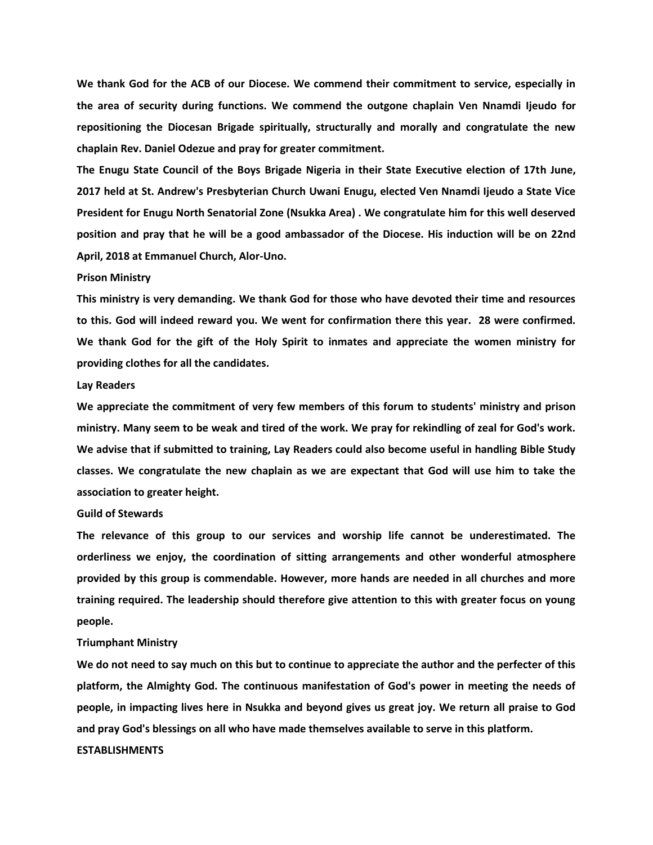**We thank God for the ACB of our Diocese. We commend their commitment to service, especially in the area of security during functions. We commend the outgone chaplain Ven Nnamdi Ijeudo for repositioning the Diocesan Brigade spiritually, structurally and morally and congratulate the new chaplain Rev. Daniel Odezue and pray for greater commitment.**

**The Enugu State Council of the Boys Brigade Nigeria in their State Executive election of 17th June, 2017 held at St. Andrew's Presbyterian Church Uwani Enugu, elected Ven Nnamdi Ijeudo a State Vice President for Enugu North Senatorial Zone (Nsukka Area) . We congratulate him for this well deserved position and pray that he will be a good ambassador of the Diocese. His induction will be on 22nd April, 2018 at Emmanuel Church, Alor-Uno.**

# **Prison Ministry**

**This ministry is very demanding. We thank God for those who have devoted their time and resources to this. God will indeed reward you. We went for confirmation there this year. 28 were confirmed. We thank God for the gift of the Holy Spirit to inmates and appreciate the women ministry for providing clothes for all the candidates.**

### **Lay Readers**

**We appreciate the commitment of very few members of this forum to students' ministry and prison ministry. Many seem to be weak and tired of the work. We pray for rekindling of zeal for God's work. We advise that if submitted to training, Lay Readers could also become useful in handling Bible Study classes. We congratulate the new chaplain as we are expectant that God will use him to take the association to greater height.**

### **Guild of Stewards**

**The relevance of this group to our services and worship life cannot be underestimated. The orderliness we enjoy, the coordination of sitting arrangements and other wonderful atmosphere provided by this group is commendable. However, more hands are needed in all churches and more training required. The leadership should therefore give attention to this with greater focus on young people.**

### **Triumphant Ministry**

**We do not need to say much on this but to continue to appreciate the author and the perfecter of this platform, the Almighty God. The continuous manifestation of God's power in meeting the needs of people, in impacting lives here in Nsukka and beyond gives us great joy. We return all praise to God and pray God's blessings on all who have made themselves available to serve in this platform. ESTABLISHMENTS**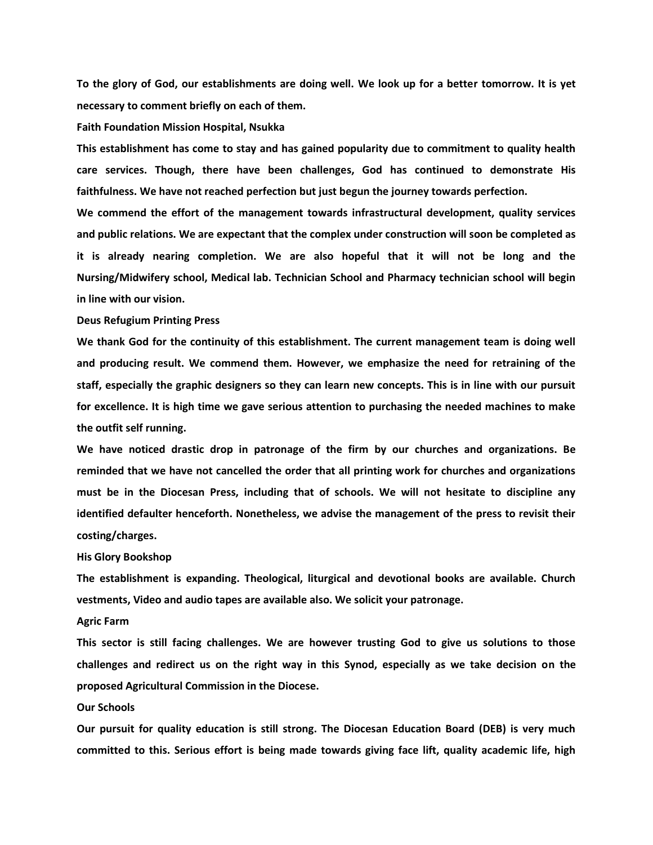**To the glory of God, our establishments are doing well. We look up for a better tomorrow. It is yet necessary to comment briefly on each of them.**

#### **Faith Foundation Mission Hospital, Nsukka**

**This establishment has come to stay and has gained popularity due to commitment to quality health care services. Though, there have been challenges, God has continued to demonstrate His faithfulness. We have not reached perfection but just begun the journey towards perfection.**

**We commend the effort of the management towards infrastructural development, quality services and public relations. We are expectant that the complex under construction will soon be completed as it is already nearing completion. We are also hopeful that it will not be long and the Nursing/Midwifery school, Medical lab. Technician School and Pharmacy technician school will begin in line with our vision.**

#### **Deus Refugium Printing Press**

**We thank God for the continuity of this establishment. The current management team is doing well and producing result. We commend them. However, we emphasize the need for retraining of the staff, especially the graphic designers so they can learn new concepts. This is in line with our pursuit for excellence. It is high time we gave serious attention to purchasing the needed machines to make the outfit self running.**

**We have noticed drastic drop in patronage of the firm by our churches and organizations. Be reminded that we have not cancelled the order that all printing work for churches and organizations must be in the Diocesan Press, including that of schools. We will not hesitate to discipline any identified defaulter henceforth. Nonetheless, we advise the management of the press to revisit their costing/charges.**

#### **His Glory Bookshop**

**The establishment is expanding. Theological, liturgical and devotional books are available. Church vestments, Video and audio tapes are available also. We solicit your patronage.** 

# **Agric Farm**

**This sector is still facing challenges. We are however trusting God to give us solutions to those challenges and redirect us on the right way in this Synod, especially as we take decision on the proposed Agricultural Commission in the Diocese.**

# **Our Schools**

**Our pursuit for quality education is still strong. The Diocesan Education Board (DEB) is very much committed to this. Serious effort is being made towards giving face lift, quality academic life, high**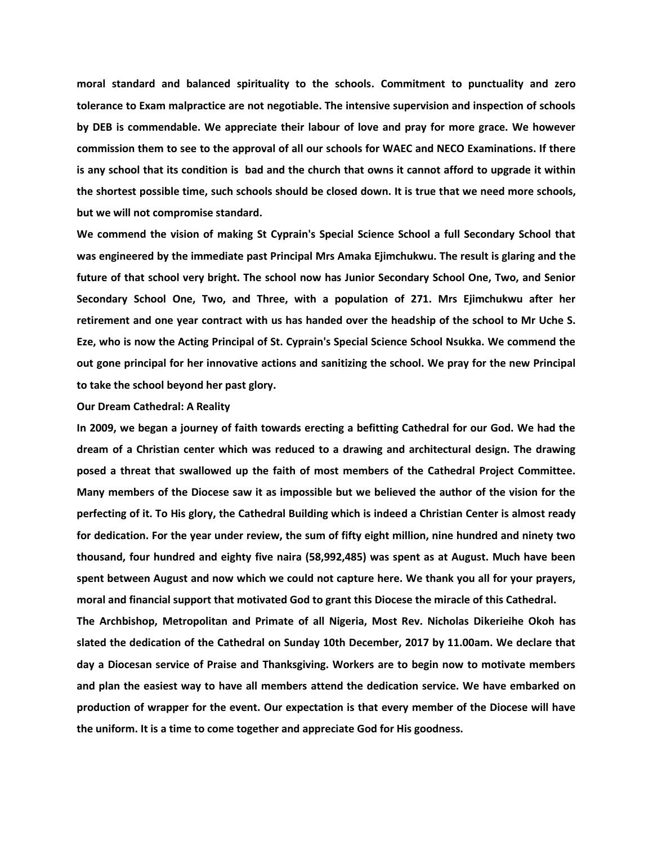**moral standard and balanced spirituality to the schools. Commitment to punctuality and zero tolerance to Exam malpractice are not negotiable. The intensive supervision and inspection of schools by DEB is commendable. We appreciate their labour of love and pray for more grace. We however commission them to see to the approval of all our schools for WAEC and NECO Examinations. If there is any school that its condition is bad and the church that owns it cannot afford to upgrade it within the shortest possible time, such schools should be closed down. It is true that we need more schools, but we will not compromise standard.**

**We commend the vision of making St Cyprain's Special Science School a full Secondary School that was engineered by the immediate past Principal Mrs Amaka Ejimchukwu. The result is glaring and the future of that school very bright. The school now has Junior Secondary School One, Two, and Senior Secondary School One, Two, and Three, with a population of 271. Mrs Ejimchukwu after her retirement and one year contract with us has handed over the headship of the school to Mr Uche S. Eze, who is now the Acting Principal of St. Cyprain's Special Science School Nsukka. We commend the out gone principal for her innovative actions and sanitizing the school. We pray for the new Principal to take the school beyond her past glory.**

# **Our Dream Cathedral: A Reality**

**In 2009, we began a journey of faith towards erecting a befitting Cathedral for our God. We had the dream of a Christian center which was reduced to a drawing and architectural design. The drawing posed a threat that swallowed up the faith of most members of the Cathedral Project Committee. Many members of the Diocese saw it as impossible but we believed the author of the vision for the perfecting of it. To His glory, the Cathedral Building which is indeed a Christian Center is almost ready for dedication. For the year under review, the sum of fifty eight million, nine hundred and ninety two thousand, four hundred and eighty five naira (58,992,485) was spent as at August. Much have been spent between August and now which we could not capture here. We thank you all for your prayers, moral and financial support that motivated God to grant this Diocese the miracle of this Cathedral.**

**The Archbishop, Metropolitan and Primate of all Nigeria, Most Rev. Nicholas Dikerieihe Okoh has slated the dedication of the Cathedral on Sunday 10th December, 2017 by 11.00am. We declare that day a Diocesan service of Praise and Thanksgiving. Workers are to begin now to motivate members and plan the easiest way to have all members attend the dedication service. We have embarked on production of wrapper for the event. Our expectation is that every member of the Diocese will have the uniform. It is a time to come together and appreciate God for His goodness.**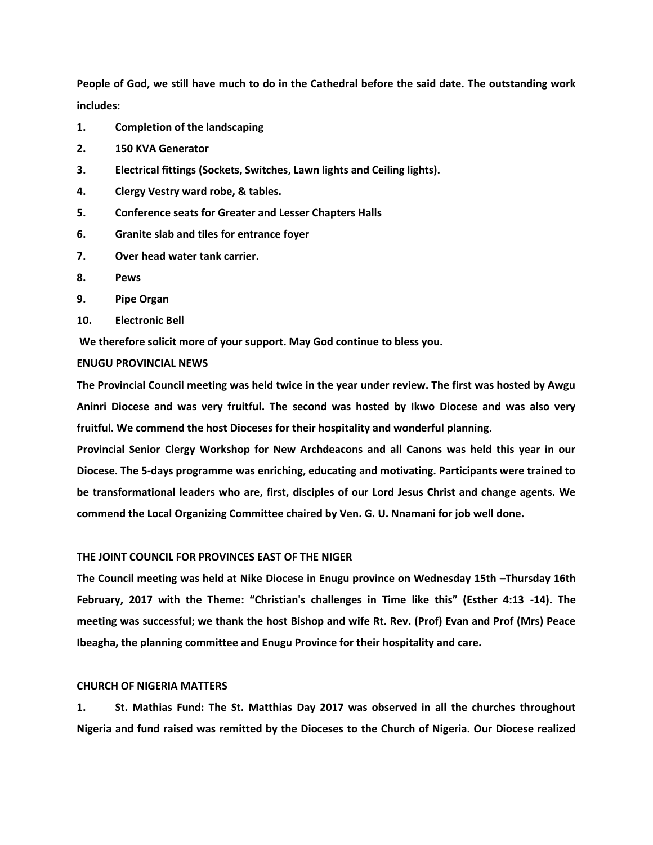**People of God, we still have much to do in the Cathedral before the said date. The outstanding work includes:**

- **1. Completion of the landscaping**
- **2. 150 KVA Generator**
- **3. Electrical fittings (Sockets, Switches, Lawn lights and Ceiling lights).**
- **4. Clergy Vestry ward robe, & tables.**
- **5. Conference seats for Greater and Lesser Chapters Halls**
- **6. Granite slab and tiles for entrance foyer**
- **7. Over head water tank carrier.**
- **8. Pews**
- **9. Pipe Organ**
- **10. Electronic Bell**

**We therefore solicit more of your support. May God continue to bless you.** 

# **ENUGU PROVINCIAL NEWS**

**The Provincial Council meeting was held twice in the year under review. The first was hosted by Awgu Aninri Diocese and was very fruitful. The second was hosted by Ikwo Diocese and was also very fruitful. We commend the host Dioceses for their hospitality and wonderful planning.**

**Provincial Senior Clergy Workshop for New Archdeacons and all Canons was held this year in our Diocese. The 5-days programme was enriching, educating and motivating. Participants were trained to be transformational leaders who are, first, disciples of our Lord Jesus Christ and change agents. We commend the Local Organizing Committee chaired by Ven. G. U. Nnamani for job well done.**

# **THE JOINT COUNCIL FOR PROVINCES EAST OF THE NIGER**

**The Council meeting was held at Nike Diocese in Enugu province on Wednesday 15th –Thursday 16th February, 2017 with the Theme: "Christian's challenges in Time like this" (Esther 4:13 -14). The meeting was successful; we thank the host Bishop and wife Rt. Rev. (Prof) Evan and Prof (Mrs) Peace Ibeagha, the planning committee and Enugu Province for their hospitality and care.**

# **CHURCH OF NIGERIA MATTERS**

**1. St. Mathias Fund: The St. Matthias Day 2017 was observed in all the churches throughout Nigeria and fund raised was remitted by the Dioceses to the Church of Nigeria. Our Diocese realized**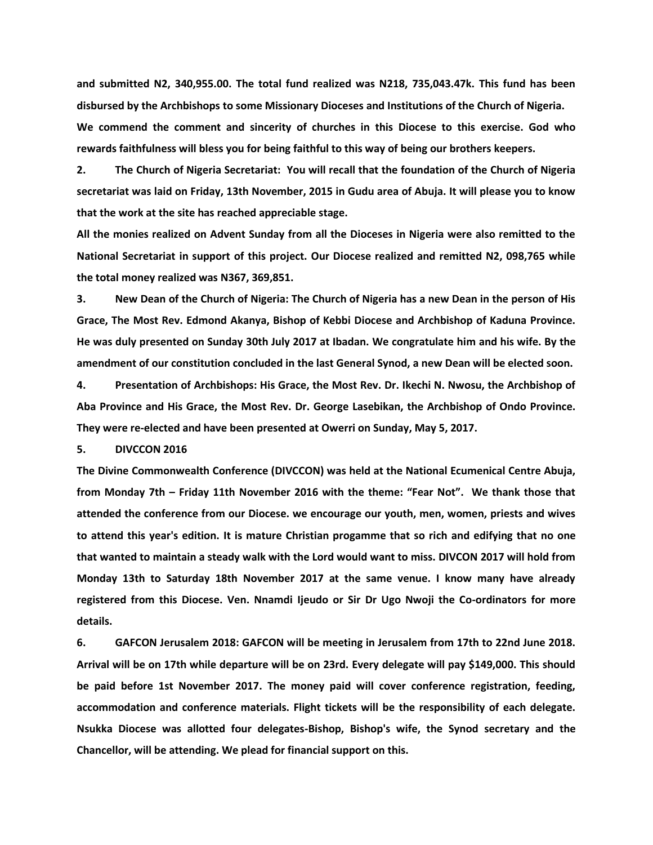**and submitted N2, 340,955.00. The total fund realized was N218, 735,043.47k. This fund has been disbursed by the Archbishops to some Missionary Dioceses and Institutions of the Church of Nigeria. We commend the comment and sincerity of churches in this Diocese to this exercise. God who rewards faithfulness will bless you for being faithful to this way of being our brothers keepers.** 

**2. The Church of Nigeria Secretariat: You will recall that the foundation of the Church of Nigeria secretariat was laid on Friday, 13th November, 2015 in Gudu area of Abuja. It will please you to know that the work at the site has reached appreciable stage.**

**All the monies realized on Advent Sunday from all the Dioceses in Nigeria were also remitted to the National Secretariat in support of this project. Our Diocese realized and remitted N2, 098,765 while the total money realized was N367, 369,851.**

**3. New Dean of the Church of Nigeria: The Church of Nigeria has a new Dean in the person of His Grace, The Most Rev. Edmond Akanya, Bishop of Kebbi Diocese and Archbishop of Kaduna Province. He was duly presented on Sunday 30th July 2017 at Ibadan. We congratulate him and his wife. By the amendment of our constitution concluded in the last General Synod, a new Dean will be elected soon.**

**4. Presentation of Archbishops: His Grace, the Most Rev. Dr. Ikechi N. Nwosu, the Archbishop of Aba Province and His Grace, the Most Rev. Dr. George Lasebikan, the Archbishop of Ondo Province. They were re-elected and have been presented at Owerri on Sunday, May 5, 2017.**

### **5. DIVCCON 2016**

**The Divine Commonwealth Conference (DIVCCON) was held at the National Ecumenical Centre Abuja, from Monday 7th – Friday 11th November 2016 with the theme: "Fear Not". We thank those that attended the conference from our Diocese. we encourage our youth, men, women, priests and wives to attend this year's edition. It is mature Christian progamme that so rich and edifying that no one that wanted to maintain a steady walk with the Lord would want to miss. DIVCON 2017 will hold from Monday 13th to Saturday 18th November 2017 at the same venue. I know many have already registered from this Diocese. Ven. Nnamdi Ijeudo or Sir Dr Ugo Nwoji the Co-ordinators for more details.**

**6. GAFCON Jerusalem 2018: GAFCON will be meeting in Jerusalem from 17th to 22nd June 2018. Arrival will be on 17th while departure will be on 23rd. Every delegate will pay \$149,000. This should be paid before 1st November 2017. The money paid will cover conference registration, feeding, accommodation and conference materials. Flight tickets will be the responsibility of each delegate. Nsukka Diocese was allotted four delegates-Bishop, Bishop's wife, the Synod secretary and the Chancellor, will be attending. We plead for financial support on this.**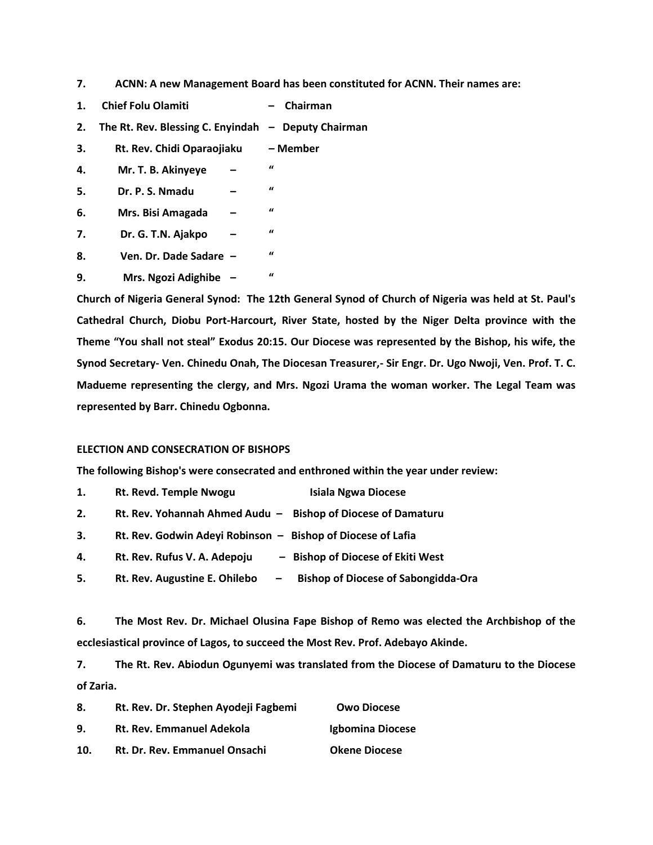**7. ACNN: A new Management Board has been constituted for ACNN. Their names are:**

- **1. Chief Folu Olamiti – Chairman**
- **2. The Rt. Rev. Blessing C. Enyindah – Deputy Chairman**
- **3. Rt. Rev. Chidi Oparaojiaku – Member**
- **4. Mr. T. B. Akinyeye – "**
- **5. Dr. P. S. Nmadu – "**
- **6. Mrs. Bisi Amagada – "**
- **7. Dr. G. T.N. Ajakpo – "**
- **8. Ven. Dr. Dade Sadare – "**
- **9. Mrs. Ngozi Adighibe – "**

**Church of Nigeria General Synod: The 12th General Synod of Church of Nigeria was held at St. Paul's Cathedral Church, Diobu Port-Harcourt, River State, hosted by the Niger Delta province with the Theme "You shall not steal" Exodus 20:15. Our Diocese was represented by the Bishop, his wife, the Synod Secretary- Ven. Chinedu Onah, The Diocesan Treasurer,- Sir Engr. Dr. Ugo Nwoji, Ven. Prof. T. C. Madueme representing the clergy, and Mrs. Ngozi Urama the woman worker. The Legal Team was represented by Barr. Chinedu Ogbonna.**

### **ELECTION AND CONSECRATION OF BISHOPS**

**The following Bishop's were consecrated and enthroned within the year under review:**

**1. Rt. Revd. Temple Nwogu Isiala Ngwa Diocese 2. Rt. Rev. Yohannah Ahmed Audu – Bishop of Diocese of Damaturu 3. Rt. Rev. Godwin Adeyi Robinson – Bishop of Diocese of Lafia 4. Rt. Rev. Rufus V. A. Adepoju – Bishop of Diocese of Ekiti West 5. Rt. Rev. Augustine E. Ohilebo – Bishop of Diocese of Sabongidda-Ora**

**6. The Most Rev. Dr. Michael Olusina Fape Bishop of Remo was elected the Archbishop of the ecclesiastical province of Lagos, to succeed the Most Rev. Prof. Adebayo Akinde.**

**7. The Rt. Rev. Abiodun Ogunyemi was translated from the Diocese of Damaturu to the Diocese of Zaria.**

| 8.  | Rt. Rev. Dr. Stephen Ayodeji Fagbemi | <b>Owo Diocese</b>   |
|-----|--------------------------------------|----------------------|
| 9.  | <b>Rt. Rev. Emmanuel Adekola</b>     | Igbomina Diocese     |
| 10. | Rt. Dr. Rev. Emmanuel Onsachi        | <b>Okene Diocese</b> |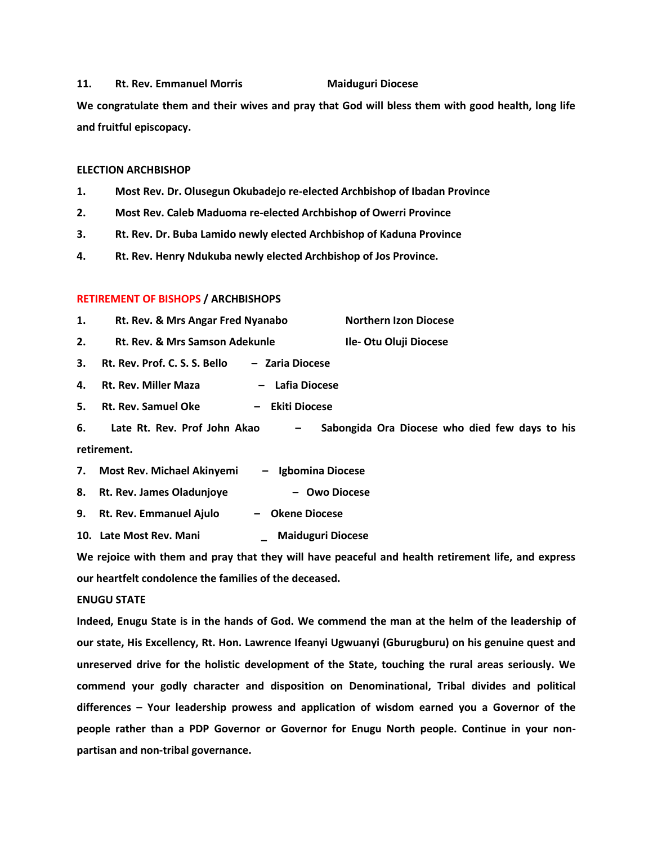#### 11. Rt. Rev. Emmanuel Morris **Maiduguri Diocese**

**We congratulate them and their wives and pray that God will bless them with good health, long life and fruitful episcopacy.** 

# **ELECTION ARCHBISHOP**

- **1. Most Rev. Dr. Olusegun Okubadejo re-elected Archbishop of Ibadan Province**
- **2. Most Rev. Caleb Maduoma re-elected Archbishop of Owerri Province**
- **3. Rt. Rev. Dr. Buba Lamido newly elected Archbishop of Kaduna Province**
- **4. Rt. Rev. Henry Ndukuba newly elected Archbishop of Jos Province.**

# **RETIREMENT OF BISHOPS / ARCHBISHOPS**

- **1. Rt. Rev. & Mrs Angar Fred Nyanabo Northern Izon Diocese**
- **2. Rt. Rev. & Mrs Samson Adekunle Ile- Otu Oluji Diocese**

**3. Rt. Rev. Prof. C. S. S. Bello – Zaria Diocese**

**4. Rt. Rev. Miller Maza – Lafia Diocese**

**5. Rt. Rev. Samuel Oke – Ekiti Diocese**

**6. Late Rt. Rev. Prof John Akao – Sabongida Ora Diocese who died few days to his retirement.**

- **7. Most Rev. Michael Akinyemi – Igbomina Diocese**
- **8. Rt. Rev. James Oladunjoye – Owo Diocese**
- **9. Rt. Rev. Emmanuel Ajulo – Okene Diocese**
- **10. Late Most Rev. Mani \_ Maiduguri Diocese**

**We rejoice with them and pray that they will have peaceful and health retirement life, and express our heartfelt condolence the families of the deceased.**

# **ENUGU STATE**

**Indeed, Enugu State is in the hands of God. We commend the man at the helm of the leadership of our state, His Excellency, Rt. Hon. Lawrence Ifeanyi Ugwuanyi (Gburugburu) on his genuine quest and unreserved drive for the holistic development of the State, touching the rural areas seriously. We commend your godly character and disposition on Denominational, Tribal divides and political differences – Your leadership prowess and application of wisdom earned you a Governor of the people rather than a PDP Governor or Governor for Enugu North people. Continue in your nonpartisan and non-tribal governance.**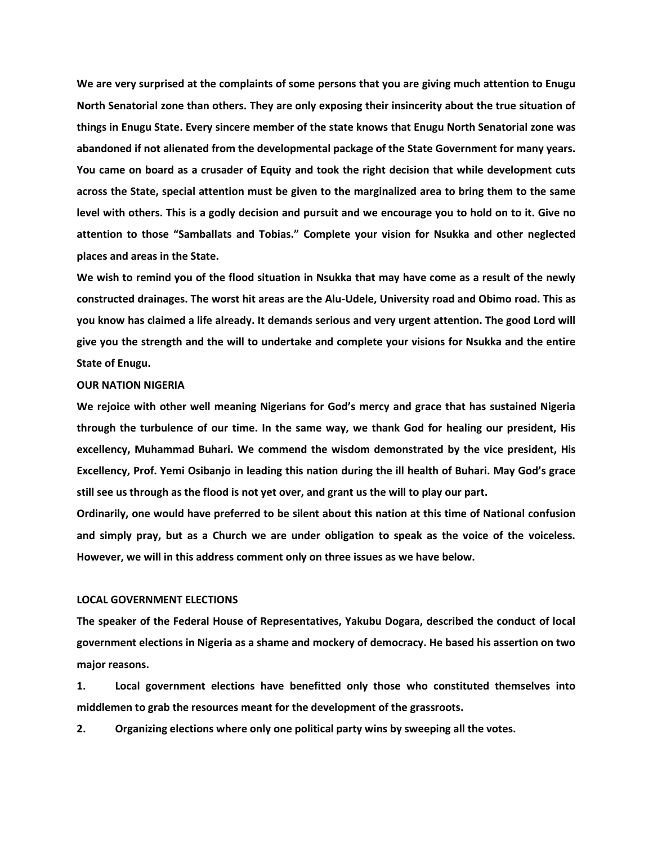**We are very surprised at the complaints of some persons that you are giving much attention to Enugu North Senatorial zone than others. They are only exposing their insincerity about the true situation of things in Enugu State. Every sincere member of the state knows that Enugu North Senatorial zone was abandoned if not alienated from the developmental package of the State Government for many years. You came on board as a crusader of Equity and took the right decision that while development cuts across the State, special attention must be given to the marginalized area to bring them to the same level with others. This is a godly decision and pursuit and we encourage you to hold on to it. Give no attention to those "Samballats and Tobias." Complete your vision for Nsukka and other neglected places and areas in the State.**

**We wish to remind you of the flood situation in Nsukka that may have come as a result of the newly constructed drainages. The worst hit areas are the Alu-Udele, University road and Obimo road. This as you know has claimed a life already. It demands serious and very urgent attention. The good Lord will give you the strength and the will to undertake and complete your visions for Nsukka and the entire State of Enugu.** 

### **OUR NATION NIGERIA**

**We rejoice with other well meaning Nigerians for God's mercy and grace that has sustained Nigeria through the turbulence of our time. In the same way, we thank God for healing our president, His excellency, Muhammad Buhari. We commend the wisdom demonstrated by the vice president, His Excellency, Prof. Yemi Osibanjo in leading this nation during the ill health of Buhari. May God's grace still see us through as the flood is not yet over, and grant us the will to play our part.** 

**Ordinarily, one would have preferred to be silent about this nation at this time of National confusion and simply pray, but as a Church we are under obligation to speak as the voice of the voiceless. However, we will in this address comment only on three issues as we have below.**

# **LOCAL GOVERNMENT ELECTIONS**

**The speaker of the Federal House of Representatives, Yakubu Dogara, described the conduct of local government elections in Nigeria as a shame and mockery of democracy. He based his assertion on two major reasons.**

**1. Local government elections have benefitted only those who constituted themselves into middlemen to grab the resources meant for the development of the grassroots.**

**2. Organizing elections where only one political party wins by sweeping all the votes.**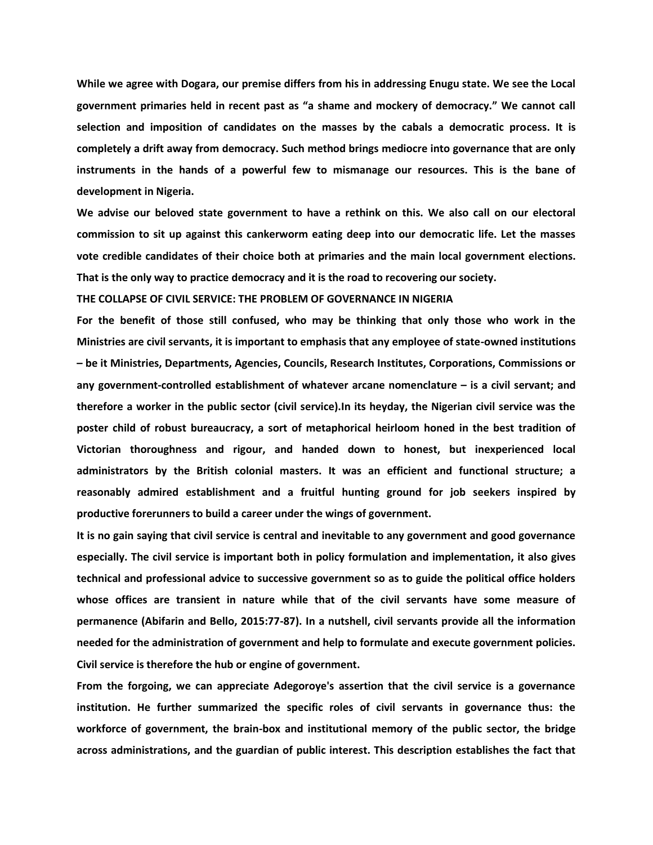**While we agree with Dogara, our premise differs from his in addressing Enugu state. We see the Local government primaries held in recent past as "a shame and mockery of democracy." We cannot call selection and imposition of candidates on the masses by the cabals a democratic process. It is completely a drift away from democracy. Such method brings mediocre into governance that are only instruments in the hands of a powerful few to mismanage our resources. This is the bane of development in Nigeria.**

**We advise our beloved state government to have a rethink on this. We also call on our electoral commission to sit up against this cankerworm eating deep into our democratic life. Let the masses vote credible candidates of their choice both at primaries and the main local government elections. That is the only way to practice democracy and it is the road to recovering our society.**

**THE COLLAPSE OF CIVIL SERVICE: THE PROBLEM OF GOVERNANCE IN NIGERIA**

**For the benefit of those still confused, who may be thinking that only those who work in the Ministries are civil servants, it is important to emphasis that any employee of state-owned institutions – be it Ministries, Departments, Agencies, Councils, Research Institutes, Corporations, Commissions or any government-controlled establishment of whatever arcane nomenclature – is a civil servant; and therefore a worker in the public sector (civil service).In its heyday, the Nigerian civil service was the poster child of robust bureaucracy, a sort of metaphorical heirloom honed in the best tradition of Victorian thoroughness and rigour, and handed down to honest, but inexperienced local administrators by the British colonial masters. It was an efficient and functional structure; a reasonably admired establishment and a fruitful hunting ground for job seekers inspired by productive forerunners to build a career under the wings of government.**

**It is no gain saying that civil service is central and inevitable to any government and good governance especially. The civil service is important both in policy formulation and implementation, it also gives technical and professional advice to successive government so as to guide the political office holders whose offices are transient in nature while that of the civil servants have some measure of permanence (Abifarin and Bello, 2015:77-87). In a nutshell, civil servants provide all the information needed for the administration of government and help to formulate and execute government policies. Civil service is therefore the hub or engine of government.**

**From the forgoing, we can appreciate Adegoroye's assertion that the civil service is a governance institution. He further summarized the specific roles of civil servants in governance thus: the workforce of government, the brain-box and institutional memory of the public sector, the bridge across administrations, and the guardian of public interest. This description establishes the fact that**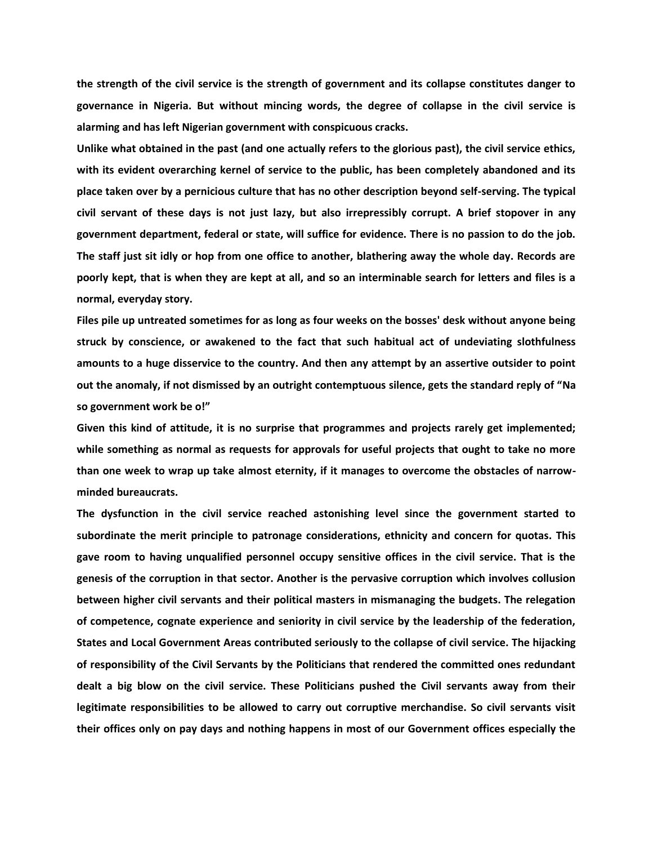**the strength of the civil service is the strength of government and its collapse constitutes danger to governance in Nigeria. But without mincing words, the degree of collapse in the civil service is alarming and has left Nigerian government with conspicuous cracks.**

**Unlike what obtained in the past (and one actually refers to the glorious past), the civil service ethics, with its evident overarching kernel of service to the public, has been completely abandoned and its place taken over by a pernicious culture that has no other description beyond self-serving. The typical civil servant of these days is not just lazy, but also irrepressibly corrupt. A brief stopover in any government department, federal or state, will suffice for evidence. There is no passion to do the job. The staff just sit idly or hop from one office to another, blathering away the whole day. Records are poorly kept, that is when they are kept at all, and so an interminable search for letters and files is a normal, everyday story.**

**Files pile up untreated sometimes for as long as four weeks on the bosses' desk without anyone being struck by conscience, or awakened to the fact that such habitual act of undeviating slothfulness amounts to a huge disservice to the country. And then any attempt by an assertive outsider to point out the anomaly, if not dismissed by an outright contemptuous silence, gets the standard reply of "Na so government work be o!"**

**Given this kind of attitude, it is no surprise that programmes and projects rarely get implemented; while something as normal as requests for approvals for useful projects that ought to take no more than one week to wrap up take almost eternity, if it manages to overcome the obstacles of narrowminded bureaucrats.**

**The dysfunction in the civil service reached astonishing level since the government started to subordinate the merit principle to patronage considerations, ethnicity and concern for quotas. This gave room to having unqualified personnel occupy sensitive offices in the civil service. That is the genesis of the corruption in that sector. Another is the pervasive corruption which involves collusion between higher civil servants and their political masters in mismanaging the budgets. The relegation of competence, cognate experience and seniority in civil service by the leadership of the federation, States and Local Government Areas contributed seriously to the collapse of civil service. The hijacking of responsibility of the Civil Servants by the Politicians that rendered the committed ones redundant dealt a big blow on the civil service. These Politicians pushed the Civil servants away from their legitimate responsibilities to be allowed to carry out corruptive merchandise. So civil servants visit their offices only on pay days and nothing happens in most of our Government offices especially the**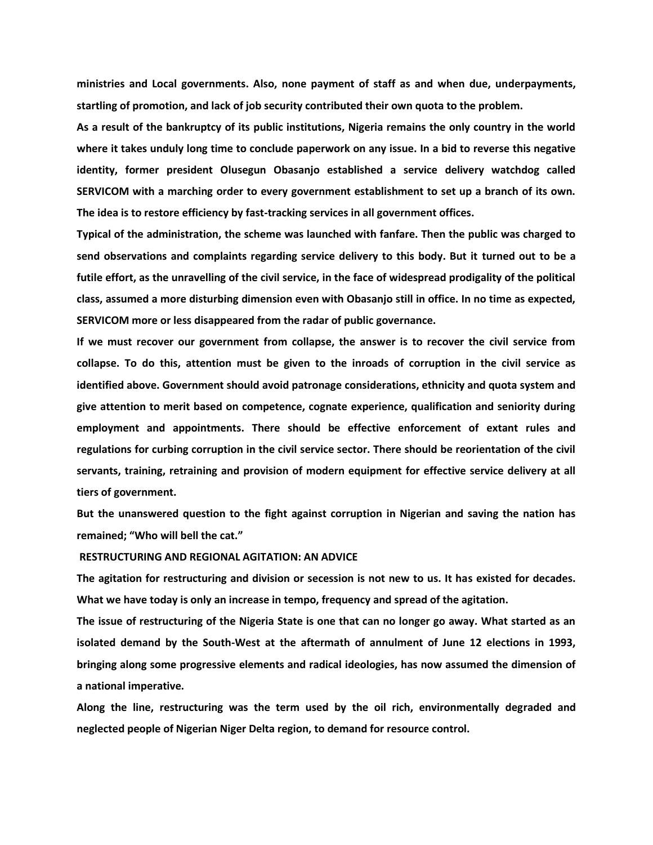**ministries and Local governments. Also, none payment of staff as and when due, underpayments, startling of promotion, and lack of job security contributed their own quota to the problem.**

**As a result of the bankruptcy of its public institutions, Nigeria remains the only country in the world where it takes unduly long time to conclude paperwork on any issue. In a bid to reverse this negative identity, former president Olusegun Obasanjo established a service delivery watchdog called SERVICOM with a marching order to every government establishment to set up a branch of its own. The idea is to restore efficiency by fast-tracking services in all government offices.**

**Typical of the administration, the scheme was launched with fanfare. Then the public was charged to send observations and complaints regarding service delivery to this body. But it turned out to be a futile effort, as the unravelling of the civil service, in the face of widespread prodigality of the political class, assumed a more disturbing dimension even with Obasanjo still in office. In no time as expected, SERVICOM more or less disappeared from the radar of public governance.**

**If we must recover our government from collapse, the answer is to recover the civil service from collapse. To do this, attention must be given to the inroads of corruption in the civil service as identified above. Government should avoid patronage considerations, ethnicity and quota system and give attention to merit based on competence, cognate experience, qualification and seniority during employment and appointments. There should be effective enforcement of extant rules and regulations for curbing corruption in the civil service sector. There should be reorientation of the civil servants, training, retraining and provision of modern equipment for effective service delivery at all tiers of government.**

**But the unanswered question to the fight against corruption in Nigerian and saving the nation has remained; "Who will bell the cat."**

# **RESTRUCTURING AND REGIONAL AGITATION: AN ADVICE**

**The agitation for restructuring and division or secession is not new to us. It has existed for decades. What we have today is only an increase in tempo, frequency and spread of the agitation.**

**The issue of restructuring of the Nigeria State is one that can no longer go away. What started as an isolated demand by the South-West at the aftermath of annulment of June 12 elections in 1993, bringing along some progressive elements and radical ideologies, has now assumed the dimension of a national imperative.**

**Along the line, restructuring was the term used by the oil rich, environmentally degraded and neglected people of Nigerian Niger Delta region, to demand for resource control.**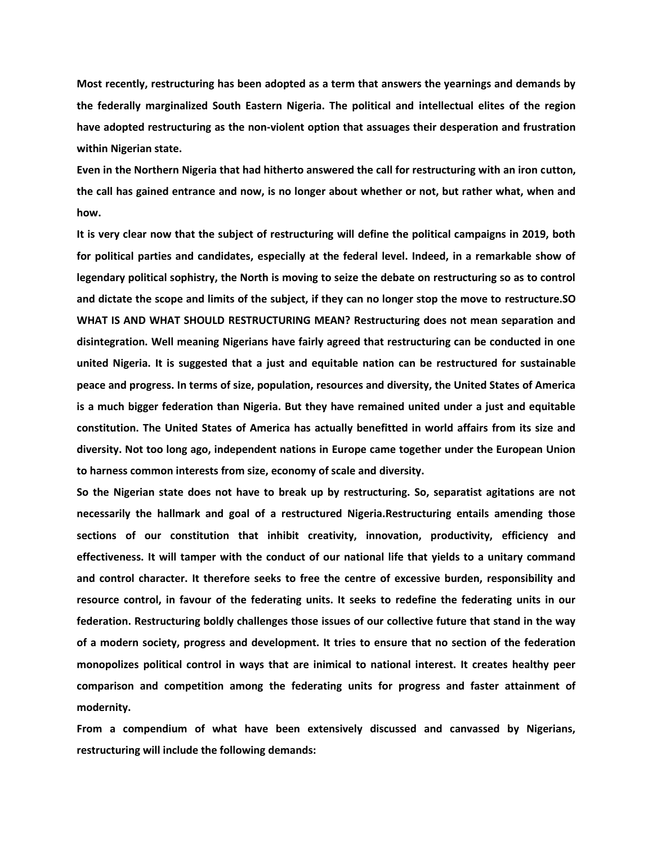**Most recently, restructuring has been adopted as a term that answers the yearnings and demands by the federally marginalized South Eastern Nigeria. The political and intellectual elites of the region have adopted restructuring as the non-violent option that assuages their desperation and frustration within Nigerian state.**

**Even in the Northern Nigeria that had hitherto answered the call for restructuring with an iron cutton, the call has gained entrance and now, is no longer about whether or not, but rather what, when and how.** 

**It is very clear now that the subject of restructuring will define the political campaigns in 2019, both for political parties and candidates, especially at the federal level. Indeed, in a remarkable show of legendary political sophistry, the North is moving to seize the debate on restructuring so as to control and dictate the scope and limits of the subject, if they can no longer stop the move to restructure.SO WHAT IS AND WHAT SHOULD RESTRUCTURING MEAN? Restructuring does not mean separation and disintegration. Well meaning Nigerians have fairly agreed that restructuring can be conducted in one united Nigeria. It is suggested that a just and equitable nation can be restructured for sustainable peace and progress. In terms of size, population, resources and diversity, the United States of America is a much bigger federation than Nigeria. But they have remained united under a just and equitable constitution. The United States of America has actually benefitted in world affairs from its size and diversity. Not too long ago, independent nations in Europe came together under the European Union to harness common interests from size, economy of scale and diversity.** 

**So the Nigerian state does not have to break up by restructuring. So, separatist agitations are not necessarily the hallmark and goal of a restructured Nigeria.Restructuring entails amending those sections of our constitution that inhibit creativity, innovation, productivity, efficiency and effectiveness. It will tamper with the conduct of our national life that yields to a unitary command and control character. It therefore seeks to free the centre of excessive burden, responsibility and resource control, in favour of the federating units. It seeks to redefine the federating units in our federation. Restructuring boldly challenges those issues of our collective future that stand in the way of a modern society, progress and development. It tries to ensure that no section of the federation monopolizes political control in ways that are inimical to national interest. It creates healthy peer comparison and competition among the federating units for progress and faster attainment of modernity.** 

**From a compendium of what have been extensively discussed and canvassed by Nigerians, restructuring will include the following demands:**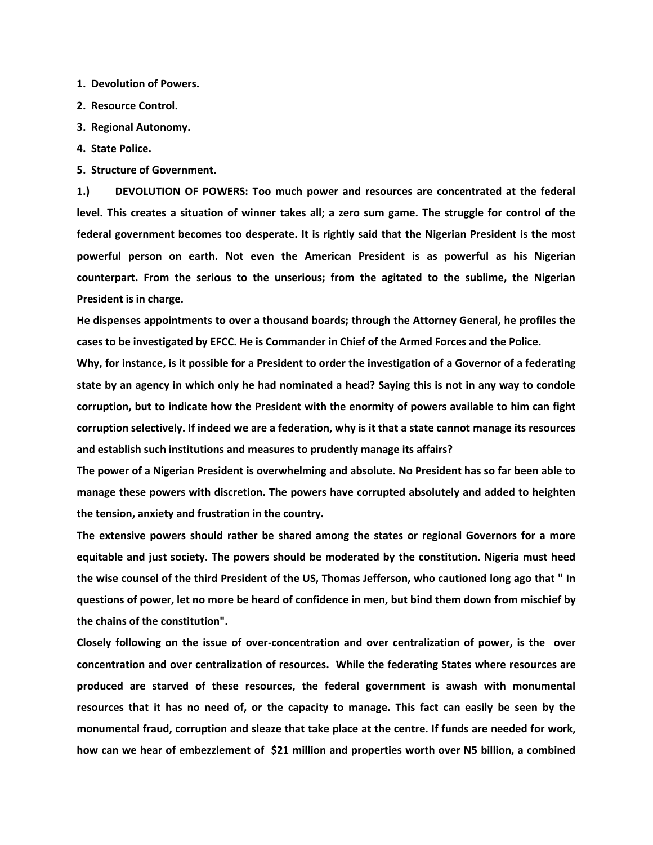**1. Devolution of Powers.**

- **2. Resource Control.**
- **3. Regional Autonomy.**
- **4. State Police.**
- **5. Structure of Government.**

**1.) DEVOLUTION OF POWERS: Too much power and resources are concentrated at the federal level. This creates a situation of winner takes all; a zero sum game. The struggle for control of the federal government becomes too desperate. It is rightly said that the Nigerian President is the most powerful person on earth. Not even the American President is as powerful as his Nigerian counterpart. From the serious to the unserious; from the agitated to the sublime, the Nigerian President is in charge.**

**He dispenses appointments to over a thousand boards; through the Attorney General, he profiles the cases to be investigated by EFCC. He is Commander in Chief of the Armed Forces and the Police.**

**Why, for instance, is it possible for a President to order the investigation of a Governor of a federating state by an agency in which only he had nominated a head? Saying this is not in any way to condole corruption, but to indicate how the President with the enormity of powers available to him can fight corruption selectively. If indeed we are a federation, why is it that a state cannot manage its resources and establish such institutions and measures to prudently manage its affairs?**

**The power of a Nigerian President is overwhelming and absolute. No President has so far been able to manage these powers with discretion. The powers have corrupted absolutely and added to heighten the tension, anxiety and frustration in the country.**

**The extensive powers should rather be shared among the states or regional Governors for a more equitable and just society. The powers should be moderated by the constitution. Nigeria must heed the wise counsel of the third President of the US, Thomas Jefferson, who cautioned long ago that " In questions of power, let no more be heard of confidence in men, but bind them down from mischief by the chains of the constitution".**

**Closely following on the issue of over-concentration and over centralization of power, is the over concentration and over centralization of resources. While the federating States where resources are produced are starved of these resources, the federal government is awash with monumental resources that it has no need of, or the capacity to manage. This fact can easily be seen by the monumental fraud, corruption and sleaze that take place at the centre. If funds are needed for work, how can we hear of embezzlement of \$21 million and properties worth over N5 billion, a combined**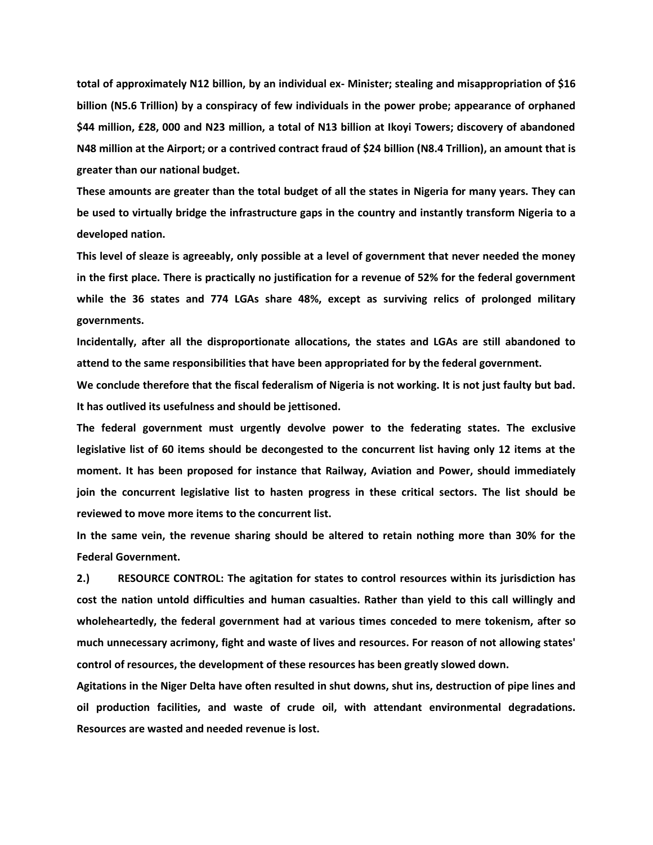**total of approximately N12 billion, by an individual ex- Minister; stealing and misappropriation of \$16 billion (N5.6 Trillion) by a conspiracy of few individuals in the power probe; appearance of orphaned \$44 million, £28, 000 and N23 million, a total of N13 billion at Ikoyi Towers; discovery of abandoned N48 million at the Airport; or a contrived contract fraud of \$24 billion (N8.4 Trillion), an amount that is greater than our national budget.**

**These amounts are greater than the total budget of all the states in Nigeria for many years. They can be used to virtually bridge the infrastructure gaps in the country and instantly transform Nigeria to a developed nation.**

**This level of sleaze is agreeably, only possible at a level of government that never needed the money in the first place. There is practically no justification for a revenue of 52% for the federal government while the 36 states and 774 LGAs share 48%, except as surviving relics of prolonged military governments.**

**Incidentally, after all the disproportionate allocations, the states and LGAs are still abandoned to attend to the same responsibilities that have been appropriated for by the federal government.**

**We conclude therefore that the fiscal federalism of Nigeria is not working. It is not just faulty but bad. It has outlived its usefulness and should be jettisoned.** 

**The federal government must urgently devolve power to the federating states. The exclusive legislative list of 60 items should be decongested to the concurrent list having only 12 items at the moment. It has been proposed for instance that Railway, Aviation and Power, should immediately join the concurrent legislative list to hasten progress in these critical sectors. The list should be reviewed to move more items to the concurrent list.**

**In the same vein, the revenue sharing should be altered to retain nothing more than 30% for the Federal Government.**

**2.) RESOURCE CONTROL: The agitation for states to control resources within its jurisdiction has cost the nation untold difficulties and human casualties. Rather than yield to this call willingly and wholeheartedly, the federal government had at various times conceded to mere tokenism, after so much unnecessary acrimony, fight and waste of lives and resources. For reason of not allowing states' control of resources, the development of these resources has been greatly slowed down.**

**Agitations in the Niger Delta have often resulted in shut downs, shut ins, destruction of pipe lines and oil production facilities, and waste of crude oil, with attendant environmental degradations. Resources are wasted and needed revenue is lost.**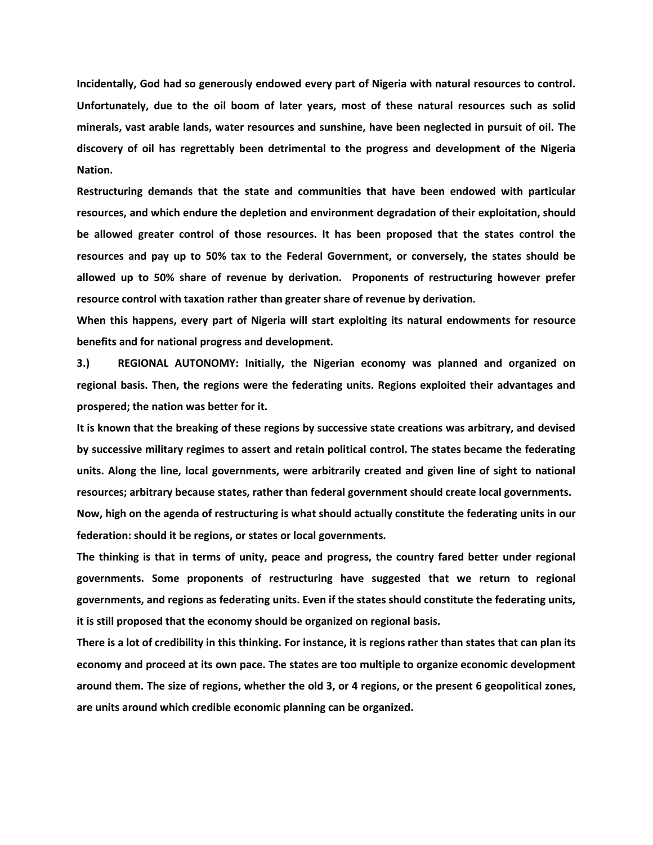**Incidentally, God had so generously endowed every part of Nigeria with natural resources to control. Unfortunately, due to the oil boom of later years, most of these natural resources such as solid minerals, vast arable lands, water resources and sunshine, have been neglected in pursuit of oil. The discovery of oil has regrettably been detrimental to the progress and development of the Nigeria Nation.**

**Restructuring demands that the state and communities that have been endowed with particular resources, and which endure the depletion and environment degradation of their exploitation, should be allowed greater control of those resources. It has been proposed that the states control the resources and pay up to 50% tax to the Federal Government, or conversely, the states should be allowed up to 50% share of revenue by derivation. Proponents of restructuring however prefer resource control with taxation rather than greater share of revenue by derivation.** 

**When this happens, every part of Nigeria will start exploiting its natural endowments for resource benefits and for national progress and development.**

**3.) REGIONAL AUTONOMY: Initially, the Nigerian economy was planned and organized on regional basis. Then, the regions were the federating units. Regions exploited their advantages and prospered; the nation was better for it.**

**It is known that the breaking of these regions by successive state creations was arbitrary, and devised by successive military regimes to assert and retain political control. The states became the federating units. Along the line, local governments, were arbitrarily created and given line of sight to national resources; arbitrary because states, rather than federal government should create local governments. Now, high on the agenda of restructuring is what should actually constitute the federating units in our** 

**federation: should it be regions, or states or local governments.**

**The thinking is that in terms of unity, peace and progress, the country fared better under regional governments. Some proponents of restructuring have suggested that we return to regional governments, and regions as federating units. Even if the states should constitute the federating units, it is still proposed that the economy should be organized on regional basis.**

**There is a lot of credibility in this thinking. For instance, it is regions rather than states that can plan its economy and proceed at its own pace. The states are too multiple to organize economic development around them. The size of regions, whether the old 3, or 4 regions, or the present 6 geopolitical zones, are units around which credible economic planning can be organized.**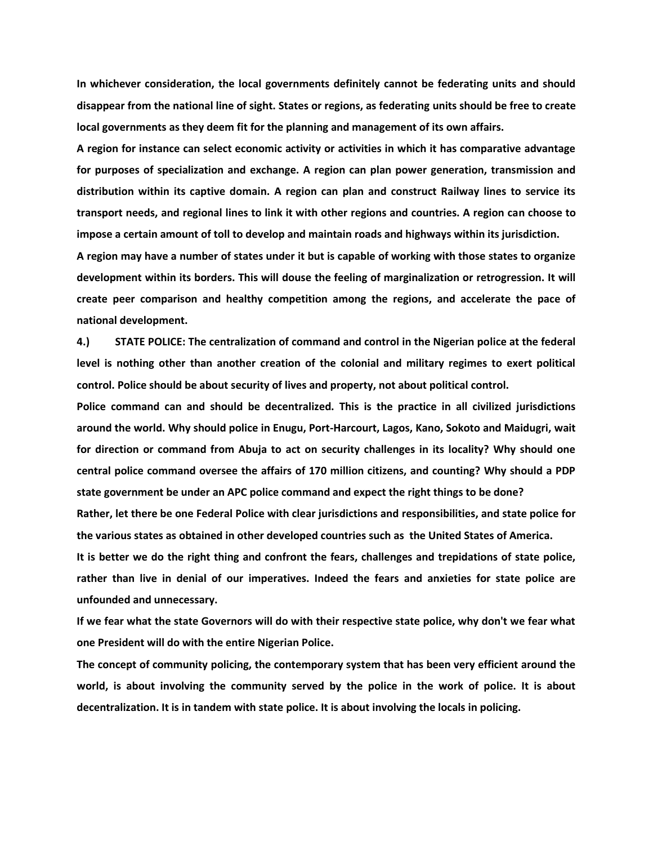**In whichever consideration, the local governments definitely cannot be federating units and should disappear from the national line of sight. States or regions, as federating units should be free to create local governments as they deem fit for the planning and management of its own affairs.**

**A region for instance can select economic activity or activities in which it has comparative advantage for purposes of specialization and exchange. A region can plan power generation, transmission and distribution within its captive domain. A region can plan and construct Railway lines to service its transport needs, and regional lines to link it with other regions and countries. A region can choose to impose a certain amount of toll to develop and maintain roads and highways within its jurisdiction.**

**A region may have a number of states under it but is capable of working with those states to organize development within its borders. This will douse the feeling of marginalization or retrogression. It will create peer comparison and healthy competition among the regions, and accelerate the pace of national development.**

**4.) STATE POLICE: The centralization of command and control in the Nigerian police at the federal level is nothing other than another creation of the colonial and military regimes to exert political control. Police should be about security of lives and property, not about political control.**

**Police command can and should be decentralized. This is the practice in all civilized jurisdictions around the world. Why should police in Enugu, Port-Harcourt, Lagos, Kano, Sokoto and Maidugri, wait for direction or command from Abuja to act on security challenges in its locality? Why should one central police command oversee the affairs of 170 million citizens, and counting? Why should a PDP state government be under an APC police command and expect the right things to be done?** 

**Rather, let there be one Federal Police with clear jurisdictions and responsibilities, and state police for the various states as obtained in other developed countries such as the United States of America.**

**It is better we do the right thing and confront the fears, challenges and trepidations of state police, rather than live in denial of our imperatives. Indeed the fears and anxieties for state police are unfounded and unnecessary.** 

**If we fear what the state Governors will do with their respective state police, why don't we fear what one President will do with the entire Nigerian Police.**

**The concept of community policing, the contemporary system that has been very efficient around the world, is about involving the community served by the police in the work of police. It is about decentralization. It is in tandem with state police. It is about involving the locals in policing.**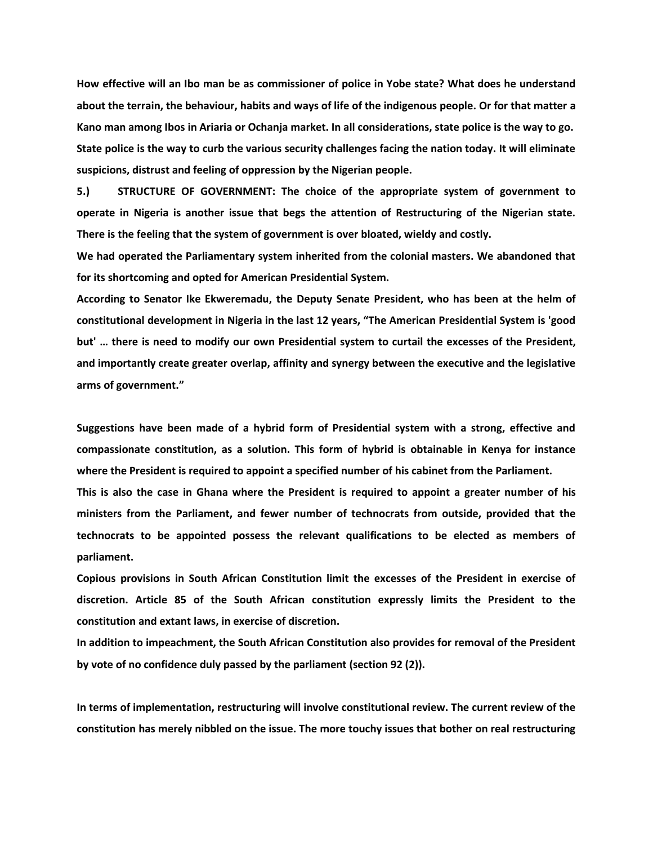**How effective will an Ibo man be as commissioner of police in Yobe state? What does he understand about the terrain, the behaviour, habits and ways of life of the indigenous people. Or for that matter a Kano man among Ibos in Ariaria or Ochanja market. In all considerations, state police is the way to go. State police is the way to curb the various security challenges facing the nation today. It will eliminate suspicions, distrust and feeling of oppression by the Nigerian people.**

**5.) STRUCTURE OF GOVERNMENT: The choice of the appropriate system of government to operate in Nigeria is another issue that begs the attention of Restructuring of the Nigerian state. There is the feeling that the system of government is over bloated, wieldy and costly.**

**We had operated the Parliamentary system inherited from the colonial masters. We abandoned that for its shortcoming and opted for American Presidential System.** 

**According to Senator Ike Ekweremadu, the Deputy Senate President, who has been at the helm of constitutional development in Nigeria in the last 12 years, "The American Presidential System is 'good but' … there is need to modify our own Presidential system to curtail the excesses of the President, and importantly create greater overlap, affinity and synergy between the executive and the legislative arms of government."**

**Suggestions have been made of a hybrid form of Presidential system with a strong, effective and compassionate constitution, as a solution. This form of hybrid is obtainable in Kenya for instance where the President is required to appoint a specified number of his cabinet from the Parliament.** 

**This is also the case in Ghana where the President is required to appoint a greater number of his ministers from the Parliament, and fewer number of technocrats from outside, provided that the technocrats to be appointed possess the relevant qualifications to be elected as members of parliament.**

**Copious provisions in South African Constitution limit the excesses of the President in exercise of discretion. Article 85 of the South African constitution expressly limits the President to the constitution and extant laws, in exercise of discretion.** 

**In addition to impeachment, the South African Constitution also provides for removal of the President by vote of no confidence duly passed by the parliament (section 92 (2)).**

**In terms of implementation, restructuring will involve constitutional review. The current review of the constitution has merely nibbled on the issue. The more touchy issues that bother on real restructuring**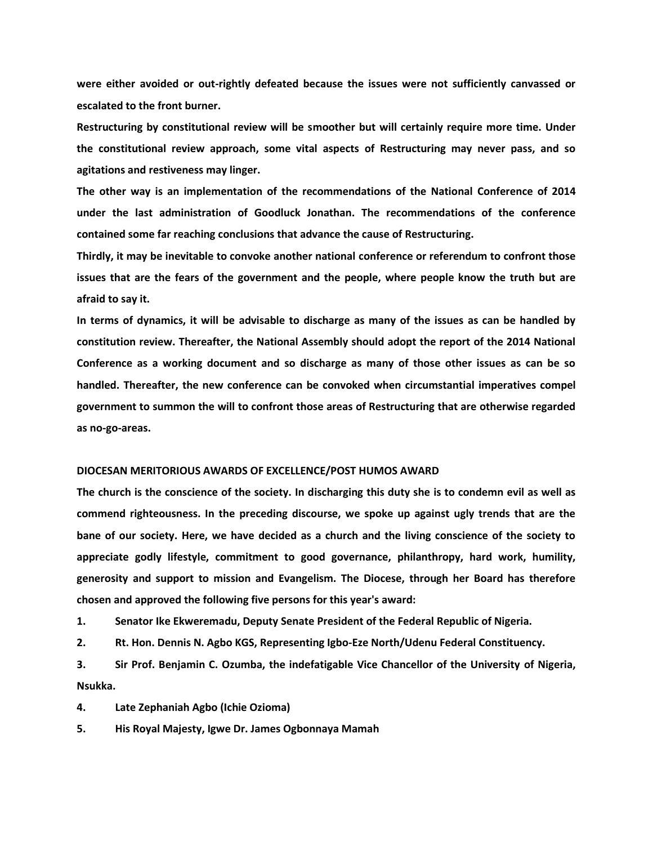**were either avoided or out-rightly defeated because the issues were not sufficiently canvassed or escalated to the front burner.**

**Restructuring by constitutional review will be smoother but will certainly require more time. Under the constitutional review approach, some vital aspects of Restructuring may never pass, and so agitations and restiveness may linger.**

**The other way is an implementation of the recommendations of the National Conference of 2014 under the last administration of Goodluck Jonathan. The recommendations of the conference contained some far reaching conclusions that advance the cause of Restructuring.**

**Thirdly, it may be inevitable to convoke another national conference or referendum to confront those issues that are the fears of the government and the people, where people know the truth but are afraid to say it.**

**In terms of dynamics, it will be advisable to discharge as many of the issues as can be handled by constitution review. Thereafter, the National Assembly should adopt the report of the 2014 National Conference as a working document and so discharge as many of those other issues as can be so handled. Thereafter, the new conference can be convoked when circumstantial imperatives compel government to summon the will to confront those areas of Restructuring that are otherwise regarded as no-go-areas.**

### **DIOCESAN MERITORIOUS AWARDS OF EXCELLENCE/POST HUMOS AWARD**

**The church is the conscience of the society. In discharging this duty she is to condemn evil as well as commend righteousness. In the preceding discourse, we spoke up against ugly trends that are the bane of our society. Here, we have decided as a church and the living conscience of the society to appreciate godly lifestyle, commitment to good governance, philanthropy, hard work, humility, generosity and support to mission and Evangelism. The Diocese, through her Board has therefore chosen and approved the following five persons for this year's award:**

**1. Senator Ike Ekweremadu, Deputy Senate President of the Federal Republic of Nigeria.**

**2. Rt. Hon. Dennis N. Agbo KGS, Representing Igbo-Eze North/Udenu Federal Constituency.**

**3. Sir Prof. Benjamin C. Ozumba, the indefatigable Vice Chancellor of the University of Nigeria, Nsukka.** 

**4. Late Zephaniah Agbo (Ichie Ozioma)**

**5. His Royal Majesty, Igwe Dr. James Ogbonnaya Mamah**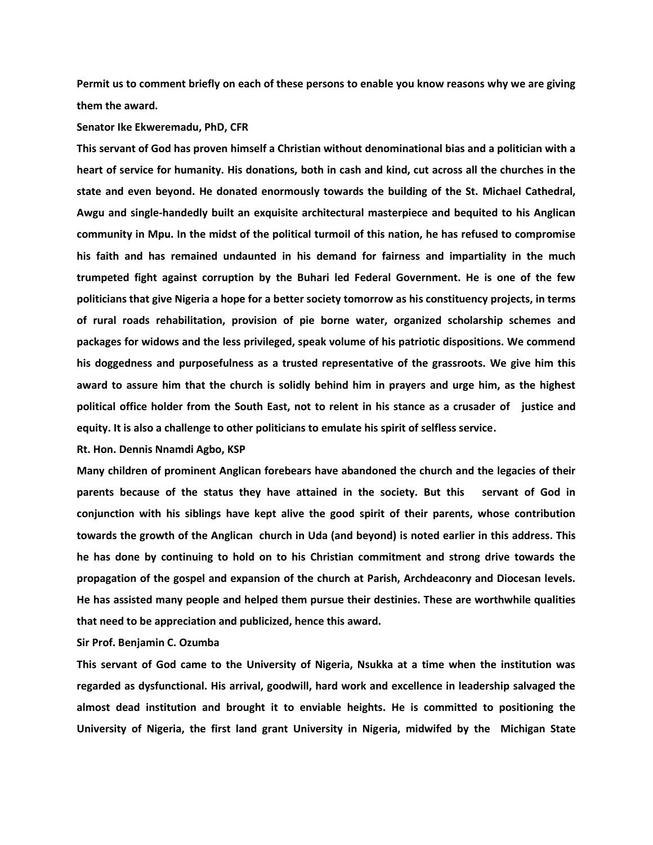**Permit us to comment briefly on each of these persons to enable you know reasons why we are giving them the award.**

### **Senator Ike Ekweremadu, PhD, CFR**

**This servant of God has proven himself a Christian without denominational bias and a politician with a heart of service for humanity. His donations, both in cash and kind, cut across all the churches in the state and even beyond. He donated enormously towards the building of the St. Michael Cathedral, Awgu and single-handedly built an exquisite architectural masterpiece and bequited to his Anglican community in Mpu. In the midst of the political turmoil of this nation, he has refused to compromise his faith and has remained undaunted in his demand for fairness and impartiality in the much trumpeted fight against corruption by the Buhari led Federal Government. He is one of the few politicians that give Nigeria a hope for a better society tomorrow as his constituency projects, in terms of rural roads rehabilitation, provision of pie borne water, organized scholarship schemes and packages for widows and the less privileged, speak volume of his patriotic dispositions. We commend his doggedness and purposefulness as a trusted representative of the grassroots. We give him this award to assure him that the church is solidly behind him in prayers and urge him, as the highest political office holder from the South East, not to relent in his stance as a crusader of justice and equity. It is also a challenge to other politicians to emulate his spirit of selfless service.**

**Rt. Hon. Dennis Nnamdi Agbo, KSP**

**Many children of prominent Anglican forebears have abandoned the church and the legacies of their parents because of the status they have attained in the society. But this servant of God in conjunction with his siblings have kept alive the good spirit of their parents, whose contribution towards the growth of the Anglican church in Uda (and beyond) is noted earlier in this address. This he has done by continuing to hold on to his Christian commitment and strong drive towards the propagation of the gospel and expansion of the church at Parish, Archdeaconry and Diocesan levels. He has assisted many people and helped them pursue their destinies. These are worthwhile qualities that need to be appreciation and publicized, hence this award.** 

**Sir Prof. Benjamin C. Ozumba**

**This servant of God came to the University of Nigeria, Nsukka at a time when the institution was regarded as dysfunctional. His arrival, goodwill, hard work and excellence in leadership salvaged the almost dead institution and brought it to enviable heights. He is committed to positioning the University of Nigeria, the first land grant University in Nigeria, midwifed by the Michigan State**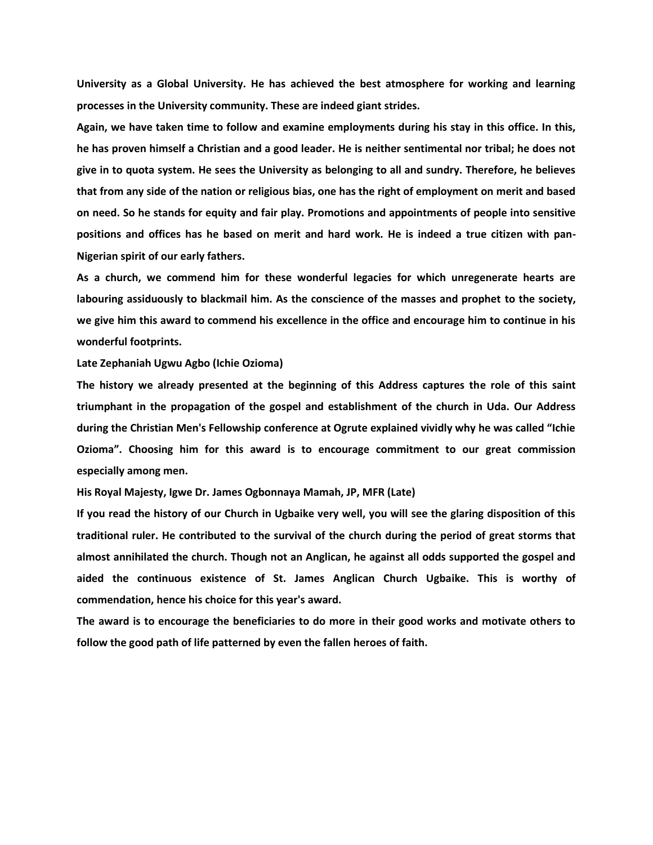**University as a Global University. He has achieved the best atmosphere for working and learning processes in the University community. These are indeed giant strides.**

**Again, we have taken time to follow and examine employments during his stay in this office. In this, he has proven himself a Christian and a good leader. He is neither sentimental nor tribal; he does not give in to quota system. He sees the University as belonging to all and sundry. Therefore, he believes that from any side of the nation or religious bias, one has the right of employment on merit and based on need. So he stands for equity and fair play. Promotions and appointments of people into sensitive positions and offices has he based on merit and hard work. He is indeed a true citizen with pan-Nigerian spirit of our early fathers.**

**As a church, we commend him for these wonderful legacies for which unregenerate hearts are labouring assiduously to blackmail him. As the conscience of the masses and prophet to the society, we give him this award to commend his excellence in the office and encourage him to continue in his wonderful footprints.**

**Late Zephaniah Ugwu Agbo (Ichie Ozioma)**

**The history we already presented at the beginning of this Address captures the role of this saint triumphant in the propagation of the gospel and establishment of the church in Uda. Our Address during the Christian Men's Fellowship conference at Ogrute explained vividly why he was called "Ichie Ozioma". Choosing him for this award is to encourage commitment to our great commission especially among men.**

**His Royal Majesty, Igwe Dr. James Ogbonnaya Mamah, JP, MFR (Late)** 

**If you read the history of our Church in Ugbaike very well, you will see the glaring disposition of this traditional ruler. He contributed to the survival of the church during the period of great storms that almost annihilated the church. Though not an Anglican, he against all odds supported the gospel and aided the continuous existence of St. James Anglican Church Ugbaike. This is worthy of commendation, hence his choice for this year's award.** 

**The award is to encourage the beneficiaries to do more in their good works and motivate others to follow the good path of life patterned by even the fallen heroes of faith.**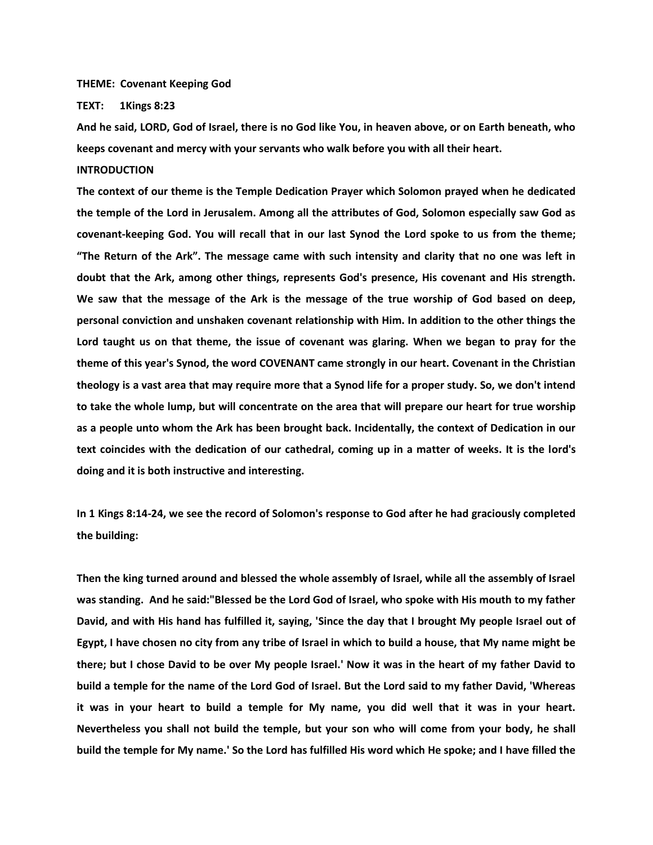**THEME: Covenant Keeping God**

**TEXT: 1Kings 8:23**

**And he said, LORD, God of Israel, there is no God like You, in heaven above, or on Earth beneath, who keeps covenant and mercy with your servants who walk before you with all their heart.**

# **INTRODUCTION**

**The context of our theme is the Temple Dedication Prayer which Solomon prayed when he dedicated the temple of the Lord in Jerusalem. Among all the attributes of God, Solomon especially saw God as covenant-keeping God. You will recall that in our last Synod the Lord spoke to us from the theme; "The Return of the Ark". The message came with such intensity and clarity that no one was left in doubt that the Ark, among other things, represents God's presence, His covenant and His strength. We saw that the message of the Ark is the message of the true worship of God based on deep, personal conviction and unshaken covenant relationship with Him. In addition to the other things the Lord taught us on that theme, the issue of covenant was glaring. When we began to pray for the theme of this year's Synod, the word COVENANT came strongly in our heart. Covenant in the Christian theology is a vast area that may require more that a Synod life for a proper study. So, we don't intend to take the whole lump, but will concentrate on the area that will prepare our heart for true worship as a people unto whom the Ark has been brought back. Incidentally, the context of Dedication in our text coincides with the dedication of our cathedral, coming up in a matter of weeks. It is the lord's doing and it is both instructive and interesting.**

**In 1 Kings 8:14-24, we see the record of Solomon's response to God after he had graciously completed the building:** 

**Then the king turned around and blessed the whole assembly of Israel, while all the assembly of Israel was standing. And he said:"Blessed be the Lord God of Israel, who spoke with His mouth to my father David, and with His hand has fulfilled it, saying, 'Since the day that I brought My people Israel out of Egypt, I have chosen no city from any tribe of Israel in which to build a house, that My name might be there; but I chose David to be over My people Israel.' Now it was in the heart of my father David to build a temple for the name of the Lord God of Israel. But the Lord said to my father David, 'Whereas it was in your heart to build a temple for My name, you did well that it was in your heart. Nevertheless you shall not build the temple, but your son who will come from your body, he shall build the temple for My name.' So the Lord has fulfilled His word which He spoke; and I have filled the**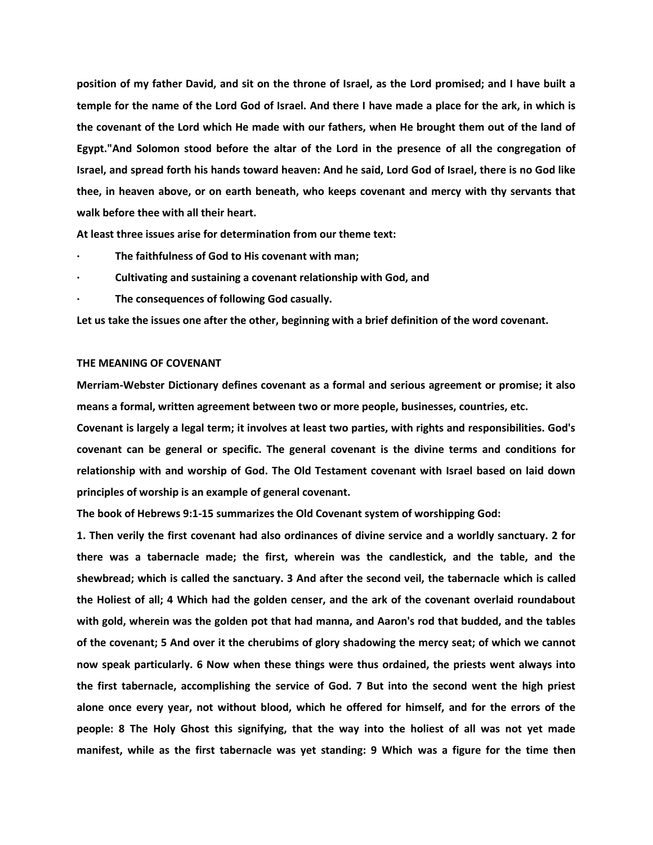**position of my father David, and sit on the throne of Israel, as the Lord promised; and I have built a temple for the name of the Lord God of Israel. And there I have made a place for the ark, in which is the covenant of the Lord which He made with our fathers, when He brought them out of the land of Egypt."And Solomon stood before the altar of the Lord in the presence of all the congregation of Israel, and spread forth his hands toward heaven: And he said, Lord God of Israel, there is no God like thee, in heaven above, or on earth beneath, who keeps covenant and mercy with thy servants that walk before thee with all their heart.**

**At least three issues arise for determination from our theme text:** 

- **· The faithfulness of God to His covenant with man;**
- **· Cultivating and sustaining a covenant relationship with God, and**
- **· The consequences of following God casually.**

**Let us take the issues one after the other, beginning with a brief definition of the word covenant.**

# **THE MEANING OF COVENANT**

**Merriam-Webster Dictionary defines covenant as a formal and serious agreement or promise; it also means a formal, written agreement between two or more people, businesses, countries, etc.**

**Covenant is largely a legal term; it involves at least two parties, with rights and responsibilities. God's covenant can be general or specific. The general covenant is the divine terms and conditions for relationship with and worship of God. The Old Testament covenant with Israel based on laid down principles of worship is an example of general covenant.** 

**The book of Hebrews 9:1-15 summarizes the Old Covenant system of worshipping God:**

**1. Then verily the first covenant had also ordinances of divine service and a worldly sanctuary. 2 for there was a tabernacle made; the first, wherein was the candlestick, and the table, and the shewbread; which is called the sanctuary. 3 And after the second veil, the tabernacle which is called the Holiest of all; 4 Which had the golden censer, and the ark of the covenant overlaid roundabout with gold, wherein was the golden pot that had manna, and Aaron's rod that budded, and the tables of the covenant; 5 And over it the cherubims of glory shadowing the mercy seat; of which we cannot now speak particularly. 6 Now when these things were thus ordained, the priests went always into the first tabernacle, accomplishing the service of God. 7 But into the second went the high priest alone once every year, not without blood, which he offered for himself, and for the errors of the people: 8 The Holy Ghost this signifying, that the way into the holiest of all was not yet made manifest, while as the first tabernacle was yet standing: 9 Which was a figure for the time then**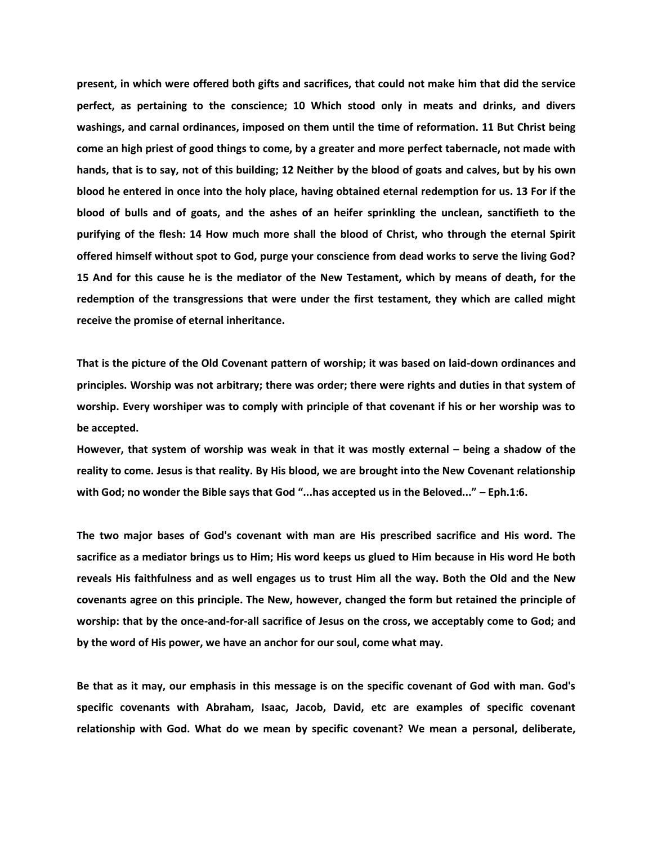**present, in which were offered both gifts and sacrifices, that could not make him that did the service perfect, as pertaining to the conscience; 10 Which stood only in meats and drinks, and divers washings, and carnal ordinances, imposed on them until the time of reformation. 11 But Christ being come an high priest of good things to come, by a greater and more perfect tabernacle, not made with hands, that is to say, not of this building; 12 Neither by the blood of goats and calves, but by his own blood he entered in once into the holy place, having obtained eternal redemption for us. 13 For if the blood of bulls and of goats, and the ashes of an heifer sprinkling the unclean, sanctifieth to the purifying of the flesh: 14 How much more shall the blood of Christ, who through the eternal Spirit offered himself without spot to God, purge your conscience from dead works to serve the living God? 15 And for this cause he is the mediator of the New Testament, which by means of death, for the redemption of the transgressions that were under the first testament, they which are called might receive the promise of eternal inheritance.**

**That is the picture of the Old Covenant pattern of worship; it was based on laid-down ordinances and principles. Worship was not arbitrary; there was order; there were rights and duties in that system of worship. Every worshiper was to comply with principle of that covenant if his or her worship was to be accepted.**

**However, that system of worship was weak in that it was mostly external – being a shadow of the reality to come. Jesus is that reality. By His blood, we are brought into the New Covenant relationship with God; no wonder the Bible says that God "...has accepted us in the Beloved..." – Eph.1:6.**

**The two major bases of God's covenant with man are His prescribed sacrifice and His word. The sacrifice as a mediator brings us to Him; His word keeps us glued to Him because in His word He both reveals His faithfulness and as well engages us to trust Him all the way. Both the Old and the New covenants agree on this principle. The New, however, changed the form but retained the principle of worship: that by the once-and-for-all sacrifice of Jesus on the cross, we acceptably come to God; and by the word of His power, we have an anchor for our soul, come what may.**

**Be that as it may, our emphasis in this message is on the specific covenant of God with man. God's specific covenants with Abraham, Isaac, Jacob, David, etc are examples of specific covenant relationship with God. What do we mean by specific covenant? We mean a personal, deliberate,**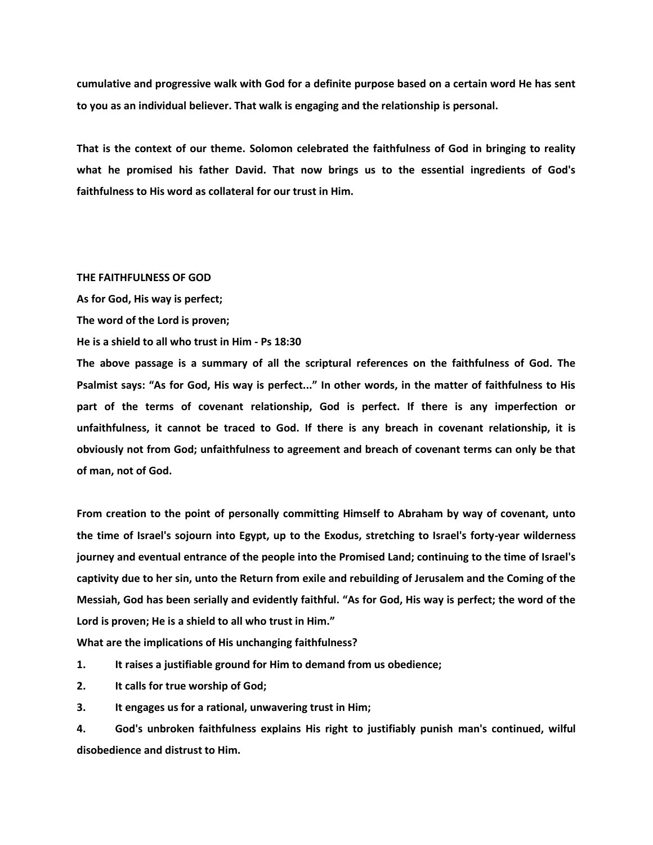**cumulative and progressive walk with God for a definite purpose based on a certain word He has sent to you as an individual believer. That walk is engaging and the relationship is personal.**

**That is the context of our theme. Solomon celebrated the faithfulness of God in bringing to reality what he promised his father David. That now brings us to the essential ingredients of God's faithfulness to His word as collateral for our trust in Him.**

# **THE FAITHFULNESS OF GOD**

**As for God, His way is perfect;**

**The word of the Lord is proven;**

**He is a shield to all who trust in Him - Ps 18:30**

**The above passage is a summary of all the scriptural references on the faithfulness of God. The Psalmist says: "As for God, His way is perfect..." In other words, in the matter of faithfulness to His part of the terms of covenant relationship, God is perfect. If there is any imperfection or unfaithfulness, it cannot be traced to God. If there is any breach in covenant relationship, it is obviously not from God; unfaithfulness to agreement and breach of covenant terms can only be that of man, not of God.**

**From creation to the point of personally committing Himself to Abraham by way of covenant, unto the time of Israel's sojourn into Egypt, up to the Exodus, stretching to Israel's forty-year wilderness journey and eventual entrance of the people into the Promised Land; continuing to the time of Israel's captivity due to her sin, unto the Return from exile and rebuilding of Jerusalem and the Coming of the Messiah, God has been serially and evidently faithful. "As for God, His way is perfect; the word of the Lord is proven; He is a shield to all who trust in Him."**

**What are the implications of His unchanging faithfulness?** 

**1. It raises a justifiable ground for Him to demand from us obedience;** 

**2. It calls for true worship of God;** 

**3. It engages us for a rational, unwavering trust in Him;** 

**4. God's unbroken faithfulness explains His right to justifiably punish man's continued, wilful disobedience and distrust to Him.**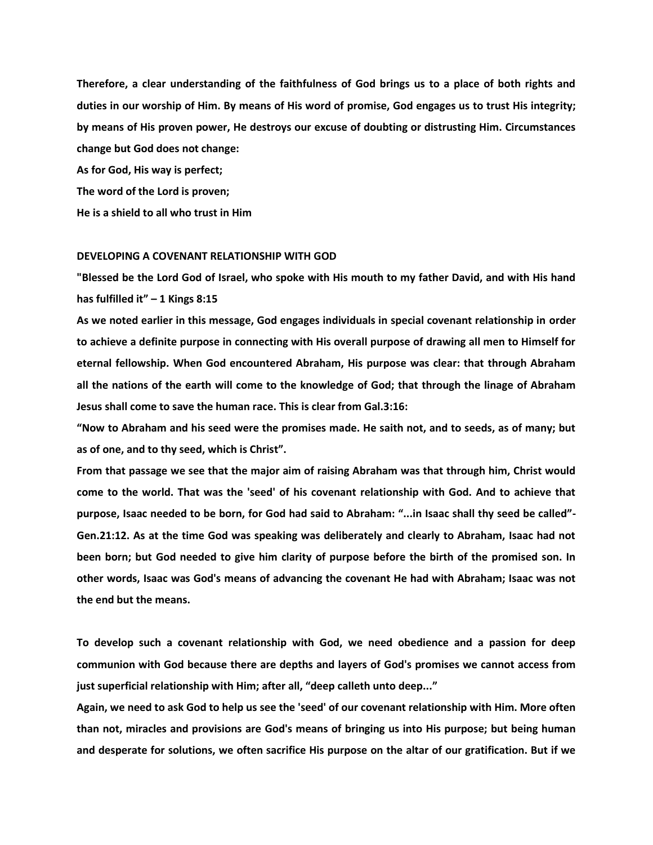**Therefore, a clear understanding of the faithfulness of God brings us to a place of both rights and duties in our worship of Him. By means of His word of promise, God engages us to trust His integrity; by means of His proven power, He destroys our excuse of doubting or distrusting Him. Circumstances change but God does not change:**

**As for God, His way is perfect; The word of the Lord is proven; He is a shield to all who trust in Him**

### **DEVELOPING A COVENANT RELATIONSHIP WITH GOD**

**"Blessed be the Lord God of Israel, who spoke with His mouth to my father David, and with His hand has fulfilled it" – 1 Kings 8:15**

**As we noted earlier in this message, God engages individuals in special covenant relationship in order to achieve a definite purpose in connecting with His overall purpose of drawing all men to Himself for eternal fellowship. When God encountered Abraham, His purpose was clear: that through Abraham all the nations of the earth will come to the knowledge of God; that through the linage of Abraham Jesus shall come to save the human race. This is clear from Gal.3:16:**

**"Now to Abraham and his seed were the promises made. He saith not, and to seeds, as of many; but as of one, and to thy seed, which is Christ".**

**From that passage we see that the major aim of raising Abraham was that through him, Christ would come to the world. That was the 'seed' of his covenant relationship with God. And to achieve that purpose, Isaac needed to be born, for God had said to Abraham: "...in Isaac shall thy seed be called"- Gen.21:12. As at the time God was speaking was deliberately and clearly to Abraham, Isaac had not been born; but God needed to give him clarity of purpose before the birth of the promised son. In other words, Isaac was God's means of advancing the covenant He had with Abraham; Isaac was not the end but the means.**

**To develop such a covenant relationship with God, we need obedience and a passion for deep communion with God because there are depths and layers of God's promises we cannot access from just superficial relationship with Him; after all, "deep calleth unto deep..."**

**Again, we need to ask God to help us see the 'seed' of our covenant relationship with Him. More often than not, miracles and provisions are God's means of bringing us into His purpose; but being human and desperate for solutions, we often sacrifice His purpose on the altar of our gratification. But if we**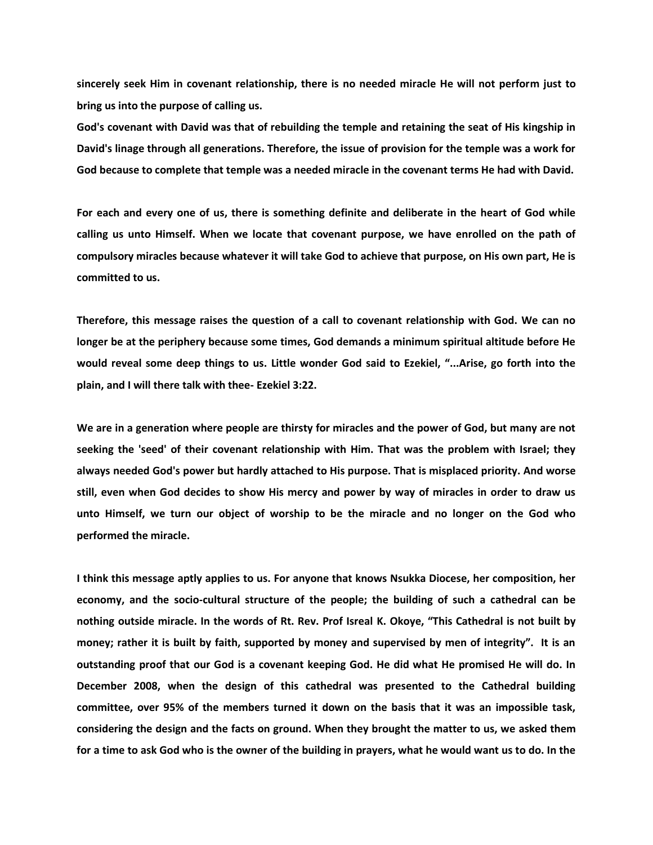**sincerely seek Him in covenant relationship, there is no needed miracle He will not perform just to bring us into the purpose of calling us.**

**God's covenant with David was that of rebuilding the temple and retaining the seat of His kingship in David's linage through all generations. Therefore, the issue of provision for the temple was a work for God because to complete that temple was a needed miracle in the covenant terms He had with David.**

**For each and every one of us, there is something definite and deliberate in the heart of God while calling us unto Himself. When we locate that covenant purpose, we have enrolled on the path of compulsory miracles because whatever it will take God to achieve that purpose, on His own part, He is committed to us.**

**Therefore, this message raises the question of a call to covenant relationship with God. We can no longer be at the periphery because some times, God demands a minimum spiritual altitude before He would reveal some deep things to us. Little wonder God said to Ezekiel, "...Arise, go forth into the plain, and I will there talk with thee- Ezekiel 3:22.**

**We are in a generation where people are thirsty for miracles and the power of God, but many are not seeking the 'seed' of their covenant relationship with Him. That was the problem with Israel; they always needed God's power but hardly attached to His purpose. That is misplaced priority. And worse still, even when God decides to show His mercy and power by way of miracles in order to draw us unto Himself, we turn our object of worship to be the miracle and no longer on the God who performed the miracle.**

**I think this message aptly applies to us. For anyone that knows Nsukka Diocese, her composition, her economy, and the socio-cultural structure of the people; the building of such a cathedral can be nothing outside miracle. In the words of Rt. Rev. Prof Isreal K. Okoye, "This Cathedral is not built by money; rather it is built by faith, supported by money and supervised by men of integrity". It is an outstanding proof that our God is a covenant keeping God. He did what He promised He will do. In December 2008, when the design of this cathedral was presented to the Cathedral building committee, over 95% of the members turned it down on the basis that it was an impossible task, considering the design and the facts on ground. When they brought the matter to us, we asked them for a time to ask God who is the owner of the building in prayers, what he would want us to do. In the**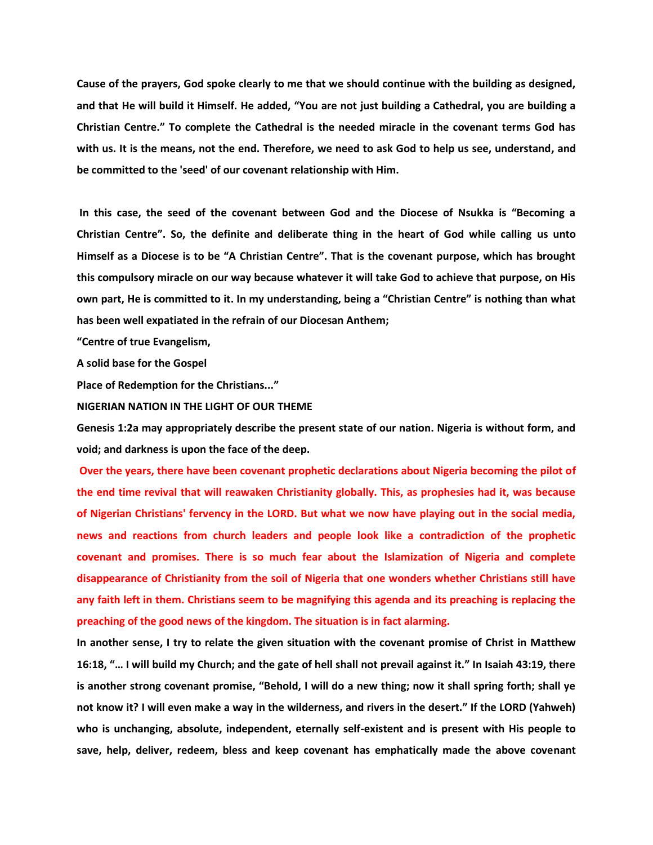**Cause of the prayers, God spoke clearly to me that we should continue with the building as designed, and that He will build it Himself. He added, "You are not just building a Cathedral, you are building a Christian Centre." To complete the Cathedral is the needed miracle in the covenant terms God has with us. It is the means, not the end. Therefore, we need to ask God to help us see, understand, and be committed to the 'seed' of our covenant relationship with Him.**

**In this case, the seed of the covenant between God and the Diocese of Nsukka is "Becoming a Christian Centre". So, the definite and deliberate thing in the heart of God while calling us unto Himself as a Diocese is to be "A Christian Centre". That is the covenant purpose, which has brought this compulsory miracle on our way because whatever it will take God to achieve that purpose, on His own part, He is committed to it. In my understanding, being a "Christian Centre" is nothing than what has been well expatiated in the refrain of our Diocesan Anthem;**

**"Centre of true Evangelism,** 

**A solid base for the Gospel**

**Place of Redemption for the Christians..."**

**NIGERIAN NATION IN THE LIGHT OF OUR THEME**

**Genesis 1:2a may appropriately describe the present state of our nation. Nigeria is without form, and void; and darkness is upon the face of the deep.**

**Over the years, there have been covenant prophetic declarations about Nigeria becoming the pilot of the end time revival that will reawaken Christianity globally. This, as prophesies had it, was because of Nigerian Christians' fervency in the LORD. But what we now have playing out in the social media, news and reactions from church leaders and people look like a contradiction of the prophetic covenant and promises. There is so much fear about the Islamization of Nigeria and complete disappearance of Christianity from the soil of Nigeria that one wonders whether Christians still have any faith left in them. Christians seem to be magnifying this agenda and its preaching is replacing the preaching of the good news of the kingdom. The situation is in fact alarming.**

**In another sense, I try to relate the given situation with the covenant promise of Christ in Matthew 16:18, "… I will build my Church; and the gate of hell shall not prevail against it." In Isaiah 43:19, there is another strong covenant promise, "Behold, I will do a new thing; now it shall spring forth; shall ye not know it? I will even make a way in the wilderness, and rivers in the desert." If the LORD (Yahweh) who is unchanging, absolute, independent, eternally self-existent and is present with His people to save, help, deliver, redeem, bless and keep covenant has emphatically made the above covenant**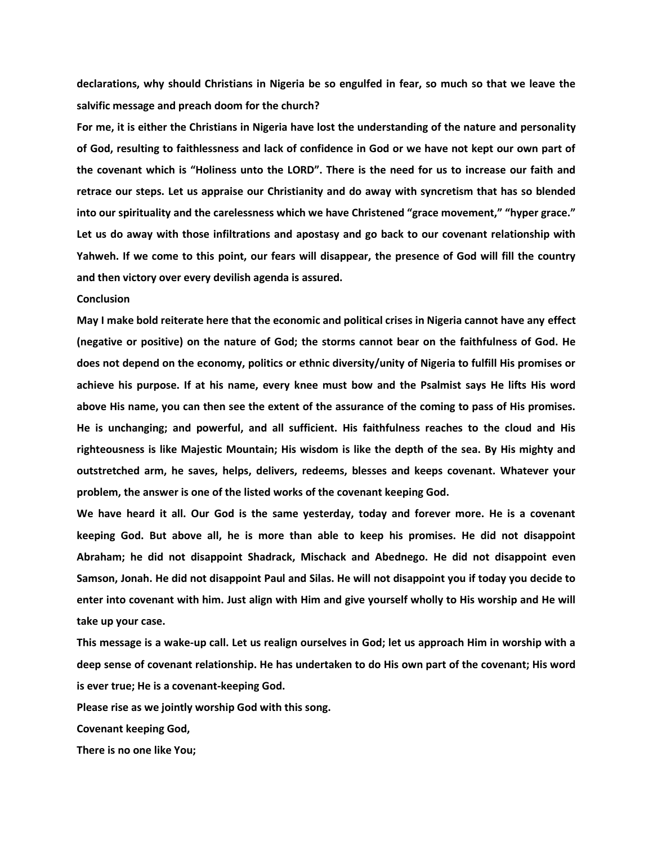**declarations, why should Christians in Nigeria be so engulfed in fear, so much so that we leave the salvific message and preach doom for the church?**

**For me, it is either the Christians in Nigeria have lost the understanding of the nature and personality of God, resulting to faithlessness and lack of confidence in God or we have not kept our own part of the covenant which is "Holiness unto the LORD". There is the need for us to increase our faith and retrace our steps. Let us appraise our Christianity and do away with syncretism that has so blended into our spirituality and the carelessness which we have Christened "grace movement," "hyper grace." Let us do away with those infiltrations and apostasy and go back to our covenant relationship with Yahweh. If we come to this point, our fears will disappear, the presence of God will fill the country and then victory over every devilish agenda is assured.**

# **Conclusion**

**May I make bold reiterate here that the economic and political crises in Nigeria cannot have any effect (negative or positive) on the nature of God; the storms cannot bear on the faithfulness of God. He does not depend on the economy, politics or ethnic diversity/unity of Nigeria to fulfill His promises or achieve his purpose. If at his name, every knee must bow and the Psalmist says He lifts His word above His name, you can then see the extent of the assurance of the coming to pass of His promises. He is unchanging; and powerful, and all sufficient. His faithfulness reaches to the cloud and His righteousness is like Majestic Mountain; His wisdom is like the depth of the sea. By His mighty and outstretched arm, he saves, helps, delivers, redeems, blesses and keeps covenant. Whatever your problem, the answer is one of the listed works of the covenant keeping God.** 

**We have heard it all. Our God is the same yesterday, today and forever more. He is a covenant keeping God. But above all, he is more than able to keep his promises. He did not disappoint Abraham; he did not disappoint Shadrack, Mischack and Abednego. He did not disappoint even Samson, Jonah. He did not disappoint Paul and Silas. He will not disappoint you if today you decide to enter into covenant with him. Just align with Him and give yourself wholly to His worship and He will take up your case.**

**This message is a wake-up call. Let us realign ourselves in God; let us approach Him in worship with a deep sense of covenant relationship. He has undertaken to do His own part of the covenant; His word is ever true; He is a covenant-keeping God.**

**Please rise as we jointly worship God with this song.**

**Covenant keeping God,**

**There is no one like You;**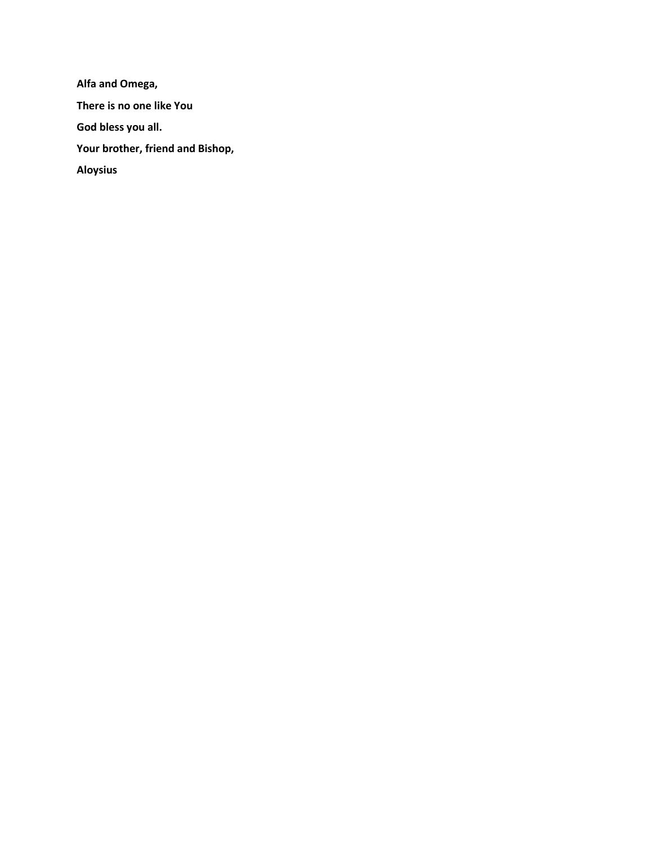**Alfa and Omega, There is no one like You God bless you all. Your brother, friend and Bishop, Aloysius**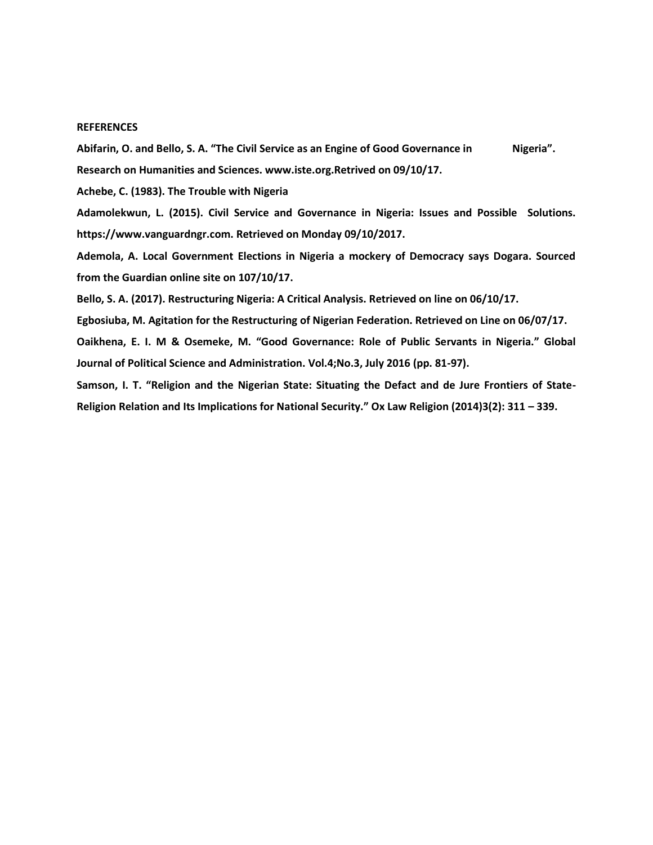### **REFERENCES**

Abifarin, O. and Bello, S. A. "The Civil Service as an Engine of Good Governance in Nigeria". **Research on Humanities and Sciences. www.iste.org.Retrived on 09/10/17.**

**Achebe, C. (1983). The Trouble with Nigeria**

**Adamolekwun, L. (2015). Civil Service and Governance in Nigeria: Issues and Possible Solutions. https://www.vanguardngr.com. Retrieved on Monday 09/10/2017.**

**Ademola, A. Local Government Elections in Nigeria a mockery of Democracy says Dogara. Sourced from the Guardian online site on 107/10/17.**

**Bello, S. A. (2017). Restructuring Nigeria: A Critical Analysis. Retrieved on line on 06/10/17.**

**Egbosiuba, M. Agitation for the Restructuring of Nigerian Federation. Retrieved on Line on 06/07/17.**

**Oaikhena, E. I. M & Osemeke, M. "Good Governance: Role of Public Servants in Nigeria." Global Journal of Political Science and Administration. Vol.4;No.3, July 2016 (pp. 81-97).**

**Samson, I. T. "Religion and the Nigerian State: Situating the Defact and de Jure Frontiers of State-Religion Relation and Its Implications for National Security." Ox Law Religion (2014)3(2): 311 – 339.**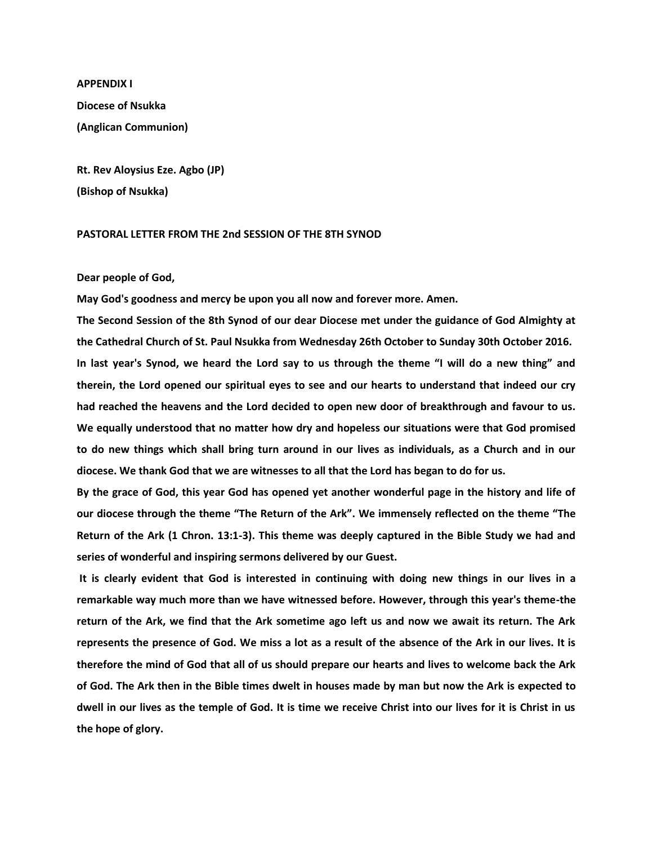**APPENDIX I Diocese of Nsukka (Anglican Communion)**

**Rt. Rev Aloysius Eze. Agbo (JP) (Bishop of Nsukka)**

# **PASTORAL LETTER FROM THE 2nd SESSION OF THE 8TH SYNOD**

# **Dear people of God,**

**May God's goodness and mercy be upon you all now and forever more. Amen.** 

**The Second Session of the 8th Synod of our dear Diocese met under the guidance of God Almighty at the Cathedral Church of St. Paul Nsukka from Wednesday 26th October to Sunday 30th October 2016. In last year's Synod, we heard the Lord say to us through the theme "I will do a new thing" and therein, the Lord opened our spiritual eyes to see and our hearts to understand that indeed our cry had reached the heavens and the Lord decided to open new door of breakthrough and favour to us. We equally understood that no matter how dry and hopeless our situations were that God promised to do new things which shall bring turn around in our lives as individuals, as a Church and in our diocese. We thank God that we are witnesses to all that the Lord has began to do for us.** 

**By the grace of God, this year God has opened yet another wonderful page in the history and life of our diocese through the theme "The Return of the Ark". We immensely reflected on the theme "The Return of the Ark (1 Chron. 13:1-3). This theme was deeply captured in the Bible Study we had and series of wonderful and inspiring sermons delivered by our Guest.** 

**It is clearly evident that God is interested in continuing with doing new things in our lives in a remarkable way much more than we have witnessed before. However, through this year's theme-the return of the Ark, we find that the Ark sometime ago left us and now we await its return. The Ark represents the presence of God. We miss a lot as a result of the absence of the Ark in our lives. It is therefore the mind of God that all of us should prepare our hearts and lives to welcome back the Ark of God. The Ark then in the Bible times dwelt in houses made by man but now the Ark is expected to dwell in our lives as the temple of God. It is time we receive Christ into our lives for it is Christ in us the hope of glory.**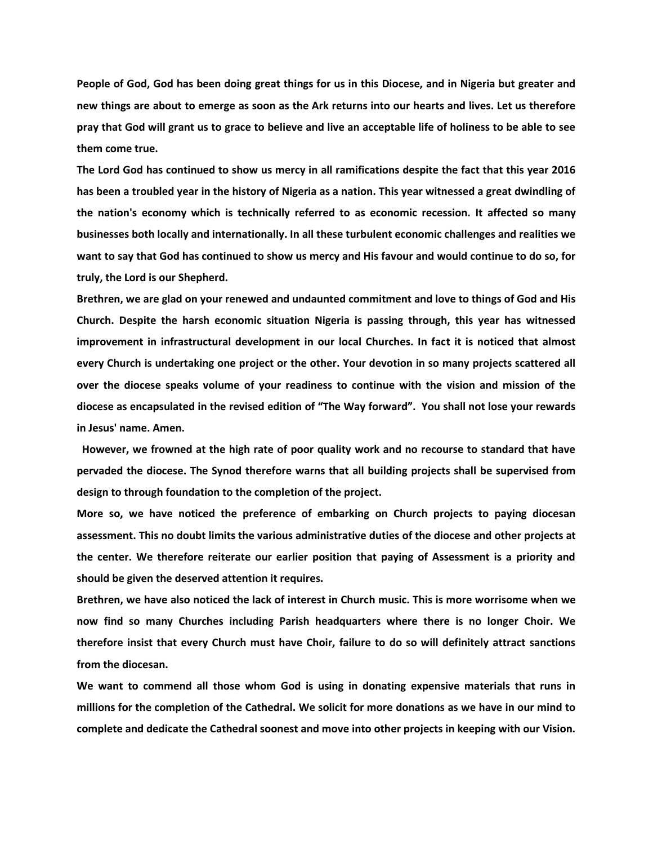**People of God, God has been doing great things for us in this Diocese, and in Nigeria but greater and new things are about to emerge as soon as the Ark returns into our hearts and lives. Let us therefore pray that God will grant us to grace to believe and live an acceptable life of holiness to be able to see them come true.** 

**The Lord God has continued to show us mercy in all ramifications despite the fact that this year 2016 has been a troubled year in the history of Nigeria as a nation. This year witnessed a great dwindling of the nation's economy which is technically referred to as economic recession. It affected so many businesses both locally and internationally. In all these turbulent economic challenges and realities we want to say that God has continued to show us mercy and His favour and would continue to do so, for truly, the Lord is our Shepherd.** 

**Brethren, we are glad on your renewed and undaunted commitment and love to things of God and His Church. Despite the harsh economic situation Nigeria is passing through, this year has witnessed improvement in infrastructural development in our local Churches. In fact it is noticed that almost every Church is undertaking one project or the other. Your devotion in so many projects scattered all over the diocese speaks volume of your readiness to continue with the vision and mission of the diocese as encapsulated in the revised edition of "The Way forward". You shall not lose your rewards in Jesus' name. Amen.** 

 **However, we frowned at the high rate of poor quality work and no recourse to standard that have pervaded the diocese. The Synod therefore warns that all building projects shall be supervised from design to through foundation to the completion of the project.** 

**More so, we have noticed the preference of embarking on Church projects to paying diocesan assessment. This no doubt limits the various administrative duties of the diocese and other projects at the center. We therefore reiterate our earlier position that paying of Assessment is a priority and should be given the deserved attention it requires.** 

**Brethren, we have also noticed the lack of interest in Church music. This is more worrisome when we now find so many Churches including Parish headquarters where there is no longer Choir. We therefore insist that every Church must have Choir, failure to do so will definitely attract sanctions from the diocesan.** 

**We want to commend all those whom God is using in donating expensive materials that runs in millions for the completion of the Cathedral. We solicit for more donations as we have in our mind to complete and dedicate the Cathedral soonest and move into other projects in keeping with our Vision.**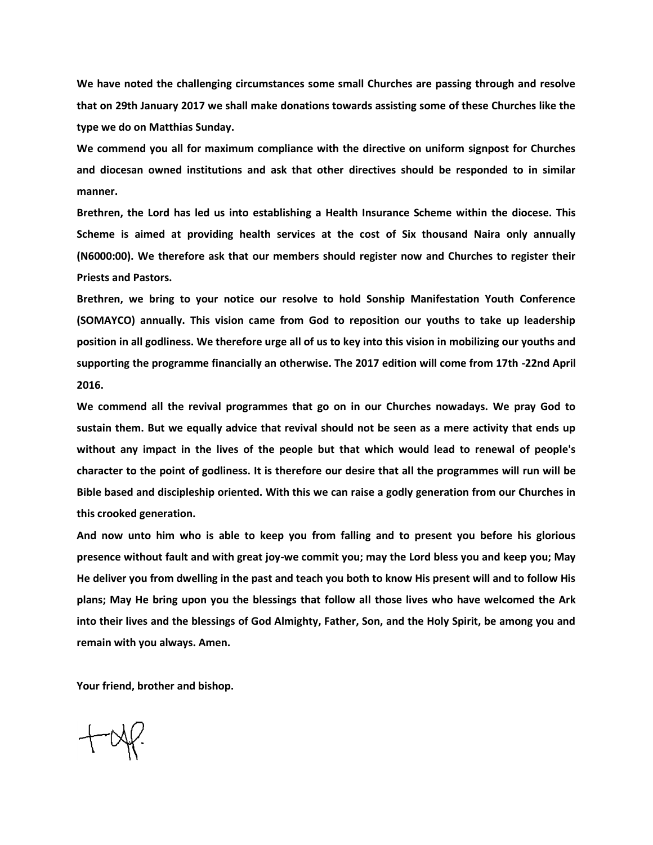**We have noted the challenging circumstances some small Churches are passing through and resolve that on 29th January 2017 we shall make donations towards assisting some of these Churches like the type we do on Matthias Sunday.** 

**We commend you all for maximum compliance with the directive on uniform signpost for Churches and diocesan owned institutions and ask that other directives should be responded to in similar manner.** 

**Brethren, the Lord has led us into establishing a Health Insurance Scheme within the diocese. This Scheme is aimed at providing health services at the cost of Six thousand Naira only annually (N6000:00). We therefore ask that our members should register now and Churches to register their Priests and Pastors.** 

**Brethren, we bring to your notice our resolve to hold Sonship Manifestation Youth Conference (SOMAYCO) annually. This vision came from God to reposition our youths to take up leadership position in all godliness. We therefore urge all of us to key into this vision in mobilizing our youths and supporting the programme financially an otherwise. The 2017 edition will come from 17th -22nd April 2016.** 

**We commend all the revival programmes that go on in our Churches nowadays. We pray God to sustain them. But we equally advice that revival should not be seen as a mere activity that ends up without any impact in the lives of the people but that which would lead to renewal of people's character to the point of godliness. It is therefore our desire that all the programmes will run will be Bible based and discipleship oriented. With this we can raise a godly generation from our Churches in this crooked generation.**

**And now unto him who is able to keep you from falling and to present you before his glorious presence without fault and with great joy-we commit you; may the Lord bless you and keep you; May He deliver you from dwelling in the past and teach you both to know His present will and to follow His plans; May He bring upon you the blessings that follow all those lives who have welcomed the Ark into their lives and the blessings of God Almighty, Father, Son, and the Holy Spirit, be among you and remain with you always. Amen.** 

**Your friend, brother and bishop.**

 $+\alpha$